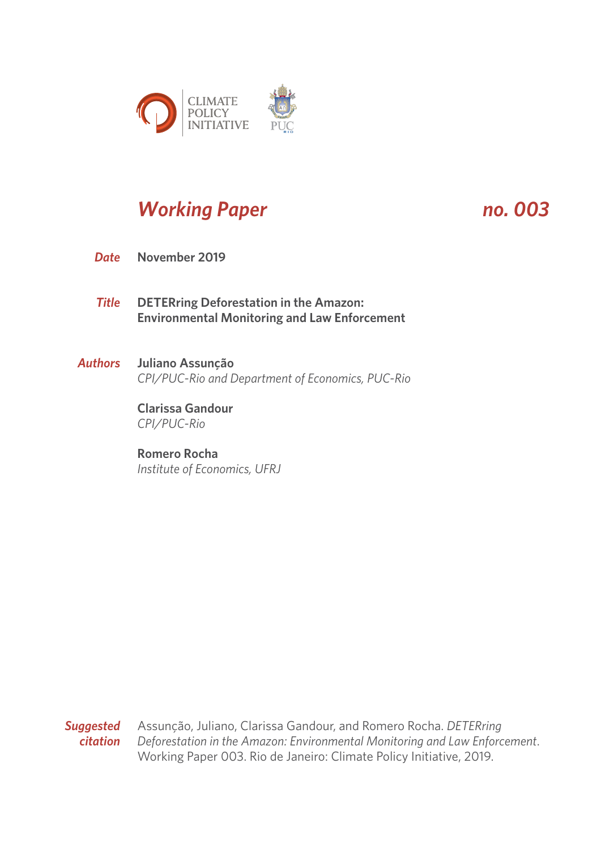

# *Working Paper no. 003*

- **November 2019** *Date*
- **DETERring Deforestation in the Amazon: Environmental Monitoring and Law Enforcement** *Title*
- **Juliano Assunção** *CPI/PUC-Rio and Department of Economics, PUC-Rio Authors*

**Clarissa Gandour** *CPI/PUC-Rio*

# **Romero Rocha**

*Institute of Economics, UFRJ*

*Suggested* Assunção, Juliano, Clarissa Gandour, and Romero Rocha. *DETERring citation Deforestation in the Amazon: Environmental Monitoring and Law Enforcement*. Working Paper 003. Rio de Janeiro: Climate Policy Initiative, 2019.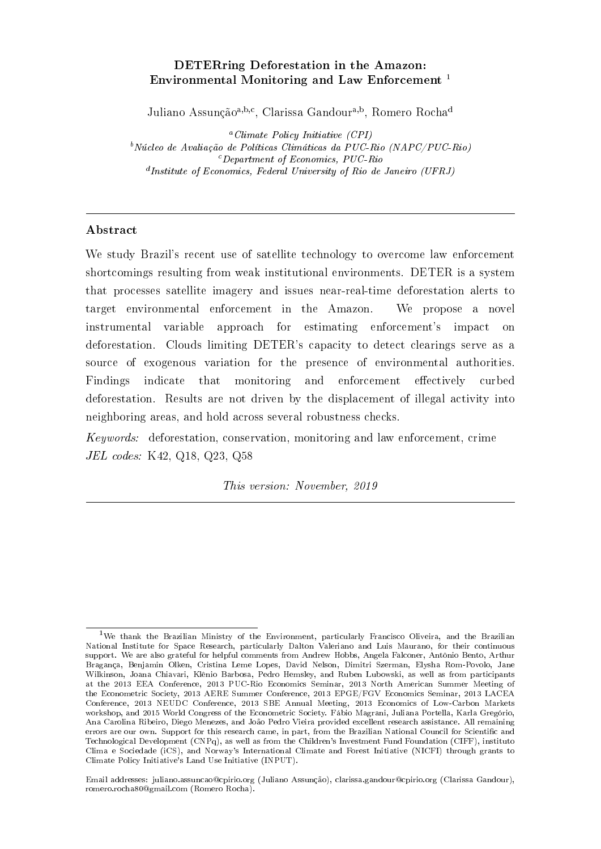# DETERring Deforestation in the Amazon: Environmental Monitoring and Law Enforcement<sup>1</sup>

Juliano Assunção<sup>a, b, c</sup>, Clarissa Gandour<sup>a, b</sup>, Romero Rocha<sup>d</sup>

 $^a$  Climate Policy Initiative (CPI)  $b$ Núcleo de Avaliação de Políticas Climáticas da PUC-Rio (NAPC/PUC-Rio) <sup>c</sup>Department of Economics, PUC-Rio d Institute of Economics, Federal University of Rio de Janeiro (UFRJ)

# Abstract

We study Brazil's recent use of satellite technology to overcome law enforcement shortcomings resulting from weak institutional environments. DETER is a system that processes satellite imagery and issues near-real-time deforestation alerts to target environmental enforcement in the Amazon. We propose a novel instrumental variable approach for estimating enforcement's impact on deforestation. Clouds limiting DETER's capacity to detect clearings serve as a source of exogenous variation for the presence of environmental authorities. Findings indicate that monitoring and enforcement effectively curbed deforestation. Results are not driven by the displacement of illegal activity into neighboring areas, and hold across several robustness checks.

Keywords: deforestation, conservation, monitoring and law enforcement, crime JEL codes: K42, Q18, Q23, Q58

This version: November, 2019

Email addresses: juliano.assuncao@cpirio.org (Juliano Assunção), clarissa.gandour@cpirio.org (Clarissa Gandour), romero.rocha80@gmail.com (Romero Rocha).

<sup>1</sup>We thank the Brazilian Ministry of the Environment, particularly Francisco Oliveira, and the Brazilian National Institute for Space Research, particularly Dalton Valeriano and Luis Maurano, for their continuous support. We are also grateful for helpful comments from Andrew Hobbs, Angela Falconer, Antônio Bento, Arthur Bragança, Benjamin Olken, Cristina Leme Lopes, David Nelson, Dimitri Szerman, Elysha Rom-Povolo, Jane Wilkinson, Joana Chiavari, Klênio Barbosa, Pedro Hemsley, and Ruben Lubowski, as well as from participants at the 2013 EEA Conference, 2013 PUC-Rio Economics Seminar, 2013 North American Summer Meeting of the Econometric Society, 2013 AERE Summer Conference, 2013 EPGE/FGV Economics Seminar, 2013 LACEA Conference, 2013 NEUDC Conference, 2013 SBE Annual Meeting, 2013 Economics of Low-Carbon Markets workshop, and 2015 World Congress of the Econometric Society. Fábio Magrani, Juliana Portella, Karla Gregório, Ana Carolina Ribeiro, Diego Menezes, and João Pedro Vieira provided excellent research assistance. All remaining errors are our own. Support for this research came, in part, from the Brazilian National Council for Scientic and Technological Development (CNPq), as well as from the Children's Investment Fund Foundation (CIFF), instituto Clima e Sociedade (iCS), and Norway's International Climate and Forest Initiative (NICFI) through grants to Climate Policy Initiative's Land Use Initiative (INPUT).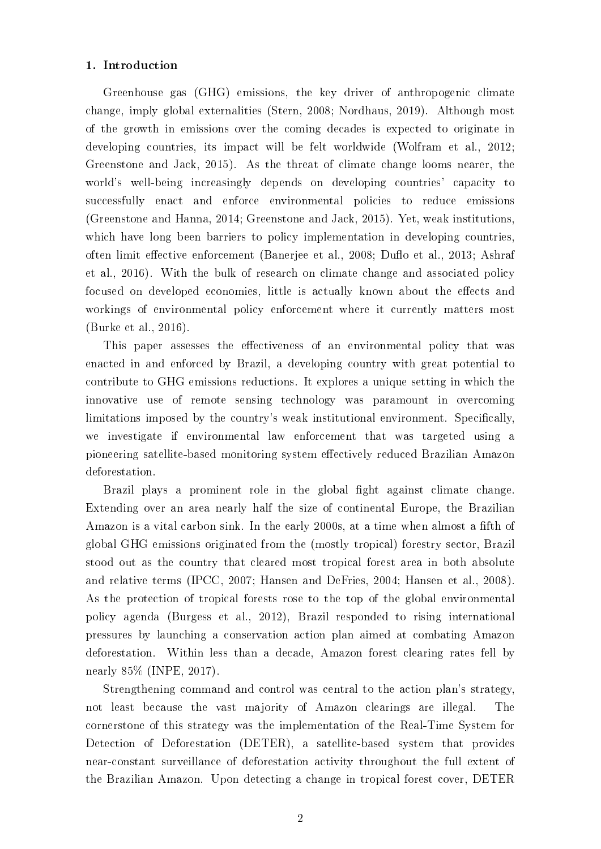# 1. Introduction

Greenhouse gas (GHG) emissions, the key driver of anthropogenic climate change, imply global externalities (Stern, 2008; Nordhaus, 2019). Although most of the growth in emissions over the coming decades is expected to originate in developing countries, its impact will be felt worldwide (Wolfram et al., 2012; Greenstone and Jack, 2015). As the threat of climate change looms nearer, the world's well-being increasingly depends on developing countries' capacity to successfully enact and enforce environmental policies to reduce emissions (Greenstone and Hanna, 2014; Greenstone and Jack, 2015). Yet, weak institutions, which have long been barriers to policy implementation in developing countries, often limit effective enforcement (Banerjee et al., 2008; Duflo et al., 2013; Ashraf et al., 2016). With the bulk of research on climate change and associated policy focused on developed economies, little is actually known about the effects and workings of environmental policy enforcement where it currently matters most (Burke et al., 2016).

This paper assesses the effectiveness of an environmental policy that was enacted in and enforced by Brazil, a developing country with great potential to contribute to GHG emissions reductions. It explores a unique setting in which the innovative use of remote sensing technology was paramount in overcoming limitations imposed by the country's weak institutional environment. Specifically, we investigate if environmental law enforcement that was targeted using a pioneering satellite-based monitoring system effectively reduced Brazilian Amazon deforestation.

Brazil plays a prominent role in the global fight against climate change. Extending over an area nearly half the size of continental Europe, the Brazilian Amazon is a vital carbon sink. In the early 2000s, at a time when almost a fifth of global GHG emissions originated from the (mostly tropical) forestry sector, Brazil stood out as the country that cleared most tropical forest area in both absolute and relative terms (IPCC, 2007; Hansen and DeFries, 2004; Hansen et al., 2008). As the protection of tropical forests rose to the top of the global environmental policy agenda (Burgess et al., 2012), Brazil responded to rising international pressures by launching a conservation action plan aimed at combating Amazon deforestation. Within less than a decade, Amazon forest clearing rates fell by nearly 85% (INPE, 2017).

Strengthening command and control was central to the action plan's strategy, not least because the vast majority of Amazon clearings are illegal. The cornerstone of this strategy was the implementation of the Real-Time System for Detection of Deforestation (DETER), a satellite-based system that provides near-constant surveillance of deforestation activity throughout the full extent of the Brazilian Amazon. Upon detecting a change in tropical forest cover, DETER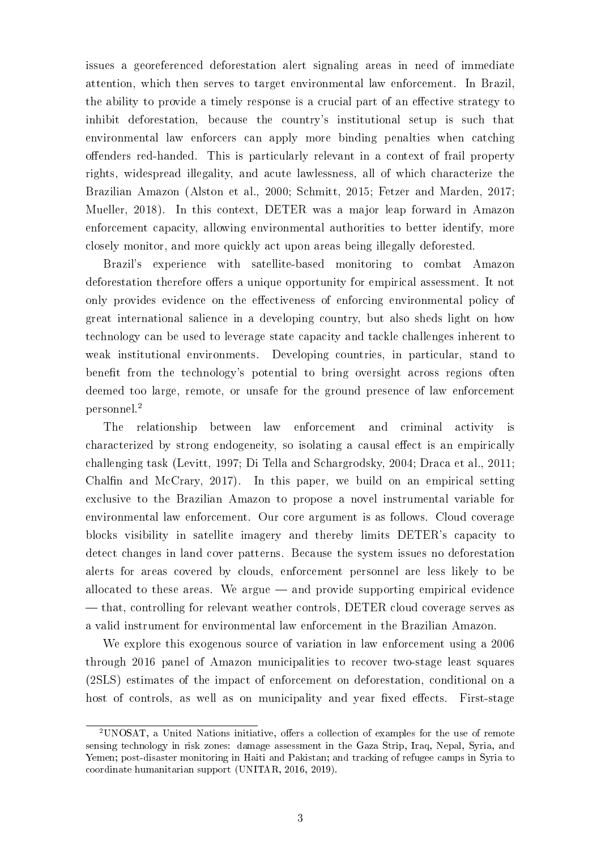issues a georeferenced deforestation alert signaling areas in need of immediate attention, which then serves to target environmental law enforcement. In Brazil, the ability to provide a timely response is a crucial part of an effective strategy to inhibit deforestation, because the country's institutional setup is such that environmental law enforcers can apply more binding penalties when catching offenders red-handed. This is particularly relevant in a context of frail property rights, widespread illegality, and acute lawlessness, all of which characterize the Brazilian Amazon (Alston et al., 2000; Schmitt, 2015; Fetzer and Marden, 2017; Mueller, 2018). In this context, DETER was a major leap forward in Amazon enforcement capacity, allowing environmental authorities to better identify, more closely monitor, and more quickly act upon areas being illegally deforested.

Brazil's experience with satellite-based monitoring to combat Amazon deforestation therefore offers a unique opportunity for empirical assessment. It not only provides evidence on the effectiveness of enforcing environmental policy of great international salience in a developing country, but also sheds light on how technology can be used to leverage state capacity and tackle challenges inherent to weak institutional environments. Developing countries, in particular, stand to benefit from the technology's potential to bring oversight across regions often deemed too large, remote, or unsafe for the ground presence of law enforcement personnel.<sup>2</sup>

The relationship between law enforcement and criminal activity is characterized by strong endogeneity, so isolating a causal effect is an empirically challenging task (Levitt, 1997; Di Tella and Schargrodsky, 2004; Draca et al., 2011; Chalfin and McCrary,  $2017$ ). In this paper, we build on an empirical setting exclusive to the Brazilian Amazon to propose a novel instrumental variable for environmental law enforcement. Our core argument is as follows. Cloud coverage blocks visibility in satellite imagery and thereby limits DETER's capacity to detect changes in land cover patterns. Because the system issues no deforestation alerts for areas covered by clouds, enforcement personnel are less likely to be allocated to these areas. We argue  $-$  and provide supporting empirical evidence that, controlling for relevant weather controls, DETER cloud coverage serves as a valid instrument for environmental law enforcement in the Brazilian Amazon.

We explore this exogenous source of variation in law enforcement using a 2006 through 2016 panel of Amazon municipalities to recover two-stage least squares (2SLS) estimates of the impact of enforcement on deforestation, conditional on a host of controls, as well as on municipality and year fixed effects. First-stage

<sup>&</sup>lt;sup>2</sup>UNOSAT, a United Nations initiative, offers a collection of examples for the use of remote sensing technology in risk zones: damage assessment in the Gaza Strip, Iraq, Nepal, Syria, and Yemen; post-disaster monitoring in Haiti and Pakistan; and tracking of refugee camps in Syria to coordinate humanitarian support (UNITAR, 2016, 2019).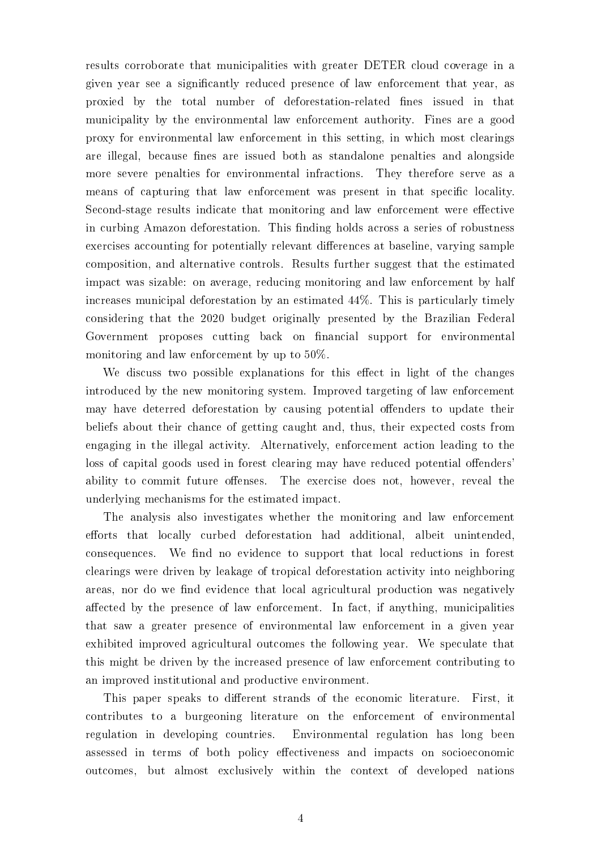results corroborate that municipalities with greater DETER cloud coverage in a given year see a signicantly reduced presence of law enforcement that year, as proxied by the total number of deforestation-related fines issued in that municipality by the environmental law enforcement authority. Fines are a good proxy for environmental law enforcement in this setting, in which most clearings are illegal, because fines are issued both as standalone penalties and alongside more severe penalties for environmental infractions. They therefore serve as a means of capturing that law enforcement was present in that specific locality. Second-stage results indicate that monitoring and law enforcement were effective in curbing Amazon deforestation. This finding holds across a series of robustness exercises accounting for potentially relevant differences at baseline, varying sample composition, and alternative controls. Results further suggest that the estimated impact was sizable: on average, reducing monitoring and law enforcement by half increases municipal deforestation by an estimated 44%. This is particularly timely considering that the 2020 budget originally presented by the Brazilian Federal Government proposes cutting back on financial support for environmental monitoring and law enforcement by up to 50%.

We discuss two possible explanations for this effect in light of the changes introduced by the new monitoring system. Improved targeting of law enforcement may have deterred deforestation by causing potential offenders to update their beliefs about their chance of getting caught and, thus, their expected costs from engaging in the illegal activity. Alternatively, enforcement action leading to the loss of capital goods used in forest clearing may have reduced potential offenders' ability to commit future offenses. The exercise does not, however, reveal the underlying mechanisms for the estimated impact.

The analysis also investigates whether the monitoring and law enforcement efforts that locally curbed deforestation had additional, albeit unintended, consequences. We find no evidence to support that local reductions in forest clearings were driven by leakage of tropical deforestation activity into neighboring areas, nor do we find evidence that local agricultural production was negatively affected by the presence of law enforcement. In fact, if anything, municipalities that saw a greater presence of environmental law enforcement in a given year exhibited improved agricultural outcomes the following year. We speculate that this might be driven by the increased presence of law enforcement contributing to an improved institutional and productive environment.

This paper speaks to different strands of the economic literature. First, it contributes to a burgeoning literature on the enforcement of environmental regulation in developing countries. Environmental regulation has long been assessed in terms of both policy effectiveness and impacts on socioeconomic outcomes, but almost exclusively within the context of developed nations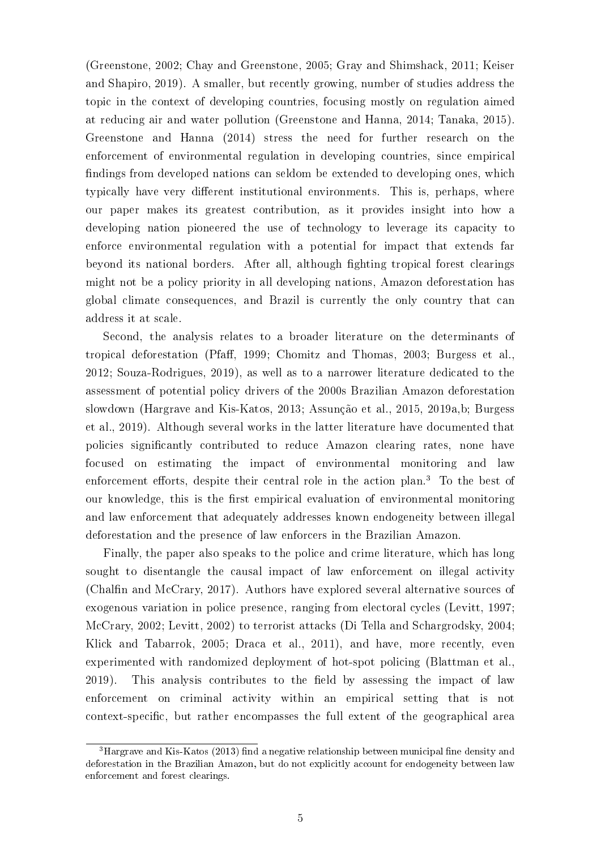(Greenstone, 2002; Chay and Greenstone, 2005; Gray and Shimshack, 2011; Keiser and Shapiro, 2019). A smaller, but recently growing, number of studies address the topic in the context of developing countries, focusing mostly on regulation aimed at reducing air and water pollution (Greenstone and Hanna, 2014; Tanaka, 2015). Greenstone and Hanna (2014) stress the need for further research on the enforcement of environmental regulation in developing countries, since empirical findings from developed nations can seldom be extended to developing ones, which typically have very different institutional environments. This is, perhaps, where our paper makes its greatest contribution, as it provides insight into how a developing nation pioneered the use of technology to leverage its capacity to enforce environmental regulation with a potential for impact that extends far beyond its national borders. After all, although fighting tropical forest clearings might not be a policy priority in all developing nations, Amazon deforestation has global climate consequences, and Brazil is currently the only country that can address it at scale.

Second, the analysis relates to a broader literature on the determinants of tropical deforestation (Pfaff, 1999; Chomitz and Thomas, 2003; Burgess et al., 2012; Souza-Rodrigues, 2019), as well as to a narrower literature dedicated to the assessment of potential policy drivers of the 2000s Brazilian Amazon deforestation slowdown (Hargrave and Kis-Katos, 2013; Assunção et al., 2015, 2019a,b; Burgess et al., 2019). Although several works in the latter literature have documented that policies signicantly contributed to reduce Amazon clearing rates, none have focused on estimating the impact of environmental monitoring and law enforcement efforts, despite their central role in the action plan.<sup>3</sup> To the best of our knowledge, this is the first empirical evaluation of environmental monitoring and law enforcement that adequately addresses known endogeneity between illegal deforestation and the presence of law enforcers in the Brazilian Amazon.

Finally, the paper also speaks to the police and crime literature, which has long sought to disentangle the causal impact of law enforcement on illegal activity (Chalfin and McCrary, 2017). Authors have explored several alternative sources of exogenous variation in police presence, ranging from electoral cycles (Levitt, 1997; McCrary, 2002; Levitt, 2002) to terrorist attacks (Di Tella and Schargrodsky, 2004; Klick and Tabarrok, 2005; Draca et al., 2011), and have, more recently, even experimented with randomized deployment of hot-spot policing (Blattman et al.,  $2019$ ). This analysis contributes to the field by assessing the impact of law enforcement on criminal activity within an empirical setting that is not context-specific, but rather encompasses the full extent of the geographical area

 $3$ Hargrave and Kis-Katos (2013) find a negative relationship between municipal fine density and deforestation in the Brazilian Amazon, but do not explicitly account for endogeneity between law enforcement and forest clearings.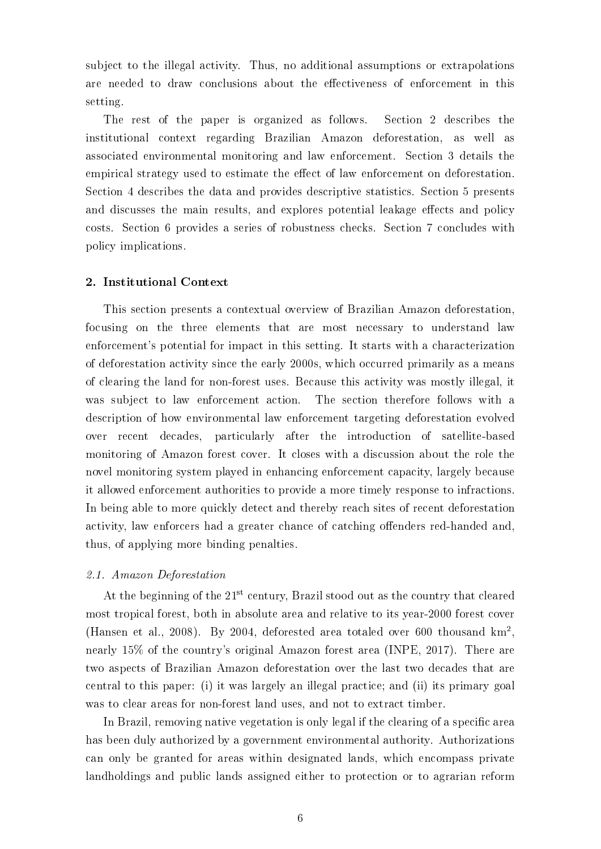subject to the illegal activity. Thus, no additional assumptions or extrapolations are needed to draw conclusions about the effectiveness of enforcement in this setting.

The rest of the paper is organized as follows. Section 2 describes the institutional context regarding Brazilian Amazon deforestation, as well as associated environmental monitoring and law enforcement. Section 3 details the empirical strategy used to estimate the effect of law enforcement on deforestation. Section 4 describes the data and provides descriptive statistics. Section 5 presents and discusses the main results, and explores potential leakage effects and policy costs. Section 6 provides a series of robustness checks. Section 7 concludes with policy implications.

# 2. Institutional Context

This section presents a contextual overview of Brazilian Amazon deforestation, focusing on the three elements that are most necessary to understand law enforcement's potential for impact in this setting. It starts with a characterization of deforestation activity since the early 2000s, which occurred primarily as a means of clearing the land for non-forest uses. Because this activity was mostly illegal, it was subject to law enforcement action. The section therefore follows with a description of how environmental law enforcement targeting deforestation evolved over recent decades, particularly after the introduction of satellite-based monitoring of Amazon forest cover. It closes with a discussion about the role the novel monitoring system played in enhancing enforcement capacity, largely because it allowed enforcement authorities to provide a more timely response to infractions. In being able to more quickly detect and thereby reach sites of recent deforestation activity, law enforcers had a greater chance of catching offenders red-handed and. thus, of applying more binding penalties.

# 2.1. Amazon Deforestation

At the beginning of the 21<sup>st</sup> century, Brazil stood out as the country that cleared most tropical forest, both in absolute area and relative to its year-2000 forest cover (Hansen et al., 2008). By 2004, deforested area totaled over 600 thousand  $km^2$ , nearly 15% of the country's original Amazon forest area (INPE, 2017). There are two aspects of Brazilian Amazon deforestation over the last two decades that are central to this paper: (i) it was largely an illegal practice; and (ii) its primary goal was to clear areas for non-forest land uses, and not to extract timber.

In Brazil, removing native vegetation is only legal if the clearing of a specific area has been duly authorized by a government environmental authority. Authorizations can only be granted for areas within designated lands, which encompass private landholdings and public lands assigned either to protection or to agrarian reform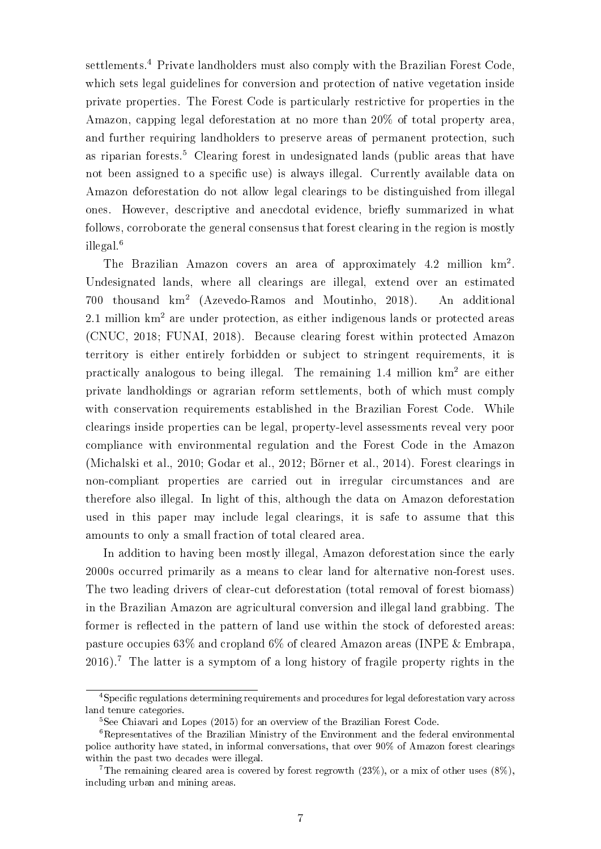settlements.<sup>4</sup> Private landholders must also comply with the Brazilian Forest Code, which sets legal guidelines for conversion and protection of native vegetation inside private properties. The Forest Code is particularly restrictive for properties in the Amazon, capping legal deforestation at no more than 20% of total property area, and further requiring landholders to preserve areas of permanent protection, such as riparian forests.<sup>5</sup> Clearing forest in undesignated lands (public areas that have not been assigned to a specific use) is always illegal. Currently available data on Amazon deforestation do not allow legal clearings to be distinguished from illegal ones. However, descriptive and anecdotal evidence, briefly summarized in what follows, corroborate the general consensus that forest clearing in the region is mostly illegal.<sup>6</sup>

The Brazilian Amazon covers an area of approximately 4.2 million  $km^2$ . Undesignated lands, where all clearings are illegal, extend over an estimated 700 thousand km<sup>2</sup> (Azevedo-Ramos and Moutinho, 2018). An additional 2.1 million  $km^2$  are under protection, as either indigenous lands or protected areas (CNUC, 2018; FUNAI, 2018). Because clearing forest within protected Amazon territory is either entirely forbidden or subject to stringent requirements, it is practically analogous to being illegal. The remaining 1.4 million km<sup>2</sup> are either private landholdings or agrarian reform settlements, both of which must comply with conservation requirements established in the Brazilian Forest Code. While clearings inside properties can be legal, property-level assessments reveal very poor compliance with environmental regulation and the Forest Code in the Amazon (Michalski et al., 2010; Godar et al., 2012; Börner et al., 2014). Forest clearings in non-compliant properties are carried out in irregular circumstances and are therefore also illegal. In light of this, although the data on Amazon deforestation used in this paper may include legal clearings, it is safe to assume that this amounts to only a small fraction of total cleared area.

In addition to having been mostly illegal, Amazon deforestation since the early 2000s occurred primarily as a means to clear land for alternative non-forest uses. The two leading drivers of clear-cut deforestation (total removal of forest biomass) in the Brazilian Amazon are agricultural conversion and illegal land grabbing. The former is reflected in the pattern of land use within the stock of deforested areas: pasture occupies 63% and cropland 6% of cleared Amazon areas (INPE & Embrapa, 2016).<sup>7</sup> The latter is a symptom of a long history of fragile property rights in the

<sup>&</sup>lt;sup>4</sup>Specific regulations determining requirements and procedures for legal deforestation vary across land tenure categories.

<sup>5</sup>See Chiavari and Lopes (2015) for an overview of the Brazilian Forest Code.

<sup>6</sup>Representatives of the Brazilian Ministry of the Environment and the federal environmental police authority have stated, in informal conversations, that over 90% of Amazon forest clearings within the past two decades were illegal.

<sup>&</sup>lt;sup>7</sup>The remaining cleared area is covered by forest regrowth (23%), or a mix of other uses (8%). including urban and mining areas.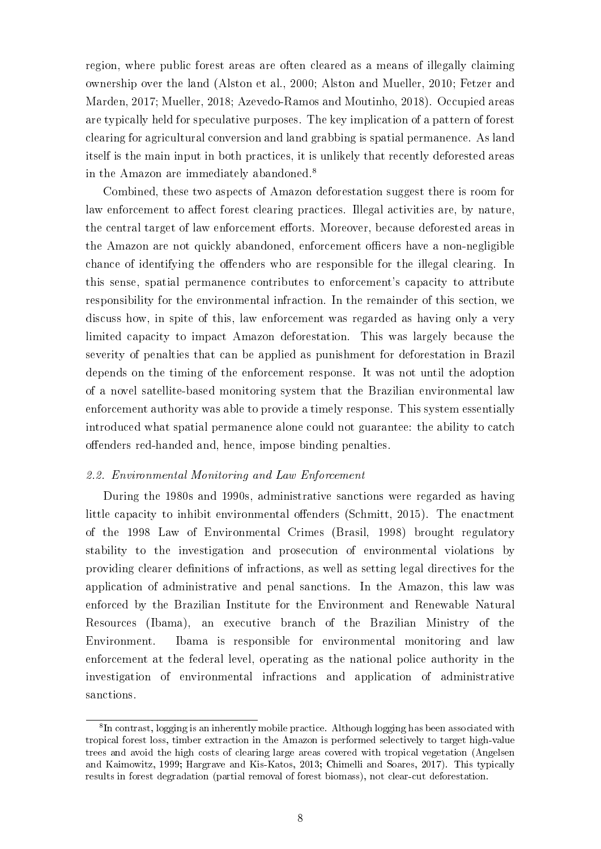region, where public forest areas are often cleared as a means of illegally claiming ownership over the land (Alston et al., 2000; Alston and Mueller, 2010; Fetzer and Marden, 2017; Mueller, 2018; Azevedo-Ramos and Moutinho, 2018). Occupied areas are typically held for speculative purposes. The key implication of a pattern of forest clearing for agricultural conversion and land grabbing is spatial permanence. As land itself is the main input in both practices, it is unlikely that recently deforested areas in the Amazon are immediately abandoned.<sup>8</sup>

Combined, these two aspects of Amazon deforestation suggest there is room for law enforcement to affect forest clearing practices. Illegal activities are, by nature, the central target of law enforcement efforts. Moreover, because deforested areas in the Amazon are not quickly abandoned, enforcement officers have a non-negligible chance of identifying the offenders who are responsible for the illegal clearing. In this sense, spatial permanence contributes to enforcement's capacity to attribute responsibility for the environmental infraction. In the remainder of this section, we discuss how, in spite of this, law enforcement was regarded as having only a very limited capacity to impact Amazon deforestation. This was largely because the severity of penalties that can be applied as punishment for deforestation in Brazil depends on the timing of the enforcement response. It was not until the adoption of a novel satellite-based monitoring system that the Brazilian environmental law enforcement authority was able to provide a timely response. This system essentially introduced what spatial permanence alone could not guarantee: the ability to catch offenders red-handed and, hence, impose binding penalties.

# 2.2. Environmental Monitoring and Law Enforcement

During the 1980s and 1990s, administrative sanctions were regarded as having little capacity to inhibit environmental offenders (Schmitt, 2015). The enactment of the 1998 Law of Environmental Crimes (Brasil, 1998) brought regulatory stability to the investigation and prosecution of environmental violations by providing clearer definitions of infractions, as well as setting legal directives for the application of administrative and penal sanctions. In the Amazon, this law was enforced by the Brazilian Institute for the Environment and Renewable Natural Resources (Ibama), an executive branch of the Brazilian Ministry of the Environment. Ibama is responsible for environmental monitoring and law enforcement at the federal level, operating as the national police authority in the investigation of environmental infractions and application of administrative sanctions.

<sup>&</sup>lt;sup>8</sup>In contrast, logging is an inherently mobile practice. Although logging has been associated with tropical forest loss, timber extraction in the Amazon is performed selectively to target high-value trees and avoid the high costs of clearing large areas covered with tropical vegetation (Angelsen and Kaimowitz, 1999; Hargrave and Kis-Katos, 2013; Chimelli and Soares, 2017). This typically results in forest degradation (partial removal of forest biomass), not clear-cut deforestation.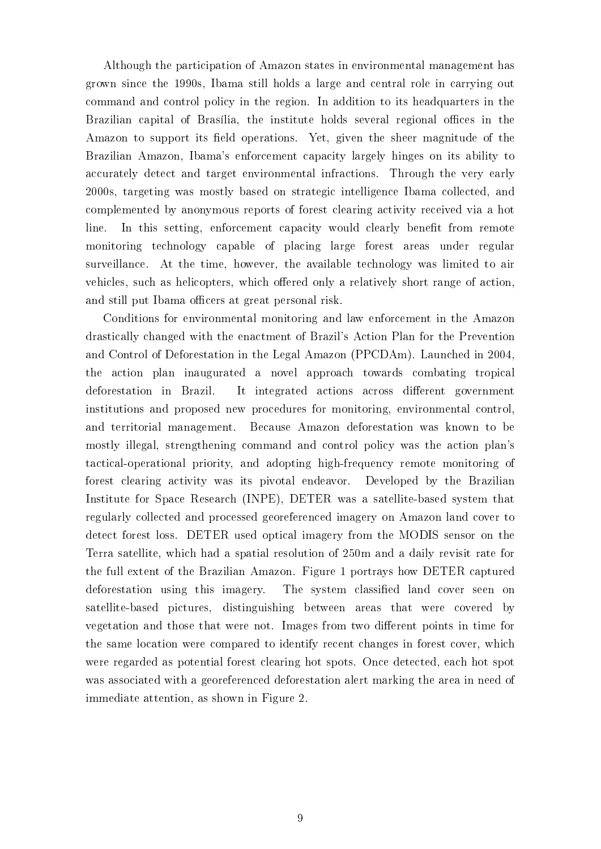Although the participation of Amazon states in environmental management has grown since the 1990s, Ibama still holds a large and central role in carrying out command and control policy in the region. In addition to its headquarters in the Brazilian capital of Brasília, the institute holds several regional offices in the Amazon to support its field operations. Yet, given the sheer magnitude of the Brazilian Amazon, Ibama's enforcement capacity largely hinges on its ability to accurately detect and target environmental infractions. Through the very early 2000s, targeting was mostly based on strategic intelligence Ibama collected, and complemented by anonymous reports of forest clearing activity received via a hot line. In this setting, enforcement capacity would clearly benefit from remote monitoring technology capable of placing large forest areas under regular surveillance. At the time, however, the available technology was limited to air vehicles, such as helicopters, which offered only a relatively short range of action, and still put Ibama officers at great personal risk.

Conditions for environmental monitoring and law enforcement in the Amazon drastically changed with the enactment of Brazil's Action Plan for the Prevention and Control of Deforestation in the Legal Amazon (PPCDAm). Launched in 2004, the action plan inaugurated a novel approach towards combating tropical deforestation in Brazil. It integrated actions across different government institutions and proposed new procedures for monitoring, environmental control, and territorial management. Because Amazon deforestation was known to be mostly illegal, strengthening command and control policy was the action plan's tactical-operational priority, and adopting high-frequency remote monitoring of forest clearing activity was its pivotal endeavor. Developed by the Brazilian Institute for Space Research (INPE), DETER was a satellite-based system that regularly collected and processed georeferenced imagery on Amazon land cover to detect forest loss. DETER used optical imagery from the MODIS sensor on the Terra satellite, which had a spatial resolution of 250m and a daily revisit rate for the full extent of the Brazilian Amazon. Figure 1 portrays how DETER captured deforestation using this imagery. The system classified land cover seen on satellite-based pictures, distinguishing between areas that were covered by vegetation and those that were not. Images from two different points in time for the same location were compared to identify recent changes in forest cover, which were regarded as potential forest clearing hot spots. Once detected, each hot spot was associated with a georeferenced deforestation alert marking the area in need of immediate attention, as shown in Figure 2.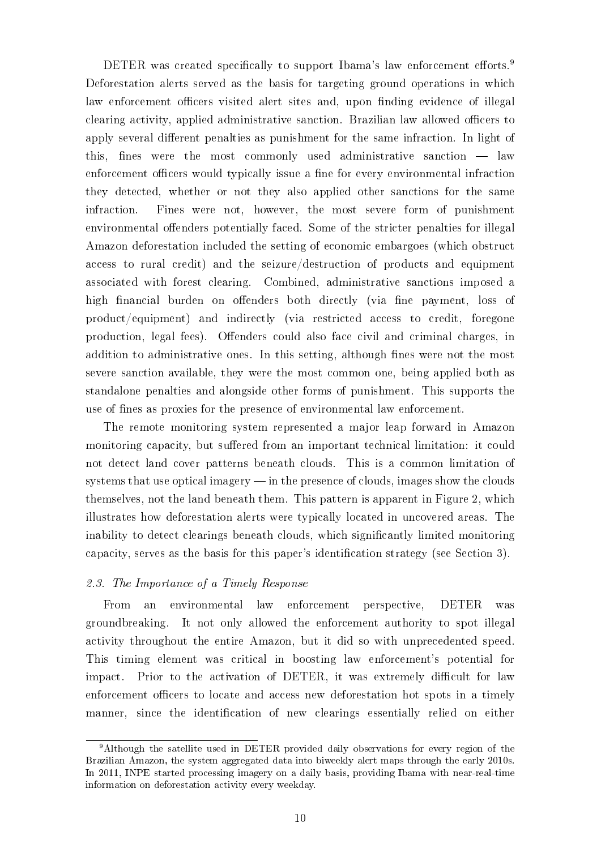DETER was created specifically to support Ibama's law enforcement efforts.<sup>9</sup> Deforestation alerts served as the basis for targeting ground operations in which law enforcement officers visited alert sites and, upon finding evidence of illegal clearing activity, applied administrative sanction. Brazilian law allowed officers to apply several different penalties as punishment for the same infraction. In light of this, fines were the most commonly used administrative sanction  $-$  law enforcement officers would typically issue a fine for every environmental infraction they detected, whether or not they also applied other sanctions for the same infraction. Fines were not, however, the most severe form of punishment environmental offenders potentially faced. Some of the stricter penalties for illegal Amazon deforestation included the setting of economic embargoes (which obstruct access to rural credit) and the seizure/destruction of products and equipment associated with forest clearing. Combined, administrative sanctions imposed a high financial burden on offenders both directly (via fine payment, loss of product/equipment) and indirectly (via restricted access to credit, foregone production, legal fees). Offenders could also face civil and criminal charges, in addition to administrative ones. In this setting, although fines were not the most severe sanction available, they were the most common one, being applied both as standalone penalties and alongside other forms of punishment. This supports the use of fines as proxies for the presence of environmental law enforcement.

The remote monitoring system represented a major leap forward in Amazon monitoring capacity, but suffered from an important technical limitation: it could not detect land cover patterns beneath clouds. This is a common limitation of systems that use optical imagery  $\frac{1}{2}$  in the presence of clouds, images show the clouds themselves, not the land beneath them. This pattern is apparent in Figure 2, which illustrates how deforestation alerts were typically located in uncovered areas. The inability to detect clearings beneath clouds, which significantly limited monitoring capacity, serves as the basis for this paper's identication strategy (see Section 3).

# 2.3. The Importance of a Timely Response

From an environmental law enforcement perspective, DETER was groundbreaking. It not only allowed the enforcement authority to spot illegal activity throughout the entire Amazon, but it did so with unprecedented speed. This timing element was critical in boosting law enforcement's potential for impact. Prior to the activation of DETER, it was extremely difficult for law enforcement officers to locate and access new deforestation hot spots in a timely manner, since the identification of new clearings essentially relied on either

<sup>9</sup>Although the satellite used in DETER provided daily observations for every region of the Brazilian Amazon, the system aggregated data into biweekly alert maps through the early 2010s. In 2011, INPE started processing imagery on a daily basis, providing Ibama with near-real-time information on deforestation activity every weekday.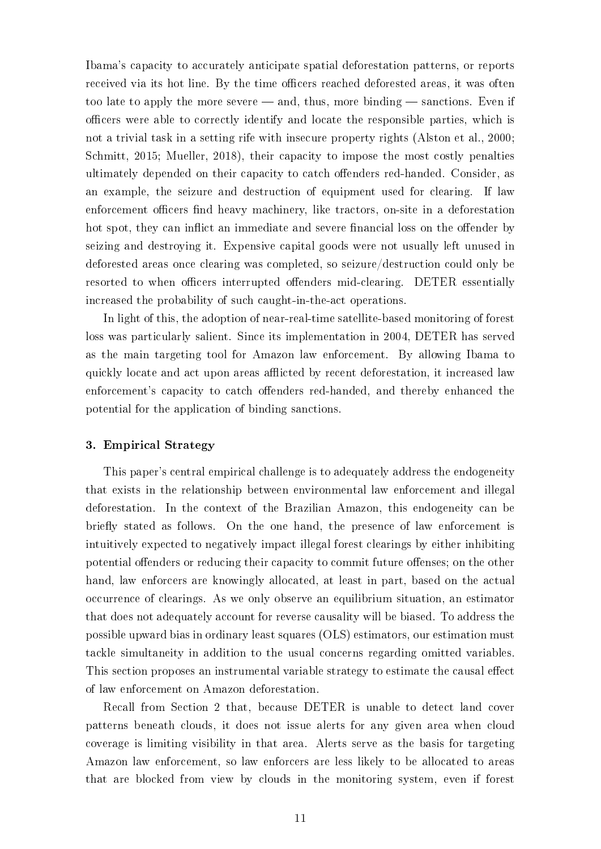Ibama's capacity to accurately anticipate spatial deforestation patterns, or reports received via its hot line. By the time officers reached deforested areas, it was often too late to apply the more severe  $-$  and, thus, more binding  $-$  sanctions. Even if officers were able to correctly identify and locate the responsible parties, which is not a trivial task in a setting rife with insecure property rights (Alston et al., 2000; Schmitt, 2015; Mueller, 2018), their capacity to impose the most costly penalties ultimately depended on their capacity to catch offenders red-handed. Consider, as an example, the seizure and destruction of equipment used for clearing. If law enforcement officers find heavy machinery, like tractors, on-site in a deforestation hot spot, they can inflict an immediate and severe financial loss on the offender by seizing and destroying it. Expensive capital goods were not usually left unused in deforested areas once clearing was completed, so seizure/destruction could only be resorted to when officers interrupted offenders mid-clearing. DETER essentially increased the probability of such caught-in-the-act operations.

In light of this, the adoption of near-real-time satellite-based monitoring of forest loss was particularly salient. Since its implementation in 2004, DETER has served as the main targeting tool for Amazon law enforcement. By allowing Ibama to quickly locate and act upon areas afflicted by recent deforestation, it increased law enforcement's capacity to catch offenders red-handed, and thereby enhanced the potential for the application of binding sanctions.

### 3. Empirical Strategy

This paper's central empirical challenge is to adequately address the endogeneity that exists in the relationship between environmental law enforcement and illegal deforestation. In the context of the Brazilian Amazon, this endogeneity can be briefly stated as follows. On the one hand, the presence of law enforcement is intuitively expected to negatively impact illegal forest clearings by either inhibiting potential offenders or reducing their capacity to commit future offenses; on the other hand, law enforcers are knowingly allocated, at least in part, based on the actual occurrence of clearings. As we only observe an equilibrium situation, an estimator that does not adequately account for reverse causality will be biased. To address the possible upward bias in ordinary least squares (OLS) estimators, our estimation must tackle simultaneity in addition to the usual concerns regarding omitted variables. This section proposes an instrumental variable strategy to estimate the causal effect of law enforcement on Amazon deforestation.

Recall from Section 2 that, because DETER is unable to detect land cover patterns beneath clouds, it does not issue alerts for any given area when cloud coverage is limiting visibility in that area. Alerts serve as the basis for targeting Amazon law enforcement, so law enforcers are less likely to be allocated to areas that are blocked from view by clouds in the monitoring system, even if forest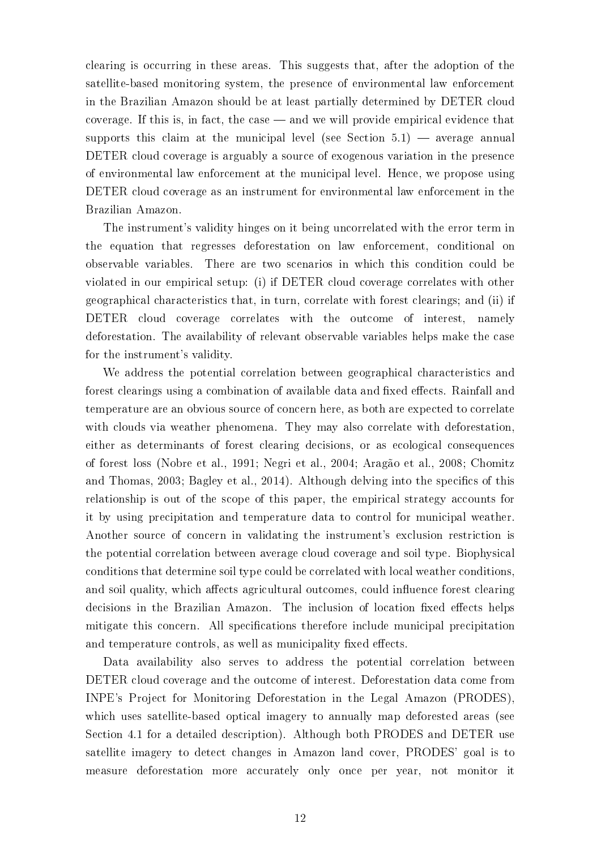clearing is occurring in these areas. This suggests that, after the adoption of the satellite-based monitoring system, the presence of environmental law enforcement in the Brazilian Amazon should be at least partially determined by DETER cloud coverage. If this is, in fact, the case  $\equiv$  and we will provide empirical evidence that supports this claim at the municipal level (see Section  $5.1$ )  $-$  average annual DETER cloud coverage is arguably a source of exogenous variation in the presence of environmental law enforcement at the municipal level. Hence, we propose using DETER cloud coverage as an instrument for environmental law enforcement in the Brazilian Amazon.

The instrument's validity hinges on it being uncorrelated with the error term in the equation that regresses deforestation on law enforcement, conditional on observable variables. There are two scenarios in which this condition could be violated in our empirical setup: (i) if DETER cloud coverage correlates with other geographical characteristics that, in turn, correlate with forest clearings; and (ii) if DETER cloud coverage correlates with the outcome of interest, namely deforestation. The availability of relevant observable variables helps make the case for the instrument's validity.

We address the potential correlation between geographical characteristics and forest clearings using a combination of available data and fixed effects. Rainfall and temperature are an obvious source of concern here, as both are expected to correlate with clouds via weather phenomena. They may also correlate with deforestation, either as determinants of forest clearing decisions, or as ecological consequences of forest loss (Nobre et al., 1991; Negri et al., 2004; Aragão et al., 2008; Chomitz and Thomas, 2003; Bagley et al., 2014). Although delving into the specifics of this relationship is out of the scope of this paper, the empirical strategy accounts for it by using precipitation and temperature data to control for municipal weather. Another source of concern in validating the instrument's exclusion restriction is the potential correlation between average cloud coverage and soil type. Biophysical conditions that determine soil type could be correlated with local weather conditions, and soil quality, which affects agricultural outcomes, could influence forest clearing decisions in the Brazilian Amazon. The inclusion of location fixed effects helps mitigate this concern. All specifications therefore include municipal precipitation and temperature controls, as well as municipality fixed effects.

Data availability also serves to address the potential correlation between DETER cloud coverage and the outcome of interest. Deforestation data come from INPE's Project for Monitoring Deforestation in the Legal Amazon (PRODES), which uses satellite-based optical imagery to annually map deforested areas (see Section 4.1 for a detailed description). Although both PRODES and DETER use satellite imagery to detect changes in Amazon land cover, PRODES' goal is to measure deforestation more accurately only once per year, not monitor it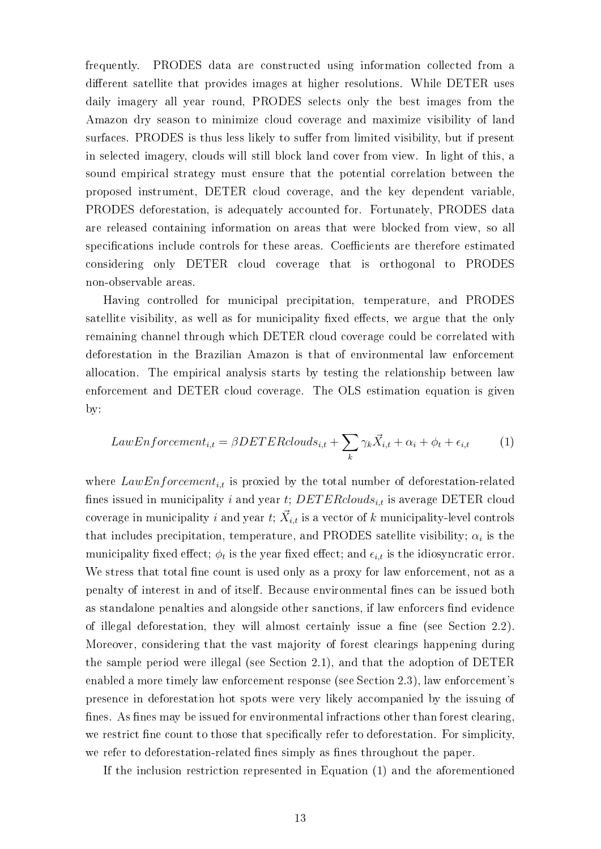frequently. PRODES data are constructed using information collected from a different satellite that provides images at higher resolutions. While DETER uses daily imagery all year round, PRODES selects only the best images from the Amazon dry season to minimize cloud coverage and maximize visibility of land surfaces. PRODES is thus less likely to suffer from limited visibility, but if present in selected imagery, clouds will still block land cover from view. In light of this, a sound empirical strategy must ensure that the potential correlation between the proposed instrument, DETER cloud coverage, and the key dependent variable, PRODES deforestation, is adequately accounted for. Fortunately, PRODES data are released containing information on areas that were blocked from view, so all specifications include controls for these areas. Coefficients are therefore estimated considering only DETER cloud coverage that is orthogonal to PRODES non-observable areas.

Having controlled for municipal precipitation, temperature, and PRODES satellite visibility, as well as for municipality fixed effects, we argue that the only remaining channel through which DETER cloud coverage could be correlated with deforestation in the Brazilian Amazon is that of environmental law enforcement allocation. The empirical analysis starts by testing the relationship between law enforcement and DETER cloud coverage. The OLS estimation equation is given by:

$$
LawEnforcement_{i,t} = \beta DETER clouds_{i,t} + \sum_{k} \gamma_k \vec{X}_{i,t} + \alpha_i + \phi_t + \epsilon_{i,t} \tag{1}
$$

where  $LawEnforcement_{i,t}$  is proxied by the total number of deforestation-related fines issued in municipality i and year t;  $DETERclouds_{i,t}$  is average DETER cloud coverage in municipality  $i$  and year  $t;$   $\vec{X}_{i,t}$  is a vector of  $k$  municipality-level controls that includes precipitation, temperature, and PRODES satellite visibility;  $\alpha_i$  is the municipality fixed effect;  $\phi_t$  is the year fixed effect; and  $\epsilon_{i,t}$  is the idiosyncratic error. We stress that total fine count is used only as a proxy for law enforcement, not as a penalty of interest in and of itself. Because environmental fines can be issued both as standalone penalties and alongside other sanctions, if law enforcers find evidence of illegal deforestation, they will almost certainly issue a fine (see Section 2.2). Moreover, considering that the vast majority of forest clearings happening during the sample period were illegal (see Section 2.1), and that the adoption of DETER enabled a more timely law enforcement response (see Section 2.3), law enforcement's presence in deforestation hot spots were very likely accompanied by the issuing of fines. As fines may be issued for environmental infractions other than forest clearing, we restrict fine count to those that specifically refer to deforestation. For simplicity, we refer to deforestation-related fines simply as fines throughout the paper.

If the inclusion restriction represented in Equation (1) and the aforementioned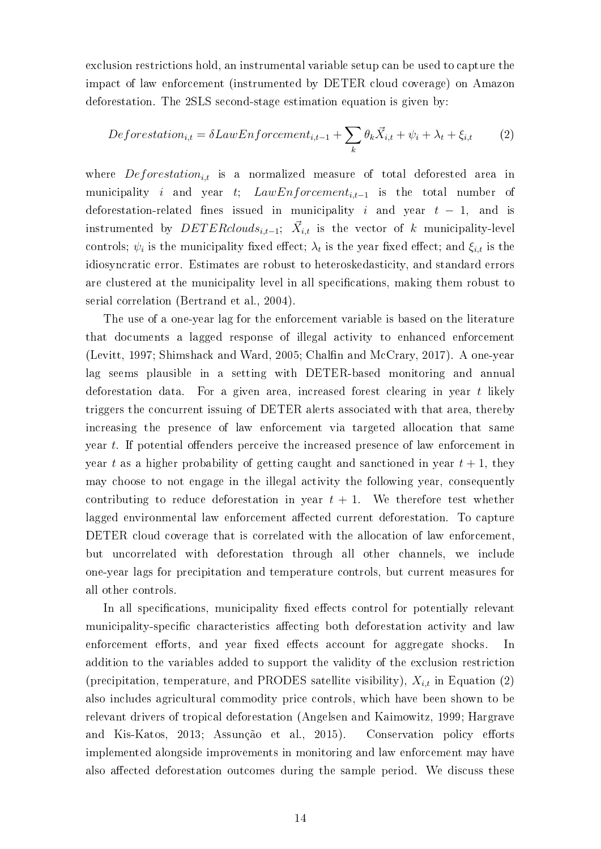exclusion restrictions hold, an instrumental variable setup can be used to capture the impact of law enforcement (instrumented by DETER cloud coverage) on Amazon deforestation. The 2SLS second-stage estimation equation is given by:

$$
Deforestation_{i,t} = \delta LawEnforcement_{i,t-1} + \sum_{k} \theta_k \vec{X}_{i,t} + \psi_i + \lambda_t + \xi_{i,t}
$$
 (2)

where  $Deforestation_{i,t}$  is a normalized measure of total deforested area in municipality i and year t;  $LawEnforcement_{i,t-1}$  is the total number of deforestation-related fines issued in municipality i and year  $t - 1$ , and is  ${\rm instrumented} \;\;{\rm by}\;\; DETER clouds_{i,t-1};\;\; \vec{X}_{i,t} \;\; {\rm is \;\; the \;\; vector \;\; of \;\; k \;\; municipality-level}$ controls;  $\psi_i$  is the municipality fixed effect;  $\lambda_t$  is the year fixed effect; and  $\xi_{i,t}$  is the idiosyncratic error. Estimates are robust to heteroskedasticity, and standard errors are clustered at the municipality level in all specifications, making them robust to serial correlation (Bertrand et al., 2004).

The use of a one-year lag for the enforcement variable is based on the literature that documents a lagged response of illegal activity to enhanced enforcement (Levitt, 1997; Shimshack and Ward, 2005; Chalfin and McCrary, 2017). A one-year lag seems plausible in a setting with DETER-based monitoring and annual deforestation data. For a given area, increased forest clearing in year t likely triggers the concurrent issuing of DETER alerts associated with that area, thereby increasing the presence of law enforcement via targeted allocation that same year  $t$ . If potential offenders perceive the increased presence of law enforcement in year t as a higher probability of getting caught and sanctioned in year  $t + 1$ , they may choose to not engage in the illegal activity the following year, consequently contributing to reduce deforestation in year  $t + 1$ . We therefore test whether lagged environmental law enforcement affected current deforestation. To capture DETER cloud coverage that is correlated with the allocation of law enforcement, but uncorrelated with deforestation through all other channels, we include one-year lags for precipitation and temperature controls, but current measures for all other controls.

In all specifications, municipality fixed effects control for potentially relevant municipality-specific characteristics affecting both deforestation activity and law enforcement efforts, and year fixed effects account for aggregate shocks. In addition to the variables added to support the validity of the exclusion restriction (precipitation, temperature, and PRODES satellite visibility),  $X_{i,t}$  in Equation (2) also includes agricultural commodity price controls, which have been shown to be relevant drivers of tropical deforestation (Angelsen and Kaimowitz, 1999; Hargrave and Kis-Katos, 2013; Assunção et al., 2015). Conservation policy efforts implemented alongside improvements in monitoring and law enforcement may have also affected deforestation outcomes during the sample period. We discuss these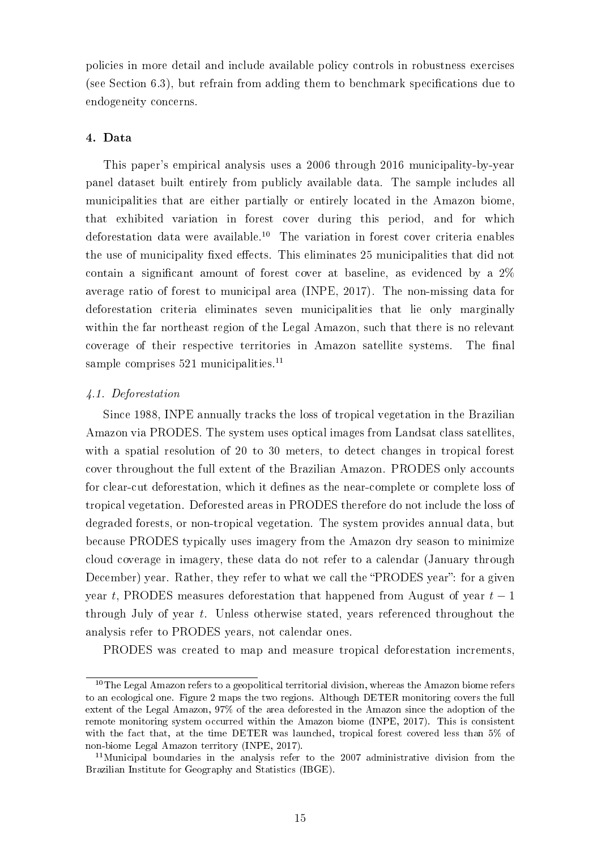policies in more detail and include available policy controls in robustness exercises (see Section  $6.3$ ), but refrain from adding them to benchmark specifications due to endogeneity concerns.

# 4. Data

This paper's empirical analysis uses a 2006 through 2016 municipality-by-year panel dataset built entirely from publicly available data. The sample includes all municipalities that are either partially or entirely located in the Amazon biome, that exhibited variation in forest cover during this period, and for which deforestation data were available.<sup>10</sup> The variation in forest cover criteria enables the use of municipality fixed effects. This eliminates 25 municipalities that did not contain a significant amount of forest cover at baseline, as evidenced by a  $2\%$ average ratio of forest to municipal area (INPE, 2017). The non-missing data for deforestation criteria eliminates seven municipalities that lie only marginally within the far northeast region of the Legal Amazon, such that there is no relevant coverage of their respective territories in Amazon satellite systems. The final sample comprises 521 municipalities.<sup>11</sup>

# 4.1. Deforestation

Since 1988, INPE annually tracks the loss of tropical vegetation in the Brazilian Amazon via PRODES. The system uses optical images from Landsat class satellites, with a spatial resolution of 20 to 30 meters, to detect changes in tropical forest cover throughout the full extent of the Brazilian Amazon. PRODES only accounts for clear-cut deforestation, which it defines as the near-complete or complete loss of tropical vegetation. Deforested areas in PRODES therefore do not include the loss of degraded forests, or non-tropical vegetation. The system provides annual data, but because PRODES typically uses imagery from the Amazon dry season to minimize cloud coverage in imagery, these data do not refer to a calendar (January through December) year. Rather, they refer to what we call the "PRODES year": for a given year t, PRODES measures deforestation that happened from August of year  $t-1$ through July of year t. Unless otherwise stated, years referenced throughout the analysis refer to PRODES years, not calendar ones.

PRODES was created to map and measure tropical deforestation increments,

 $10$ The Legal Amazon refers to a geopolitical territorial division, whereas the Amazon biome refers to an ecological one. Figure 2 maps the two regions. Although DETER monitoring covers the full extent of the Legal Amazon, 97% of the area deforested in the Amazon since the adoption of the remote monitoring system occurred within the Amazon biome (INPE, 2017). This is consistent with the fact that, at the time DETER was launched, tropical forest covered less than 5% of non-biome Legal Amazon territory (INPE, 2017).

<sup>11</sup>Municipal boundaries in the analysis refer to the 2007 administrative division from the Brazilian Institute for Geography and Statistics (IBGE).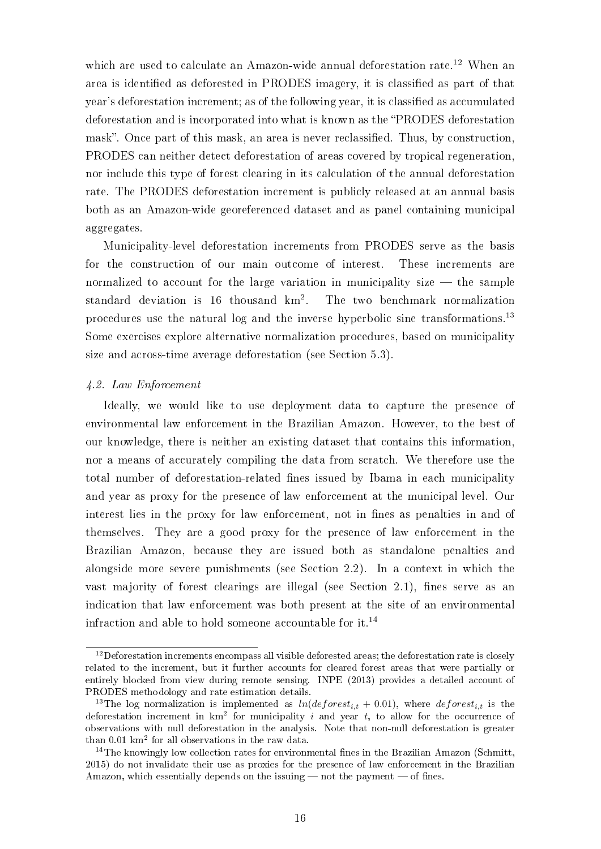which are used to calculate an Amazon-wide annual deforestation rate.<sup>12</sup> When an area is identified as deforested in PRODES imagery, it is classified as part of that year's deforestation increment; as of the following year, it is classied as accumulated deforestation and is incorporated into what is known as the PRODES deforestation mask". Once part of this mask, an area is never reclassified. Thus, by construction, PRODES can neither detect deforestation of areas covered by tropical regeneration, nor include this type of forest clearing in its calculation of the annual deforestation rate. The PRODES deforestation increment is publicly released at an annual basis both as an Amazon-wide georeferenced dataset and as panel containing municipal aggregates.

Municipality-level deforestation increments from PRODES serve as the basis for the construction of our main outcome of interest. These increments are normalized to account for the large variation in municipality size  $-$  the sample standard deviation is 16 thousand  $km^2$ . . The two benchmark normalization procedures use the natural log and the inverse hyperbolic sine transformations.<sup>13</sup> Some exercises explore alternative normalization procedures, based on municipality size and across-time average deforestation (see Section 5.3).

### 4.2. Law Enforcement

Ideally, we would like to use deployment data to capture the presence of environmental law enforcement in the Brazilian Amazon. However, to the best of our knowledge, there is neither an existing dataset that contains this information, nor a means of accurately compiling the data from scratch. We therefore use the total number of deforestation-related fines issued by Ibama in each municipality and year as proxy for the presence of law enforcement at the municipal level. Our interest lies in the proxy for law enforcement, not in fines as penalties in and of themselves. They are a good proxy for the presence of law enforcement in the Brazilian Amazon, because they are issued both as standalone penalties and alongside more severe punishments (see Section 2.2). In a context in which the vast majority of forest clearings are illegal (see Section 2.1), fines serve as an indication that law enforcement was both present at the site of an environmental infraction and able to hold someone accountable for it.<sup>14</sup>

 $12$ Deforestation increments encompass all visible deforested areas; the deforestation rate is closely related to the increment, but it further accounts for cleared forest areas that were partially or entirely blocked from view during remote sensing. INPE (2013) provides a detailed account of PRODES methodology and rate estimation details.

<sup>&</sup>lt;sup>13</sup>The log normalization is implemented as  $ln(deforest_{i,t} + 0.01)$ , where  $deforest_{i,t}$  is the deforestation increment in  $km^2$  for municipality i and year t, to allow for the occurrence of observations with null deforestation in the analysis. Note that non-null deforestation is greater than 0.01 km<sup>2</sup> for all observations in the raw data.

<sup>&</sup>lt;sup>14</sup>The knowingly low collection rates for environmental fines in the Brazilian Amazon (Schmitt, 2015) do not invalidate their use as proxies for the presence of law enforcement in the Brazilian Amazon, which essentially depends on the issuing  $-$  not the payment  $-$  of fines.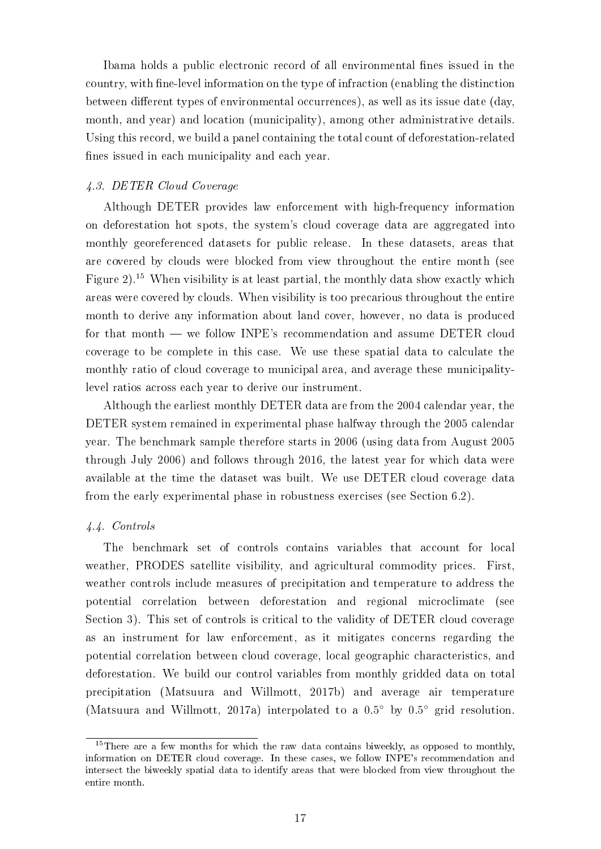Ibama holds a public electronic record of all environmental fines issued in the country, with ne-level information on the type of infraction (enabling the distinction between different types of environmental occurrences), as well as its issue date (day, month, and year) and location (municipality), among other administrative details. Using this record, we build a panel containing the total count of deforestation-related fines issued in each municipality and each year.

# 4.3. DETER Cloud Coverage

Although DETER provides law enforcement with high-frequency information on deforestation hot spots, the system's cloud coverage data are aggregated into monthly georeferenced datasets for public release. In these datasets, areas that are covered by clouds were blocked from view throughout the entire month (see Figure 2).<sup>15</sup> When visibility is at least partial, the monthly data show exactly which areas were covered by clouds. When visibility is too precarious throughout the entire month to derive any information about land cover, however, no data is produced for that month — we follow INPE's recommendation and assume DETER cloud coverage to be complete in this case. We use these spatial data to calculate the monthly ratio of cloud coverage to municipal area, and average these municipalitylevel ratios across each year to derive our instrument.

Although the earliest monthly DETER data are from the 2004 calendar year, the DETER system remained in experimental phase halfway through the 2005 calendar year. The benchmark sample therefore starts in 2006 (using data from August 2005 through July 2006) and follows through 2016, the latest year for which data were available at the time the dataset was built. We use DETER cloud coverage data from the early experimental phase in robustness exercises (see Section 6.2).

# 4.4. Controls

The benchmark set of controls contains variables that account for local weather, PRODES satellite visibility, and agricultural commodity prices. First, weather controls include measures of precipitation and temperature to address the potential correlation between deforestation and regional microclimate (see Section 3). This set of controls is critical to the validity of DETER cloud coverage as an instrument for law enforcement, as it mitigates concerns regarding the potential correlation between cloud coverage, local geographic characteristics, and deforestation. We build our control variables from monthly gridded data on total precipitation (Matsuura and Willmott, 2017b) and average air temperature (Matsuura and Willmott, 2017a) interpolated to a 0.5◦ by 0.5◦ grid resolution.

<sup>&</sup>lt;sup>15</sup>There are a few months for which the raw data contains biweekly, as opposed to monthly, information on DETER cloud coverage. In these cases, we follow INPE's recommendation and intersect the biweekly spatial data to identify areas that were blocked from view throughout the entire month.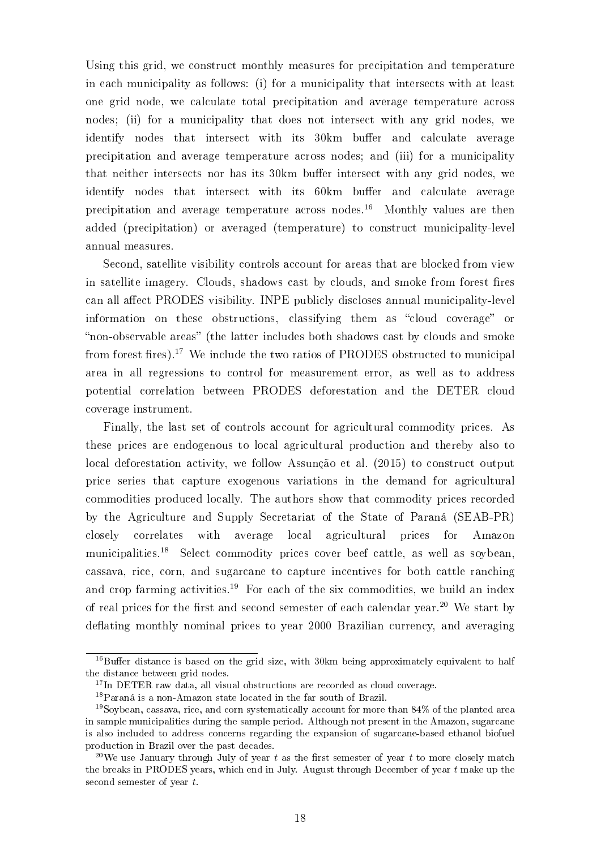Using this grid, we construct monthly measures for precipitation and temperature in each municipality as follows: (i) for a municipality that intersects with at least one grid node, we calculate total precipitation and average temperature across nodes; (ii) for a municipality that does not intersect with any grid nodes, we identify nodes that intersect with its 30km buffer and calculate average precipitation and average temperature across nodes; and (iii) for a municipality that neither intersects nor has its 30km buffer intersect with any grid nodes, we identify nodes that intersect with its 60km buffer and calculate average precipitation and average temperature across nodes.<sup>16</sup> Monthly values are then added (precipitation) or averaged (temperature) to construct municipality-level annual measures.

Second, satellite visibility controls account for areas that are blocked from view in satellite imagery. Clouds, shadows cast by clouds, and smoke from forest fires can all affect PRODES visibility. INPE publicly discloses annual municipality-level information on these obstructions, classifying them as "cloud coverage" or "non-observable areas" (the latter includes both shadows cast by clouds and smoke from forest fires).<sup>17</sup> We include the two ratios of PRODES obstructed to municipal area in all regressions to control for measurement error, as well as to address potential correlation between PRODES deforestation and the DETER cloud coverage instrument.

Finally, the last set of controls account for agricultural commodity prices. As these prices are endogenous to local agricultural production and thereby also to local deforestation activity, we follow Assunção et al. (2015) to construct output price series that capture exogenous variations in the demand for agricultural commodities produced locally. The authors show that commodity prices recorded by the Agriculture and Supply Secretariat of the State of Paraná (SEAB-PR) closely correlates with average local agricultural prices for Amazon municipalities.<sup>18</sup> Select commodity prices cover beef cattle, as well as soybean, cassava, rice, corn, and sugarcane to capture incentives for both cattle ranching and crop farming activities.<sup>19</sup> For each of the six commodities, we build an index of real prices for the first and second semester of each calendar year.<sup>20</sup> We start by deflating monthly nominal prices to year 2000 Brazilian currency, and averaging

 $16$ Buffer distance is based on the grid size, with 30km being approximately equivalent to half the distance between grid nodes.

 $17$ In DETER raw data, all visual obstructions are recorded as cloud coverage.

<sup>18</sup>Paraná is a non-Amazon state located in the far south of Brazil.

<sup>19</sup>Soybean, cassava, rice, and corn systematically account for more than 84% of the planted area in sample municipalities during the sample period. Although not present in the Amazon, sugarcane is also included to address concerns regarding the expansion of sugarcane-based ethanol biofuel production in Brazil over the past decades.

<sup>&</sup>lt;sup>20</sup>We use January through July of year t as the first semester of year t to more closely match the breaks in PRODES years, which end in July. August through December of year  $t$  make up the second semester of year t.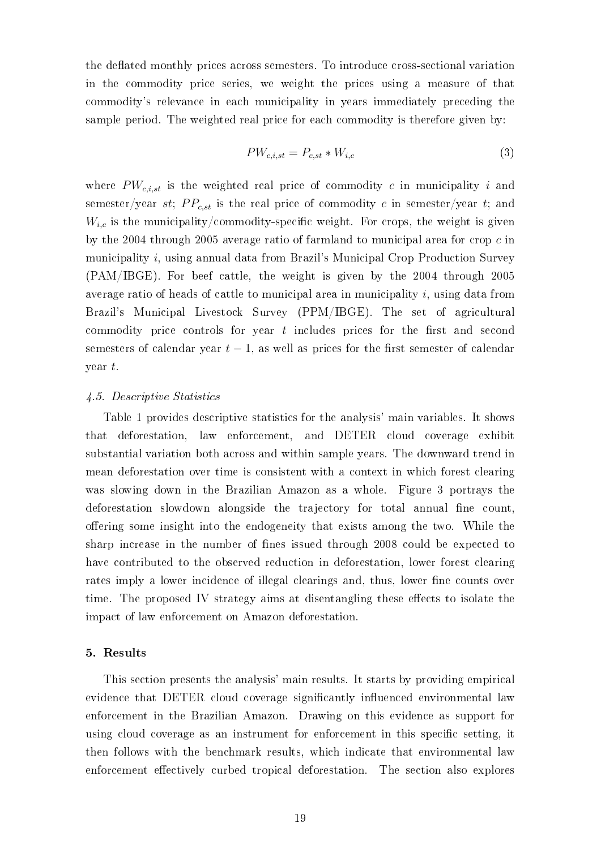the deflated monthly prices across semesters. To introduce cross-sectional variation in the commodity price series, we weight the prices using a measure of that commodity's relevance in each municipality in years immediately preceding the sample period. The weighted real price for each commodity is therefore given by:

$$
PW_{c,i,st} = P_{c,st} * W_{i,c} \tag{3}
$$

where  $PW_{c,i,st}$  is the weighted real price of commodity c in municipality i and semester/year st;  $PP_{c,st}$  is the real price of commodity c in semester/year t; and  $W_{i,c}$  is the municipality/commodity-specific weight. For crops, the weight is given by the 2004 through 2005 average ratio of farmland to municipal area for crop c in municipality i, using annual data from Brazil's Municipal Crop Production Survey (PAM/IBGE). For beef cattle, the weight is given by the 2004 through 2005 average ratio of heads of cattle to municipal area in municipality  $i$ , using data from Brazil's Municipal Livestock Survey (PPM/IBGE). The set of agricultural commodity price controls for year  $t$  includes prices for the first and second semesters of calendar year  $t - 1$ , as well as prices for the first semester of calendar year t.

# 4.5. Descriptive Statistics

Table 1 provides descriptive statistics for the analysis' main variables. It shows that deforestation, law enforcement, and DETER cloud coverage exhibit substantial variation both across and within sample years. The downward trend in mean deforestation over time is consistent with a context in which forest clearing was slowing down in the Brazilian Amazon as a whole. Figure 3 portrays the deforestation slowdown alongside the trajectory for total annual fine count. offering some insight into the endogeneity that exists among the two. While the sharp increase in the number of fines issued through 2008 could be expected to have contributed to the observed reduction in deforestation, lower forest clearing rates imply a lower incidence of illegal clearings and, thus, lower fine counts over time. The proposed IV strategy aims at disentangling these effects to isolate the impact of law enforcement on Amazon deforestation.

### 5. Results

This section presents the analysis' main results. It starts by providing empirical evidence that DETER cloud coverage significantly influenced environmental law enforcement in the Brazilian Amazon. Drawing on this evidence as support for using cloud coverage as an instrument for enforcement in this specific setting, it then follows with the benchmark results, which indicate that environmental law enforcement effectively curbed tropical deforestation. The section also explores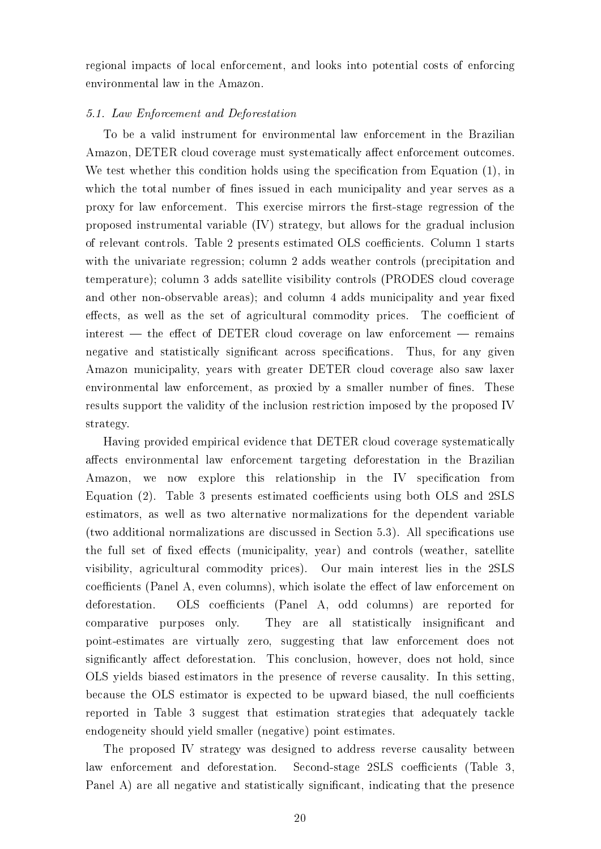regional impacts of local enforcement, and looks into potential costs of enforcing environmental law in the Amazon.

# 5.1. Law Enforcement and Deforestation

To be a valid instrument for environmental law enforcement in the Brazilian Amazon, DETER cloud coverage must systematically affect enforcement outcomes. We test whether this condition holds using the specification from Equation (1), in which the total number of fines issued in each municipality and year serves as a proxy for law enforcement. This exercise mirrors the first-stage regression of the proposed instrumental variable (IV) strategy, but allows for the gradual inclusion of relevant controls. Table 2 presents estimated OLS coecients. Column 1 starts with the univariate regression; column 2 adds weather controls (precipitation and temperature); column 3 adds satellite visibility controls (PRODES cloud coverage and other non-observable areas); and column 4 adds municipality and year fixed effects, as well as the set of agricultural commodity prices. The coefficient of  $i$  interest  $-$  the effect of DETER cloud coverage on law enforcement  $-$  remains negative and statistically significant across specifications. Thus, for any given Amazon municipality, years with greater DETER cloud coverage also saw laxer environmental law enforcement, as proxied by a smaller number of fines. These results support the validity of the inclusion restriction imposed by the proposed IV strategy.

Having provided empirical evidence that DETER cloud coverage systematically affects environmental law enforcement targeting deforestation in the Brazilian Amazon, we now explore this relationship in the IV specification from Equation (2). Table 3 presents estimated coefficients using both OLS and 2SLS estimators, as well as two alternative normalizations for the dependent variable (two additional normalizations are discussed in Section  $5.3$ ). All specifications use the full set of fixed effects (municipality, year) and controls (weather, satellite visibility, agricultural commodity prices). Our main interest lies in the 2SLS coefficients (Panel A, even columns), which isolate the effect of law enforcement on deforestation. OLS coefficients (Panel A, odd columns) are reported for comparative purposes only. They are all statistically insignificant and point-estimates are virtually zero, suggesting that law enforcement does not significantly affect deforestation. This conclusion, however, does not hold, since OLS yields biased estimators in the presence of reverse causality. In this setting, because the OLS estimator is expected to be upward biased, the null coefficients reported in Table 3 suggest that estimation strategies that adequately tackle endogeneity should yield smaller (negative) point estimates.

The proposed IV strategy was designed to address reverse causality between law enforcement and deforestation. Second-stage 2SLS coefficients (Table 3, Panel A) are all negative and statistically significant, indicating that the presence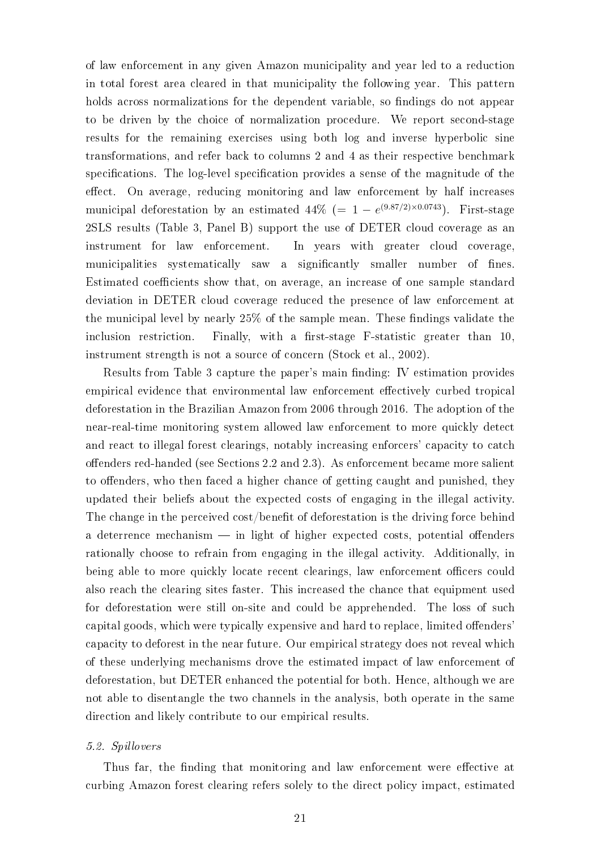of law enforcement in any given Amazon municipality and year led to a reduction in total forest area cleared in that municipality the following year. This pattern holds across normalizations for the dependent variable, so findings do not appear to be driven by the choice of normalization procedure. We report second-stage results for the remaining exercises using both log and inverse hyperbolic sine transformations, and refer back to columns 2 and 4 as their respective benchmark specifications. The log-level specification provides a sense of the magnitude of the effect. On average, reducing monitoring and law enforcement by half increases municipal deforestation by an estimated  $44\%$  (=  $1 - e^{(9.87/2) \times 0.0743}$ ). First-stage 2SLS results (Table 3, Panel B) support the use of DETER cloud coverage as an instrument for law enforcement. In years with greater cloud coverage, municipalities systematically saw a significantly smaller number of fines. Estimated coefficients show that, on average, an increase of one sample standard deviation in DETER cloud coverage reduced the presence of law enforcement at the municipal level by nearly  $25\%$  of the sample mean. These findings validate the inclusion restriction. Finally, with a first-stage  $F$ -statistic greater than 10 instrument strength is not a source of concern (Stock et al., 2002).

Results from Table 3 capture the paper's main finding: IV estimation provides empirical evidence that environmental law enforcement effectively curbed tropical deforestation in the Brazilian Amazon from 2006 through 2016. The adoption of the near-real-time monitoring system allowed law enforcement to more quickly detect and react to illegal forest clearings, notably increasing enforcers' capacity to catch offenders red-handed (see Sections 2.2 and 2.3). As enforcement became more salient to offenders, who then faced a higher chance of getting caught and punished, they updated their beliefs about the expected costs of engaging in the illegal activity. The change in the perceived cost/benefit of deforestation is the driving force behind a deterrence mechanism  $\frac{1}{\sqrt{2}}$  in light of higher expected costs, potential offenders rationally choose to refrain from engaging in the illegal activity. Additionally, in being able to more quickly locate recent clearings, law enforcement officers could also reach the clearing sites faster. This increased the chance that equipment used for deforestation were still on-site and could be apprehended. The loss of such capital goods, which were typically expensive and hard to replace, limited of fenders capacity to deforest in the near future. Our empirical strategy does not reveal which of these underlying mechanisms drove the estimated impact of law enforcement of deforestation, but DETER enhanced the potential for both. Hence, although we are not able to disentangle the two channels in the analysis, both operate in the same direction and likely contribute to our empirical results.

### 5.2. Spillovers

Thus far, the finding that monitoring and law enforcement were effective at curbing Amazon forest clearing refers solely to the direct policy impact, estimated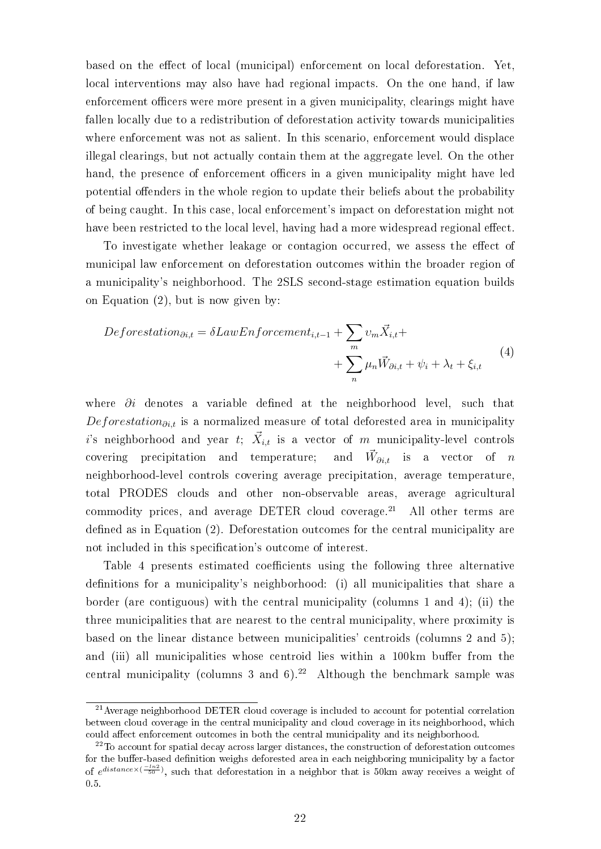based on the effect of local (municipal) enforcement on local deforestation. Yet, local interventions may also have had regional impacts. On the one hand, if law enforcement officers were more present in a given municipality, clearings might have fallen locally due to a redistribution of deforestation activity towards municipalities where enforcement was not as salient. In this scenario, enforcement would displace illegal clearings, but not actually contain them at the aggregate level. On the other hand, the presence of enforcement officers in a given municipality might have led potential offenders in the whole region to update their beliefs about the probability of being caught. In this case, local enforcement's impact on deforestation might not have been restricted to the local level, having had a more widespread regional effect.

To investigate whether leakage or contagion occurred, we assess the effect of municipal law enforcement on deforestation outcomes within the broader region of a municipality's neighborhood. The 2SLS second-stage estimation equation builds on Equation (2), but is now given by:

$$
Deforestation_{\partial i,t} = \delta LawEnforcement_{i,t-1} + \sum_{m} v_m \vec{X}_{i,t} + \sum_{n} \mu_n \vec{W}_{\partial i,t} + \psi_i + \lambda_t + \xi_{i,t}
$$
\n
$$
(4)
$$

where  $\partial i$  denotes a variable defined at the neighborhood level, such that Deforestation $\partial_{i,t}$  is a normalized measure of total deforested area in municipality  $i$ 's neighborhood and year  $t;$   $\vec{X}_{i,t}$  is a vector of  $m$  municipality-level controls covering precipitation and temperature; and  $\vec{W}_{\partial i,t}$ is a vector of  $n$ neighborhood-level controls covering average precipitation, average temperature, total PRODES clouds and other non-observable areas, average agricultural commodity prices, and average DETER cloud coverage. $21$  All other terms are defined as in Equation  $(2)$ . Deforestation outcomes for the central municipality are not included in this specification's outcome of interest.

Table 4 presents estimated coefficients using the following three alternative definitions for a municipality's neighborhood: (i) all municipalities that share a border (are contiguous) with the central municipality (columns 1 and 4); (ii) the three municipalities that are nearest to the central municipality, where proximity is based on the linear distance between municipalities' centroids (columns 2 and 5); and (iii) all municipalities whose centroid lies within a 100km buffer from the central municipality (columns 3 and 6).<sup>22</sup> Although the benchmark sample was

<sup>21</sup>Average neighborhood DETER cloud coverage is included to account for potential correlation between cloud coverage in the central municipality and cloud coverage in its neighborhood, which could affect enforcement outcomes in both the central municipality and its neighborhood.

<sup>&</sup>lt;sup>22</sup>To account for spatial decay across larger distances, the construction of deforestation outcomes for the buffer-based definition weighs deforested area in each neighboring municipality by a factor of  $e^{distance \times (\frac{-ln2}{50})}$ , such that deforestation in a neighbor that is 50km away receives a weight of 0.5.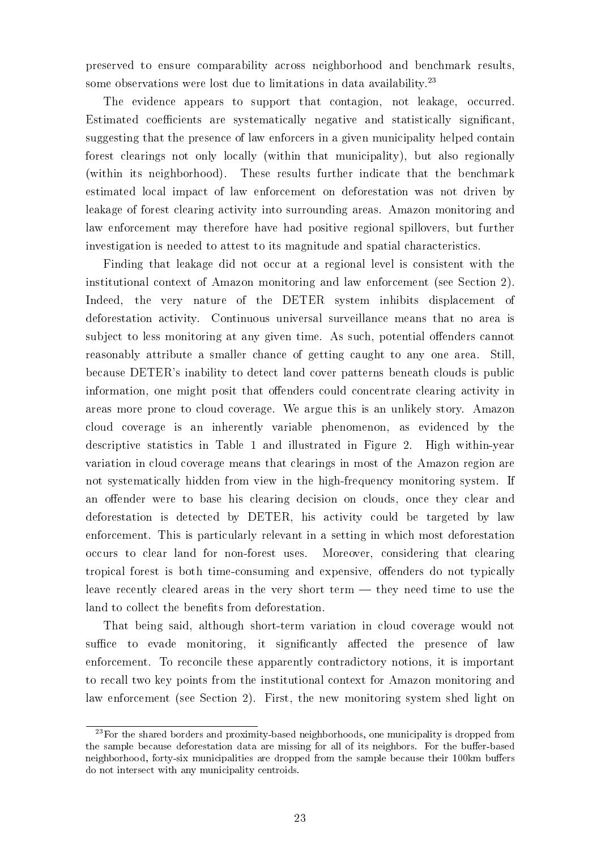preserved to ensure comparability across neighborhood and benchmark results, some observations were lost due to limitations in data availability. $2<sup>3</sup>$ 

The evidence appears to support that contagion, not leakage, occurred. Estimated coefficients are systematically negative and statistically significant, suggesting that the presence of law enforcers in a given municipality helped contain forest clearings not only locally (within that municipality), but also regionally (within its neighborhood). These results further indicate that the benchmark estimated local impact of law enforcement on deforestation was not driven by leakage of forest clearing activity into surrounding areas. Amazon monitoring and law enforcement may therefore have had positive regional spillovers, but further investigation is needed to attest to its magnitude and spatial characteristics.

Finding that leakage did not occur at a regional level is consistent with the institutional context of Amazon monitoring and law enforcement (see Section 2). Indeed, the very nature of the DETER system inhibits displacement of deforestation activity. Continuous universal surveillance means that no area is subject to less monitoring at any given time. As such, potential offenders cannot reasonably attribute a smaller chance of getting caught to any one area. Still, because DETER's inability to detect land cover patterns beneath clouds is public information, one might posit that offenders could concentrate clearing activity in areas more prone to cloud coverage. We argue this is an unlikely story. Amazon cloud coverage is an inherently variable phenomenon, as evidenced by the descriptive statistics in Table 1 and illustrated in Figure 2. High within-year variation in cloud coverage means that clearings in most of the Amazon region are not systematically hidden from view in the high-frequency monitoring system. If an offender were to base his clearing decision on clouds, once they clear and deforestation is detected by DETER, his activity could be targeted by law enforcement. This is particularly relevant in a setting in which most deforestation occurs to clear land for non-forest uses. Moreover, considering that clearing tropical forest is both time-consuming and expensive, offenders do not typically leave recently cleared areas in the very short term  $-$  they need time to use the land to collect the benefits from deforestation.

That being said, although short-term variation in cloud coverage would not suffice to evade monitoring, it significantly affected the presence of law enforcement. To reconcile these apparently contradictory notions, it is important to recall two key points from the institutional context for Amazon monitoring and law enforcement (see Section 2). First, the new monitoring system shed light on

<sup>&</sup>lt;sup>23</sup>For the shared borders and proximity-based neighborhoods, one municipality is dropped from the sample because deforestation data are missing for all of its neighbors. For the buffer-based neighborhood, forty-six municipalities are dropped from the sample because their 100km buffers do not intersect with any municipality centroids.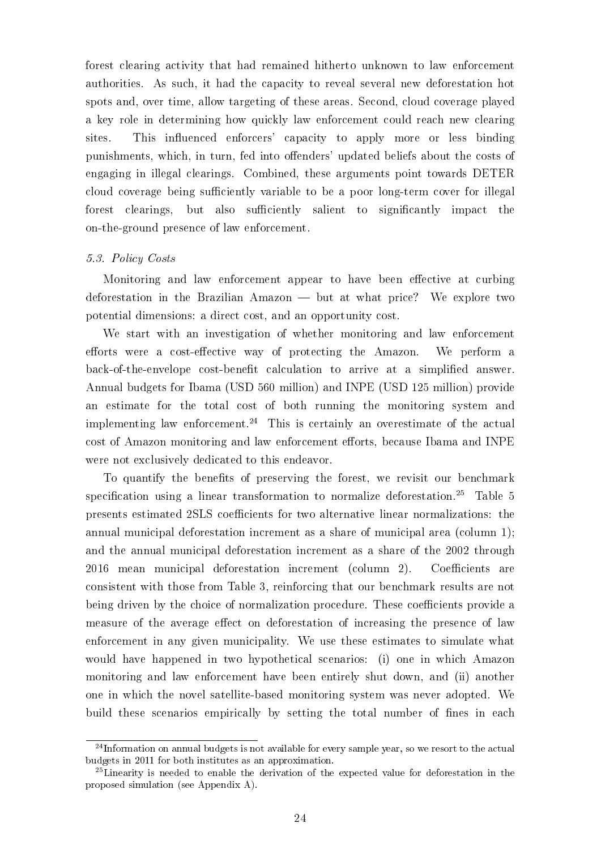forest clearing activity that had remained hitherto unknown to law enforcement authorities. As such, it had the capacity to reveal several new deforestation hot spots and, over time, allow targeting of these areas. Second, cloud coverage played a key role in determining how quickly law enforcement could reach new clearing sites. This influenced enforcers' capacity to apply more or less binding punishments, which, in turn, fed into offenders' updated beliefs about the costs of engaging in illegal clearings. Combined, these arguments point towards DETER cloud coverage being sufficiently variable to be a poor long-term cover for illegal forest clearings, but also sufficiently salient to significantly impact the on-the-ground presence of law enforcement.

# 5.3. Policy Costs

Monitoring and law enforcement appear to have been effective at curbing deforestation in the Brazilian Amazon  $-$  but at what price? We explore two potential dimensions: a direct cost, and an opportunity cost.

We start with an investigation of whether monitoring and law enforcement efforts were a cost-effective way of protecting the Amazon. We perform a back-of-the-envelope cost-benefit calculation to arrive at a simplified answer. Annual budgets for Ibama (USD 560 million) and INPE (USD 125 million) provide an estimate for the total cost of both running the monitoring system and implementing law enforcement.<sup>24</sup> This is certainly an overestimate of the actual cost of Amazon monitoring and law enforcement efforts, because Ibama and INPE were not exclusively dedicated to this endeavor.

To quantify the benefits of preserving the forest, we revisit our benchmark specification using a linear transformation to normalize deforestation.<sup>25</sup> Table 5 presents estimated 2SLS coefficients for two alternative linear normalizations: the annual municipal deforestation increment as a share of municipal area (column 1); and the annual municipal deforestation increment as a share of the 2002 through 2016 mean municipal deforestation increment (column 2). Coefficients are consistent with those from Table 3, reinforcing that our benchmark results are not being driven by the choice of normalization procedure. These coefficients provide a measure of the average effect on deforestation of increasing the presence of law enforcement in any given municipality. We use these estimates to simulate what would have happened in two hypothetical scenarios: (i) one in which Amazon monitoring and law enforcement have been entirely shut down, and (ii) another one in which the novel satellite-based monitoring system was never adopted. We build these scenarios empirically by setting the total number of fines in each

<sup>&</sup>lt;sup>24</sup>Information on annual budgets is not available for every sample year, so we resort to the actual budgets in 2011 for both institutes as an approximation.

<sup>25</sup>Linearity is needed to enable the derivation of the expected value for deforestation in the proposed simulation (see Appendix A).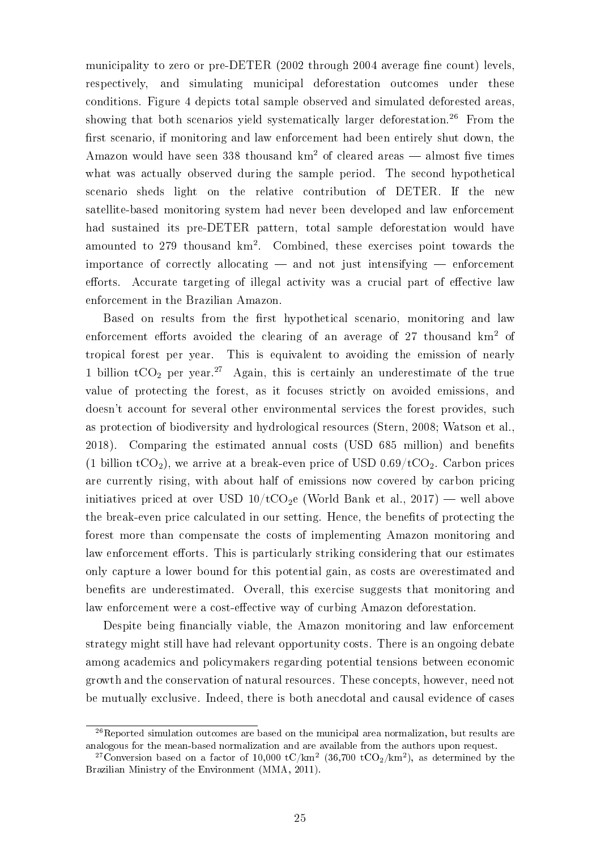municipality to zero or pre-DETER  $(2002 \text{ through } 2004 \text{ average fine count})$  levels, respectively, and simulating municipal deforestation outcomes under these conditions. Figure 4 depicts total sample observed and simulated deforested areas, showing that both scenarios yield systematically larger deforestation.<sup>26</sup> From the first scenario, if monitoring and law enforcement had been entirely shut down, the Amazon would have seen 338 thousand  $km^2$  of cleared areas  $-$  almost five times what was actually observed during the sample period. The second hypothetical scenario sheds light on the relative contribution of DETER. If the new satellite-based monitoring system had never been developed and law enforcement had sustained its pre-DETER pattern, total sample deforestation would have amounted to 279 thousand km<sup>2</sup>. Combined, these exercises point towards the importance of correctly allocating  $-$  and not just intensifying  $-$  enforcement efforts. Accurate targeting of illegal activity was a crucial part of effective law enforcement in the Brazilian Amazon.

Based on results from the first hypothetical scenario, monitoring and law enforcement efforts avoided the clearing of an average of 27 thousand  $km^2$  of tropical forest per year. This is equivalent to avoiding the emission of nearly 1 billion  $tCO_2$  per year.<sup>27</sup> Again, this is certainly an underestimate of the true value of protecting the forest, as it focuses strictly on avoided emissions, and doesn't account for several other environmental services the forest provides, such as protection of biodiversity and hydrological resources (Stern, 2008; Watson et al., 2018). Comparing the estimated annual costs (USD 685 million) and benets (1 billion  $tCO<sub>2</sub>$ ), we arrive at a break-even price of USD 0.69/ $tCO<sub>2</sub>$ . Carbon prices are currently rising, with about half of emissions now covered by carbon pricing initiatives priced at over USD  $10/tCO<sub>2</sub>e$  (World Bank et al., 2017) — well above the break-even price calculated in our setting. Hence, the benets of protecting the forest more than compensate the costs of implementing Amazon monitoring and law enforcement efforts. This is particularly striking considering that our estimates only capture a lower bound for this potential gain, as costs are overestimated and benefits are underestimated. Overall, this exercise suggests that monitoring and law enforcement were a cost-effective way of curbing Amazon deforestation.

Despite being financially viable, the Amazon monitoring and law enforcement strategy might still have had relevant opportunity costs. There is an ongoing debate among academics and policymakers regarding potential tensions between economic growth and the conservation of natural resources. These concepts, however, need not be mutually exclusive. Indeed, there is both anecdotal and causal evidence of cases

 $26$ Reported simulation outcomes are based on the municipal area normalization, but results are analogous for the mean-based normalization and are available from the authors upon request.

<sup>&</sup>lt;sup>27</sup>Conversion based on a factor of 10,000 tC/km<sup>2</sup> (36,700 tCO<sub>2</sub>/km<sup>2</sup>), as determined by the Brazilian Ministry of the Environment (MMA, 2011).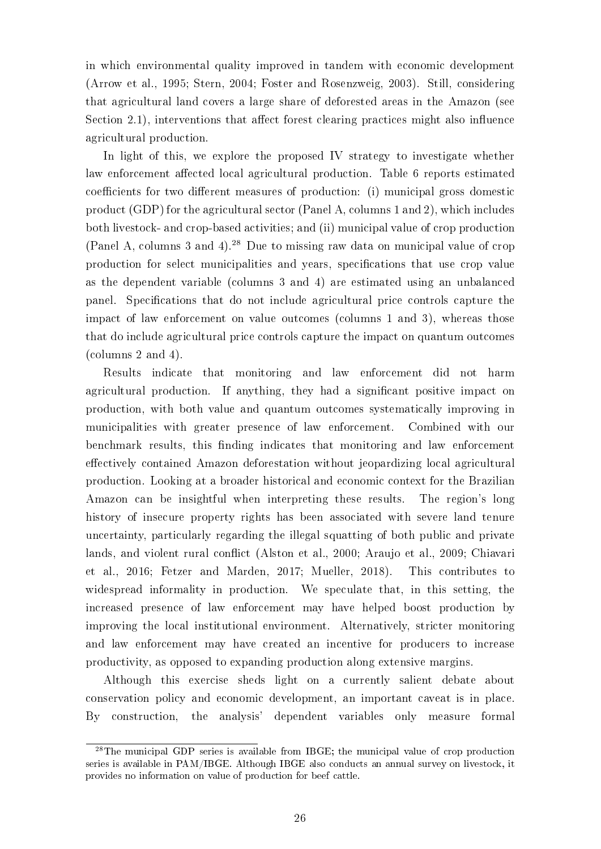in which environmental quality improved in tandem with economic development (Arrow et al., 1995; Stern, 2004; Foster and Rosenzweig, 2003). Still, considering that agricultural land covers a large share of deforested areas in the Amazon (see Section 2.1), interventions that affect forest clearing practices might also influence agricultural production.

In light of this, we explore the proposed IV strategy to investigate whether law enforcement affected local agricultural production. Table 6 reports estimated coefficients for two different measures of production: (i) municipal gross domestic product (GDP) for the agricultural sector (Panel A, columns 1 and 2), which includes both livestock- and crop-based activities; and (ii) municipal value of crop production (Panel A, columns 3 and 4).<sup>28</sup> Due to missing raw data on municipal value of crop production for select municipalities and years, specifications that use crop value as the dependent variable (columns 3 and 4) are estimated using an unbalanced panel. Specifications that do not include agricultural price controls capture the impact of law enforcement on value outcomes (columns 1 and 3), whereas those that do include agricultural price controls capture the impact on quantum outcomes (columns 2 and 4).

Results indicate that monitoring and law enforcement did not harm agricultural production. If anything, they had a signicant positive impact on production, with both value and quantum outcomes systematically improving in municipalities with greater presence of law enforcement. Combined with our benchmark results, this finding indicates that monitoring and law enforcement effectively contained Amazon deforestation without jeopardizing local agricultural production. Looking at a broader historical and economic context for the Brazilian Amazon can be insightful when interpreting these results. The region's long history of insecure property rights has been associated with severe land tenure uncertainty, particularly regarding the illegal squatting of both public and private lands, and violent rural conflict (Alston et al., 2000; Araujo et al., 2009; Chiavari et al., 2016; Fetzer and Marden, 2017; Mueller, 2018). This contributes to widespread informality in production. We speculate that, in this setting, the increased presence of law enforcement may have helped boost production by improving the local institutional environment. Alternatively, stricter monitoring and law enforcement may have created an incentive for producers to increase productivity, as opposed to expanding production along extensive margins.

Although this exercise sheds light on a currently salient debate about conservation policy and economic development, an important caveat is in place. By construction, the analysis' dependent variables only measure formal

<sup>&</sup>lt;sup>28</sup>The municipal GDP series is available from IBGE; the municipal value of crop production series is available in PAM/IBGE. Although IBGE also conducts an annual survey on livestock, it provides no information on value of production for beef cattle.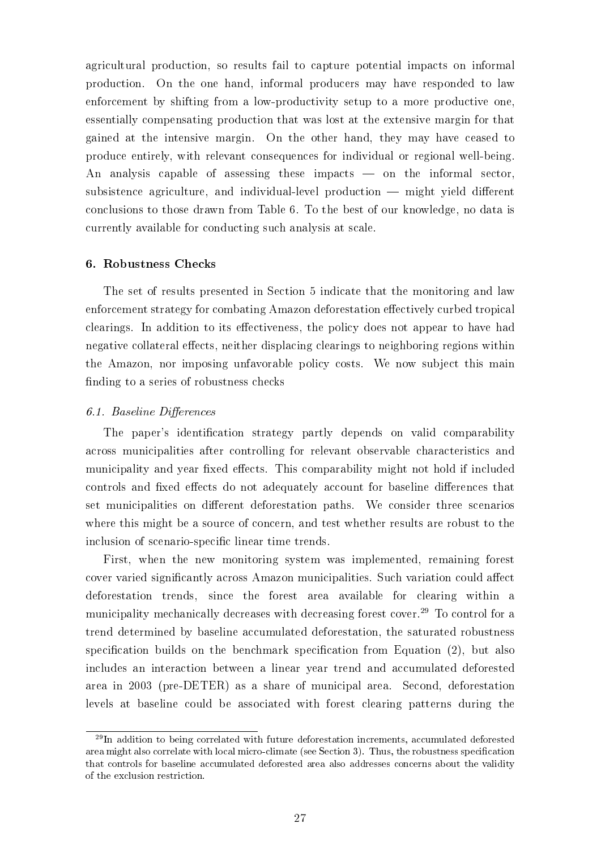agricultural production, so results fail to capture potential impacts on informal production. On the one hand, informal producers may have responded to law enforcement by shifting from a low-productivity setup to a more productive one, essentially compensating production that was lost at the extensive margin for that gained at the intensive margin. On the other hand, they may have ceased to produce entirely, with relevant consequences for individual or regional well-being. An analysis capable of assessing these impacts  $\sim$  on the informal sector, subsistence agriculture, and individual-level production  $-$  might yield different conclusions to those drawn from Table 6. To the best of our knowledge, no data is currently available for conducting such analysis at scale.

# 6. Robustness Checks

The set of results presented in Section 5 indicate that the monitoring and law enforcement strategy for combating Amazon deforestation effectively curbed tropical clearings. In addition to its effectiveness, the policy does not appear to have had negative collateral effects, neither displacing clearings to neighboring regions within the Amazon, nor imposing unfavorable policy costs. We now subject this main finding to a series of robustness checks

# 6.1. Baseline Differences

The paper's identification strategy partly depends on valid comparability across municipalities after controlling for relevant observable characteristics and municipality and year fixed effects. This comparability might not hold if included controls and fixed effects do not adequately account for baseline differences that set municipalities on different deforestation paths. We consider three scenarios where this might be a source of concern, and test whether results are robust to the inclusion of scenario-specific linear time trends.

First, when the new monitoring system was implemented, remaining forest cover varied significantly across Amazon municipalities. Such variation could affect deforestation trends, since the forest area available for clearing within a municipality mechanically decreases with decreasing forest cover.<sup>29</sup> To control for a trend determined by baseline accumulated deforestation, the saturated robustness specification builds on the benchmark specification from Equation  $(2)$ , but also includes an interaction between a linear year trend and accumulated deforested area in 2003 (pre-DETER) as a share of municipal area. Second, deforestation levels at baseline could be associated with forest clearing patterns during the

 $29$ In addition to being correlated with future deforestation increments, accumulated deforested area might also correlate with local micro-climate (see Section 3). Thus, the robustness specification that controls for baseline accumulated deforested area also addresses concerns about the validity of the exclusion restriction.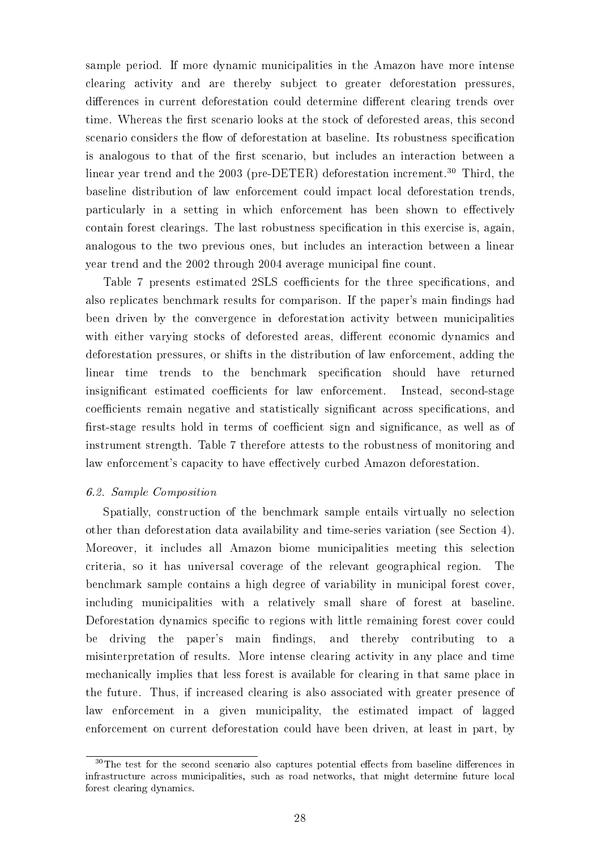sample period. If more dynamic municipalities in the Amazon have more intense clearing activity and are thereby subject to greater deforestation pressures, differences in current deforestation could determine different clearing trends over time. Whereas the first scenario looks at the stock of deforested areas, this second scenario considers the flow of deforestation at baseline. Its robustness specification is analogous to that of the first scenario, but includes an interaction between a linear year trend and the 2003 (pre-DETER) deforestation increment.<sup>30</sup> Third, the baseline distribution of law enforcement could impact local deforestation trends, particularly in a setting in which enforcement has been shown to effectively contain forest clearings. The last robustness specification in this exercise is, again, analogous to the two previous ones, but includes an interaction between a linear year trend and the 2002 through 2004 average municipal fine count.

Table 7 presents estimated 2SLS coefficients for the three specifications, and also replicates benchmark results for comparison. If the paper's main findings had been driven by the convergence in deforestation activity between municipalities with either varying stocks of deforested areas, different economic dynamics and deforestation pressures, or shifts in the distribution of law enforcement, adding the linear time trends to the benchmark specification should have returned insignificant estimated coefficients for law enforcement. Instead, second-stage coefficients remain negative and statistically significant across specifications, and first-stage results hold in terms of coefficient sign and significance, as well as of instrument strength. Table 7 therefore attests to the robustness of monitoring and law enforcement's capacity to have effectively curbed Amazon deforestation.

# 6.2. Sample Composition

Spatially, construction of the benchmark sample entails virtually no selection other than deforestation data availability and time-series variation (see Section 4). Moreover, it includes all Amazon biome municipalities meeting this selection criteria, so it has universal coverage of the relevant geographical region. The benchmark sample contains a high degree of variability in municipal forest cover, including municipalities with a relatively small share of forest at baseline. Deforestation dynamics specific to regions with little remaining forest cover could be driving the paper's main findings, and thereby contributing to a misinterpretation of results. More intense clearing activity in any place and time mechanically implies that less forest is available for clearing in that same place in the future. Thus, if increased clearing is also associated with greater presence of law enforcement in a given municipality, the estimated impact of lagged enforcement on current deforestation could have been driven, at least in part, by

 $30$ The test for the second scenario also captures potential effects from baseline differences in infrastructure across municipalities, such as road networks, that might determine future local forest clearing dynamics.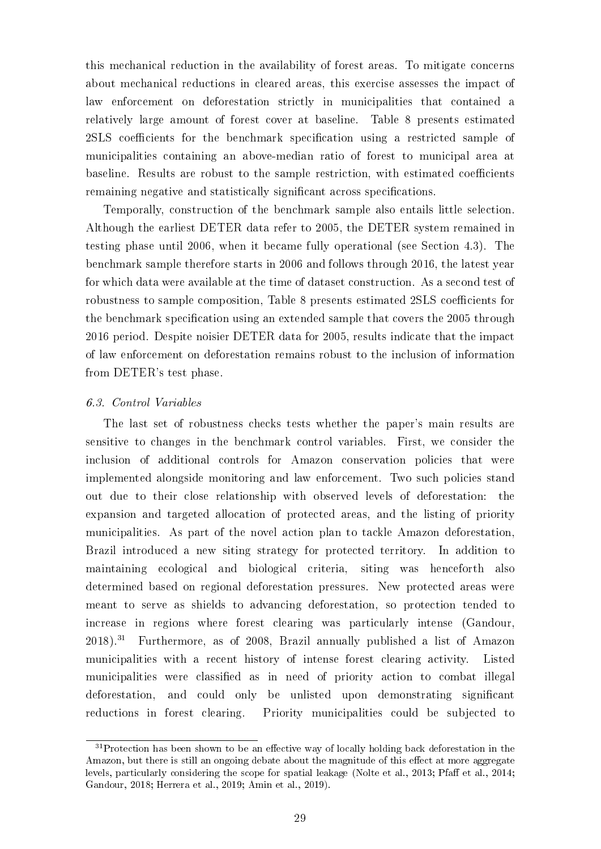this mechanical reduction in the availability of forest areas. To mitigate concerns about mechanical reductions in cleared areas, this exercise assesses the impact of law enforcement on deforestation strictly in municipalities that contained a relatively large amount of forest cover at baseline. Table 8 presents estimated 2SLS coefficients for the benchmark specification using a restricted sample of municipalities containing an above-median ratio of forest to municipal area at baseline. Results are robust to the sample restriction, with estimated coefficients remaining negative and statistically significant across specifications.

Temporally, construction of the benchmark sample also entails little selection. Although the earliest DETER data refer to 2005, the DETER system remained in testing phase until 2006, when it became fully operational (see Section 4.3). The benchmark sample therefore starts in 2006 and follows through 2016, the latest year for which data were available at the time of dataset construction. As a second test of robustness to sample composition, Table 8 presents estimated 2SLS coefficients for the benchmark specification using an extended sample that covers the 2005 through 2016 period. Despite noisier DETER data for 2005, results indicate that the impact of law enforcement on deforestation remains robust to the inclusion of information from DETER's test phase.

# 6.3. Control Variables

The last set of robustness checks tests whether the paper's main results are sensitive to changes in the benchmark control variables. First, we consider the inclusion of additional controls for Amazon conservation policies that were implemented alongside monitoring and law enforcement. Two such policies stand out due to their close relationship with observed levels of deforestation: the expansion and targeted allocation of protected areas, and the listing of priority municipalities. As part of the novel action plan to tackle Amazon deforestation, Brazil introduced a new siting strategy for protected territory. In addition to maintaining ecological and biological criteria, siting was henceforth also determined based on regional deforestation pressures. New protected areas were meant to serve as shields to advancing deforestation, so protection tended to increase in regions where forest clearing was particularly intense (Gandour, 2018).<sup>31</sup> Furthermore, as of 2008, Brazil annually published a list of Amazon municipalities with a recent history of intense forest clearing activity. Listed municipalities were classified as in need of priority action to combat illegal deforestation, and could only be unlisted upon demonstrating significant reductions in forest clearing. Priority municipalities could be subjected to

 $31$ Protection has been shown to be an effective way of locally holding back deforestation in the Amazon, but there is still an ongoing debate about the magnitude of this effect at more aggregate levels, particularly considering the scope for spatial leakage (Nolte et al., 2013; Pfaff et al., 2014; Gandour, 2018; Herrera et al., 2019; Amin et al., 2019).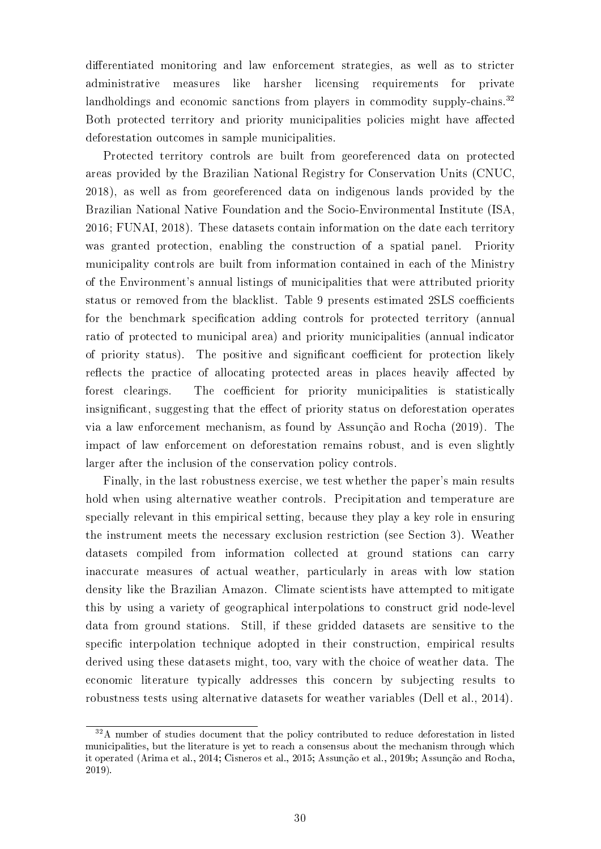differentiated monitoring and law enforcement strategies, as well as to stricter administrative measures like harsher licensing requirements for private landholdings and economic sanctions from players in commodity supply-chains.<sup>32</sup> Both protected territory and priority municipalities policies might have affected deforestation outcomes in sample municipalities.

Protected territory controls are built from georeferenced data on protected areas provided by the Brazilian National Registry for Conservation Units (CNUC, 2018), as well as from georeferenced data on indigenous lands provided by the Brazilian National Native Foundation and the Socio-Environmental Institute (ISA, 2016; FUNAI, 2018). These datasets contain information on the date each territory was granted protection, enabling the construction of a spatial panel. Priority municipality controls are built from information contained in each of the Ministry of the Environment's annual listings of municipalities that were attributed priority status or removed from the blacklist. Table 9 presents estimated 2SLS coefficients for the benchmark specification adding controls for protected territory (annual ratio of protected to municipal area) and priority municipalities (annual indicator of priority status). The positive and significant coefficient for protection likely reflects the practice of allocating protected areas in places heavily affected by forest clearings. The coefficient for priority municipalities is statistically insignificant, suggesting that the effect of priority status on deforestation operates via a law enforcement mechanism, as found by Assunção and Rocha (2019). The impact of law enforcement on deforestation remains robust, and is even slightly larger after the inclusion of the conservation policy controls.

Finally, in the last robustness exercise, we test whether the paper's main results hold when using alternative weather controls. Precipitation and temperature are specially relevant in this empirical setting, because they play a key role in ensuring the instrument meets the necessary exclusion restriction (see Section 3). Weather datasets compiled from information collected at ground stations can carry inaccurate measures of actual weather, particularly in areas with low station density like the Brazilian Amazon. Climate scientists have attempted to mitigate this by using a variety of geographical interpolations to construct grid node-level data from ground stations. Still, if these gridded datasets are sensitive to the specific interpolation technique adopted in their construction, empirical results derived using these datasets might, too, vary with the choice of weather data. The economic literature typically addresses this concern by subjecting results to robustness tests using alternative datasets for weather variables (Dell et al., 2014).

<sup>&</sup>lt;sup>32</sup>A number of studies document that the policy contributed to reduce deforestation in listed municipalities, but the literature is yet to reach a consensus about the mechanism through which it operated (Arima et al., 2014; Cisneros et al., 2015; Assunção et al., 2019b; Assunção and Rocha, 2019).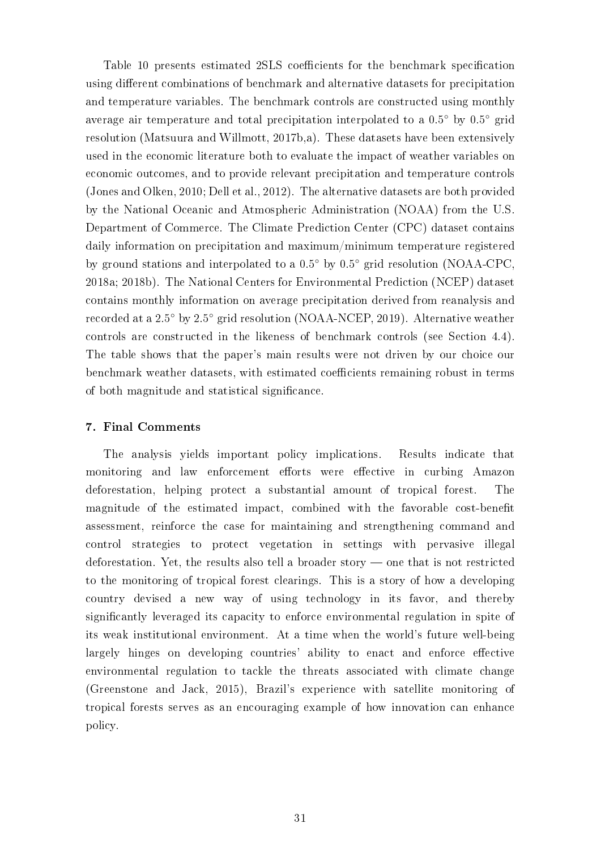Table 10 presents estimated 2SLS coefficients for the benchmark specification using different combinations of benchmark and alternative datasets for precipitation and temperature variables. The benchmark controls are constructed using monthly average air temperature and total precipitation interpolated to a 0.5◦ by 0.5◦ grid resolution (Matsuura and Willmott, 2017b,a). These datasets have been extensively used in the economic literature both to evaluate the impact of weather variables on economic outcomes, and to provide relevant precipitation and temperature controls (Jones and Olken, 2010; Dell et al., 2012). The alternative datasets are both provided by the National Oceanic and Atmospheric Administration (NOAA) from the U.S. Department of Commerce. The Climate Prediction Center (CPC) dataset contains daily information on precipitation and maximum/minimum temperature registered by ground stations and interpolated to a 0.5◦ by 0.5◦ grid resolution (NOAA-CPC, 2018a; 2018b). The National Centers for Environmental Prediction (NCEP) dataset contains monthly information on average precipitation derived from reanalysis and recorded at a 2.5◦ by 2.5◦ grid resolution (NOAA-NCEP, 2019). Alternative weather controls are constructed in the likeness of benchmark controls (see Section 4.4). The table shows that the paper's main results were not driven by our choice our benchmark weather datasets, with estimated coefficients remaining robust in terms of both magnitude and statistical signicance.

# 7. Final Comments

The analysis yields important policy implications. Results indicate that monitoring and law enforcement efforts were effective in curbing Amazon deforestation, helping protect a substantial amount of tropical forest. The magnitude of the estimated impact, combined with the favorable cost-benet assessment, reinforce the case for maintaining and strengthening command and control strategies to protect vegetation in settings with pervasive illegal deforestation. Yet, the results also tell a broader story  $\sim$  one that is not restricted to the monitoring of tropical forest clearings. This is a story of how a developing country devised a new way of using technology in its favor, and thereby signicantly leveraged its capacity to enforce environmental regulation in spite of its weak institutional environment. At a time when the world's future well-being largely hinges on developing countries' ability to enact and enforce effective environmental regulation to tackle the threats associated with climate change (Greenstone and Jack, 2015), Brazil's experience with satellite monitoring of tropical forests serves as an encouraging example of how innovation can enhance policy.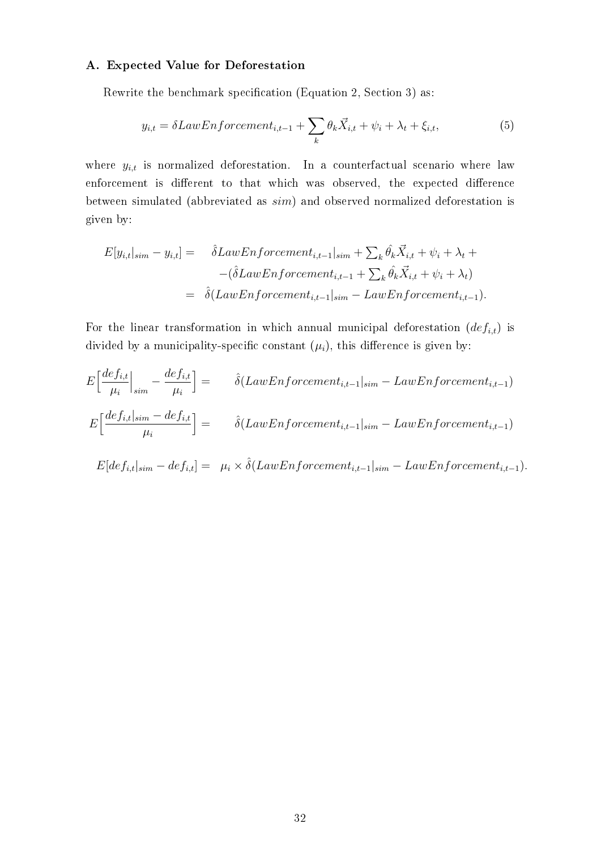# A. Expected Value for Deforestation

Rewrite the benchmark specification (Equation 2, Section 3) as:

$$
y_{i,t} = \delta LawEnforcement_{i,t-1} + \sum_{k} \theta_k \vec{X}_{i,t} + \psi_i + \lambda_t + \xi_{i,t},
$$
\n<sup>(5)</sup>

where  $y_{i,t}$  is normalized deforestation. In a counterfactual scenario where law enforcement is different to that which was observed, the expected difference between simulated (abbreviated as sim) and observed normalized deforestation is given by:

$$
E[y_{i,t}|_{sim} - y_{i,t}] = \hat{\delta}LawEnforcement_{i,t-1}|_{sim} + \sum_{k} \hat{\theta}_{k} \vec{X}_{i,t} + \psi_{i} + \lambda_{t} +
$$

$$
-(\hat{\delta}LawEnforcement_{i,t-1} + \sum_{k} \hat{\theta}_{k} \vec{X}_{i,t} + \psi_{i} + \lambda_{t})
$$

$$
= \hat{\delta}(LawEnforcement_{i,t-1}|_{sim} - LawEnforcement_{i,t-1}).
$$

For the linear transformation in which annual municipal deforestation  $(def_{i,t})$  is divided by a municipality-specific constant  $(\mu_i)$ , this difference is given by:

$$
E\left[\frac{def_{i,t}}{\mu_i}\Big|_{sim} - \frac{def_{i,t}}{\mu_i}\right] = \hat{\delta}(LawEnforcement_{i,t-1}|_{sim} - LawEnforcement_{i,t-1})
$$

$$
E\left[\frac{def_{i,t}|_{sim} - def_{i,t}}{\mu_i}\right] = \hat{\delta}(LawEnforcement_{i,t-1}|_{sim} - LawEnforcement_{i,t-1})
$$

$$
E[def_{i,t}|_{sim}-def_{i,t}]=\mu_i\times \hat{\delta}(LawEnforcement_{i,t-1}|_{sim}-LawEnforcement_{i,t-1}).
$$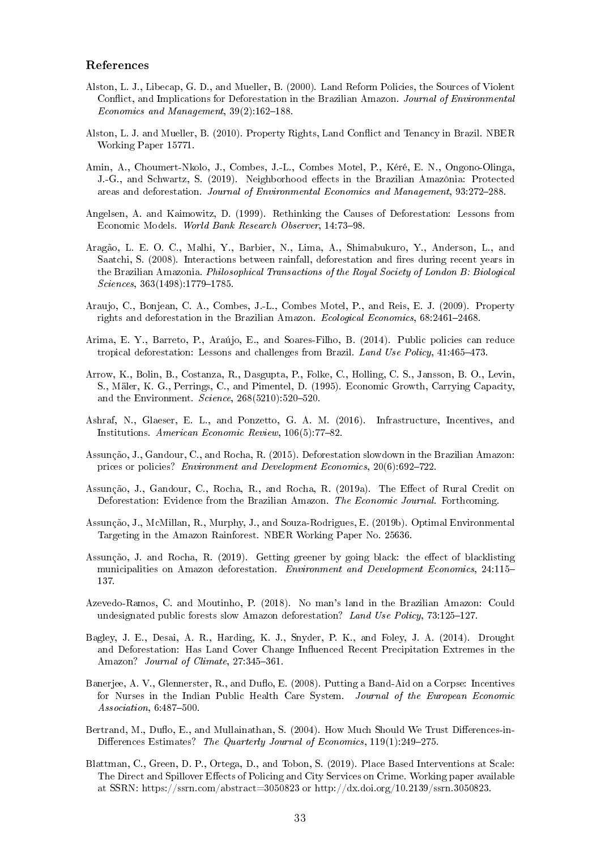#### References

- Alston, L. J., Libecap, G. D., and Mueller, B. (2000). Land Reform Policies, the Sources of Violent Conflict, and Implications for Deforestation in the Brazilian Amazon. Journal of Environmental Economics and Management,  $39(2):162-188$ .
- Alston, L. J. and Mueller, B. (2010). Property Rights, Land Conflict and Tenancy in Brazil. NBER Working Paper 15771.
- Amin, A., Choumert-Nkolo, J., Combes, J.-L., Combes Motel, P., Kéré, E. N., Ongono-Olinga, J.-G., and Schwartz, S. (2019). Neighborhood effects in the Brazilian Amazônia: Protected areas and deforestation. Journal of Environmental Economics and Management, 93:272-288.
- Angelsen, A. and Kaimowitz, D. (1999). Rethinking the Causes of Deforestation: Lessons from Economic Models. World Bank Research Observer, 14:73-98.
- Aragão, L. E. O. C., Malhi, Y., Barbier, N., Lima, A., Shimabukuro, Y., Anderson, L., and Saatchi, S. (2008). Interactions between rainfall, deforestation and fires during recent years in the Brazilian Amazonia. Philosophical Transactions of the Royal Society of London B: Biological  $Sciences, 363(1498):1779-1785.$
- Araujo, C., Bonjean, C. A., Combes, J.-L., Combes Motel, P., and Reis, E. J. (2009). Property rights and deforestation in the Brazilian Amazon. Ecological Economics,  $68:2461-2468$ .
- Arima, E. Y., Barreto, P., Araújo, E., and Soares-Filho, B. (2014). Public policies can reduce tropical deforestation: Lessons and challenges from Brazil. Land Use Policy,  $41:465-473$ .
- Arrow, K., Bolin, B., Costanza, R., Dasgupta, P., Folke, C., Holling, C. S., Jansson, B. O., Levin, S., Mäler, K. G., Perrings, C., and Pimentel, D. (1995). Economic Growth, Carrying Capacity, and the Environment. Science,  $268(5210):520-520$ .
- Ashraf, N., Glaeser, E. L., and Ponzetto, G. A. M. (2016). Infrastructure, Incentives, and Institutions. American Economic Review,  $106(5)$ : 77-82.
- Assunção, J., Gandour, C., and Rocha, R. (2015). Deforestation slowdown in the Brazilian Amazon: prices or policies? Environment and Development Economics, 20(6):692-722.
- Assunção, J., Gandour, C., Rocha, R., and Rocha, R. (2019a). The Effect of Rural Credit on Deforestation: Evidence from the Brazilian Amazon. The Economic Journal. Forthcoming.
- Assunção, J., McMillan, R., Murphy, J., and Souza-Rodrigues, E. (2019b). Optimal Environmental Targeting in the Amazon Rainforest. NBER Working Paper No. 25636.
- Assunção, J. and Rocha, R. (2019). Getting greener by going black: the effect of blacklisting municipalities on Amazon deforestation. Environment and Development Economics, 24:115 137.
- Azevedo-Ramos, C. and Moutinho, P. (2018). No man's land in the Brazilian Amazon: Could undesignated public forests slow Amazon deforestation? Land Use Policy, 73:125-127.
- Bagley, J. E., Desai, A. R., Harding, K. J., Snyder, P. K., and Foley, J. A. (2014). Drought and Deforestation: Has Land Cover Change Influenced Recent Precipitation Extremes in the Amazon? Journal of Climate, 27:345-361.
- Banerjee, A. V., Glennerster, R., and Duflo, E. (2008). Putting a Band-Aid on a Corpse: Incentives for Nurses in the Indian Public Health Care System. Journal of the European Economic Association,  $6:487-500$ .
- Bertrand, M., Duflo, E., and Mullainathan, S. (2004). How Much Should We Trust Differences-in-Differences Estimates? The Quarterly Journal of Economics,  $119(1):249-275$ .
- Blattman, C., Green, D. P., Ortega, D., and Tobon, S. (2019). Place Based Interventions at Scale: The Direct and Spillover Effects of Policing and City Services on Crime. Working paper available at SSRN: https://ssrn.com/abstract=3050823 or http://dx.doi.org/10.2139/ssrn.3050823.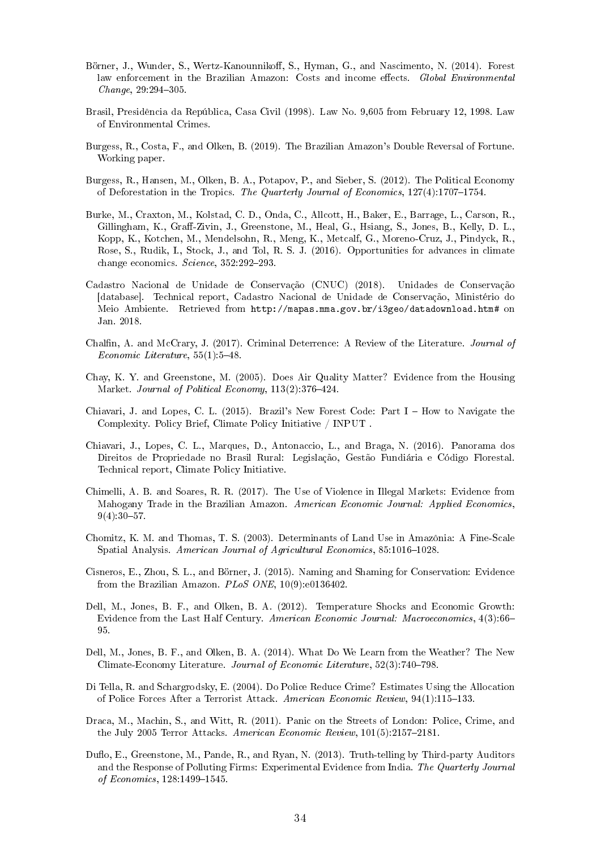- Börner, J., Wunder, S., Wertz-Kanounnikoff, S., Hyman, G., and Nascimento, N. (2014). Forest law enforcement in the Brazilian Amazon: Costs and income effects. Global Environmental  $Change, 29:294-305.$
- Brasil, Presidência da República, Casa Civil (1998). Law No. 9,605 from February 12, 1998. Law of Environmental Crimes.
- Burgess, R., Costa, F., and Olken, B. (2019). The Brazilian Amazon's Double Reversal of Fortune. Working paper.
- Burgess, R., Hansen, M., Olken, B. A., Potapov, P., and Sieber, S. (2012). The Political Economy of Deforestation in the Tropics. The Quarterly Journal of Economics,  $127(4):1707-1754$ .
- Burke, M., Craxton, M., Kolstad, C. D., Onda, C., Allcott, H., Baker, E., Barrage, L., Carson, R., Gillingham, K., Graff-Zivin, J., Greenstone, M., Heal, G., Hsiang, S., Jones, B., Kelly, D. L., Kopp, K., Kotchen, M., Mendelsohn, R., Meng, K., Metcalf, G., Moreno-Cruz, J., Pindyck, R., Rose, S., Rudik, I., Stock, J., and Tol, R. S. J. (2016). Opportunities for advances in climate change economics. Science,  $352:292-293$ .
- Cadastro Nacional de Unidade de Conservação (CNUC) (2018). Unidades de Conservação [database]. Technical report, Cadastro Nacional de Unidade de Conservação, Ministério do Meio Ambiente. Retrieved from http://mapas.mma.gov.br/i3geo/datadownload.htm# on Jan. 2018.
- Chalfin, A. and McCrary, J. (2017). Criminal Deterrence: A Review of the Literature. Journal of Economic Literature,  $55(1):5-48$ .
- Chay, K. Y. and Greenstone, M. (2005). Does Air Quality Matter? Evidence from the Housing Market. Journal of Political Economy,  $113(2)$ :376-424.
- Chiavari, J. and Lopes, C. L. (2015). Brazil's New Forest Code: Part  $I How$  to Navigate the Complexity. Policy Brief, Climate Policy Initiative / INPUT .
- Chiavari, J., Lopes, C. L., Marques, D., Antonaccio, L., and Braga, N. (2016). Panorama dos Direitos de Propriedade no Brasil Rural: Legislação, Gestão Fundiária e Código Florestal. Technical report, Climate Policy Initiative.
- Chimelli, A. B. and Soares, R. R. (2017). The Use of Violence in Illegal Markets: Evidence from Mahogany Trade in the Brazilian Amazon. American Economic Journal: Applied Economics,  $9(4):30-57.$
- Chomitz, K. M. and Thomas, T. S. (2003). Determinants of Land Use in Amazônia: A Fine-Scale Spatial Analysis. American Journal of Agricultural Economics, 85:1016-1028.
- Cisneros, E., Zhou, S. L., and Börner, J. (2015). Naming and Shaming for Conservation: Evidence from the Brazilian Amazon. PLoS ONE, 10(9):e0136402.
- Dell, M., Jones, B. F., and Olken, B. A. (2012). Temperature Shocks and Economic Growth: Evidence from the Last Half Century. American Economic Journal: Macroeconomics, 4(3):66 95.
- Dell, M., Jones, B. F., and Olken, B. A. (2014). What Do We Learn from the Weather? The New Climate-Economy Literature. Journal of Economic Literature, 52(3):740–798.
- Di Tella, R. and Schargrodsky, E. (2004). Do Police Reduce Crime? Estimates Using the Allocation of Police Forces After a Terrorist Attack. American Economic Review, 94(1):115-133.
- Draca, M., Machin, S., and Witt, R. (2011). Panic on the Streets of London: Police, Crime, and the July 2005 Terror Attacks. American Economic Review,  $101(5):2157-2181$ .
- Duflo, E., Greenstone, M., Pande, R., and Ryan, N. (2013). Truth-telling by Third-party Auditors and the Response of Polluting Firms: Experimental Evidence from India. The Quarterly Journal of Economics, 128:1499-1545.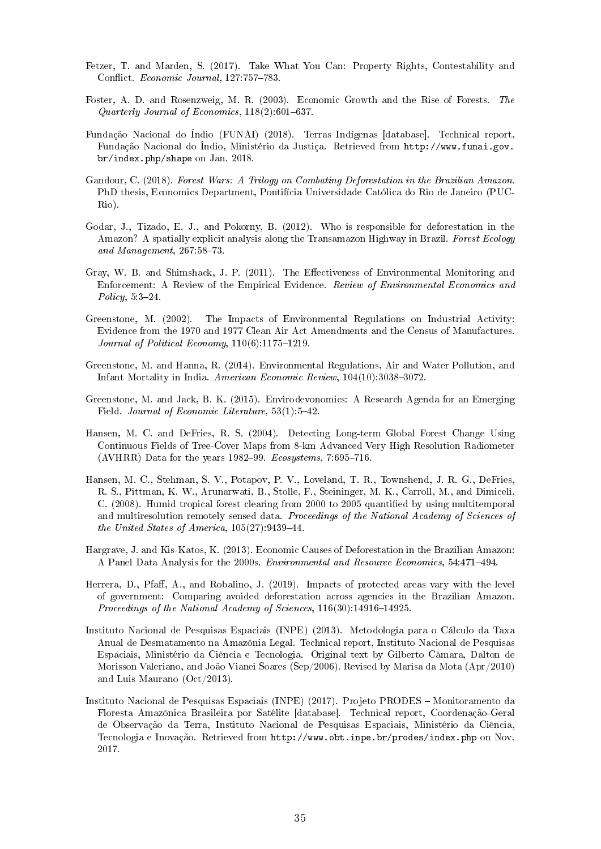- Fetzer, T. and Marden, S. (2017). Take What You Can: Property Rights, Contestability and Conflict. Economic Journal, 127:757-783.
- Foster, A. D. and Rosenzweig, M. R. (2003). Economic Growth and the Rise of Forests. The Quarterly Journal of Economics,  $118(2):601-637$ .
- Fundação Nacional do Índio (FUNAI) (2018). Terras Indígenas [database]. Technical report, Fundação Nacional do Índio, Ministério da Justiça. Retrieved from http://www.funai.gov. br/index.php/shape on Jan. 2018.
- Gandour, C. (2018). Forest Wars: A Trilogy on Combating Deforestation in the Brazilian Amazon. PhD thesis, Economics Department, Pontifícia Universidade Católica do Rio de Janeiro (PUC-Rio).
- Godar, J., Tizado, E. J., and Pokorny, B. (2012). Who is responsible for deforestation in the Amazon? A spatially explicit analysis along the Transamazon Highway in Brazil. Forest Ecology and Management,  $267:58-73$ .
- Gray, W. B. and Shimshack, J. P. (2011). The Effectiveness of Environmental Monitoring and Enforcement: A Review of the Empirical Evidence. Review of Environmental Economics and Policy,  $5:3-24$ .
- Greenstone, M. (2002). The Impacts of Environmental Regulations on Industrial Activity: Evidence from the 1970 and 1977 Clean Air Act Amendments and the Census of Manufactures. Journal of Political Economy,  $110(6)$ :1175-1219.
- Greenstone, M. and Hanna, R. (2014). Environmental Regulations, Air and Water Pollution, and Infant Mortality in India. American Economic Review,  $104(10):3038-3072$ .
- Greenstone, M. and Jack, B. K. (2015). Envirodevonomics: A Research Agenda for an Emerging Field. Journal of Economic Literature, 53(1):5-42.
- Hansen, M. C. and DeFries, R. S. (2004). Detecting Long-term Global Forest Change Using Continuous Fields of Tree-Cover Maps from 8-km Advanced Very High Resolution Radiometer (AVHRR) Data for the years 1982–99. Ecosystems, 7:695–716.
- Hansen, M. C., Stehman, S. V., Potapov, P. V., Loveland, T. R., Townshend, J. R. G., DeFries, R. S., Pittman, K. W., Arunarwati, B., Stolle, F., Steininger, M. K., Carroll, M., and Dimiceli, C. (2008). Humid tropical forest clearing from 2000 to 2005 quantified by using multitemporal and multiresolution remotely sensed data. Proceedings of the National Academy of Sciences of the United States of America,  $105(27)$ :9439-44.
- Hargrave, J. and Kis-Katos, K. (2013). Economic Causes of Deforestation in the Brazilian Amazon: A Panel Data Analysis for the 2000s. *Environmental and Resource Economics*, 54:471–494.
- Herrera, D., Pfaff, A., and Robalino, J. (2019). Impacts of protected areas vary with the level of government: Comparing avoided deforestation across agencies in the Brazilian Amazon. Proceedings of the National Academy of Sciences,  $116(30)$ :14916-14925.
- Instituto Nacional de Pesquisas Espaciais (INPE) (2013). Metodologia para o Cálculo da Taxa Anual de Desmatamento na Amazônia Legal. Technical report, Instituto Nacional de Pesquisas Espaciais, Ministério da Ciência e Tecnologia. Original text by Gilberto Câmara, Dalton de Morisson Valeriano, and João Vianei Soares (Sep/2006). Revised by Marisa da Mota (Apr/2010) and Luis Maurano (Oct/2013).
- Instituto Nacional de Pesquisas Espaciais (INPE) (2017). Projeto PRODES Monitoramento da Floresta Amazônica Brasileira por Satélite [database]. Technical report, Coordenação-Geral de Observação da Terra, Instituto Nacional de Pesquisas Espaciais, Ministério da Ciência, Tecnologia e Inovação. Retrieved from http://www.obt.inpe.br/prodes/index.php on Nov. 2017.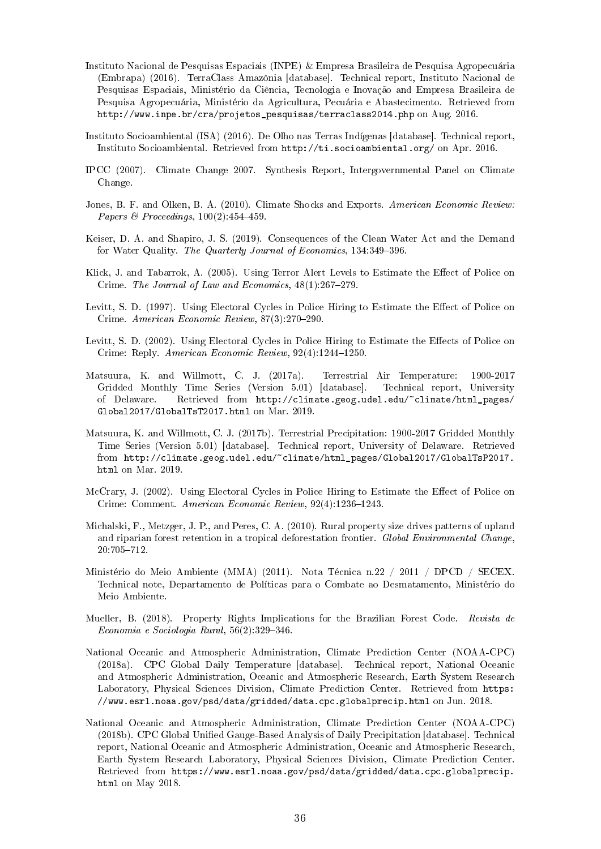- Instituto Nacional de Pesquisas Espaciais (INPE) & Empresa Brasileira de Pesquisa Agropecuária (Embrapa) (2016). TerraClass Amazônia [database]. Technical report, Instituto Nacional de Pesquisas Espaciais, Ministério da Ciência, Tecnologia e Inovação and Empresa Brasileira de Pesquisa Agropecuária, Ministério da Agricultura, Pecuária e Abastecimento. Retrieved from http://www.inpe.br/cra/projetos\_pesquisas/terraclass2014.php on Aug. 2016.
- Instituto Socioambiental (ISA) (2016). De Olho nas Terras Indígenas [database]. Technical report, Instituto Socioambiental. Retrieved from http://ti.socioambiental.org/ on Apr. 2016.
- IPCC (2007). Climate Change 2007. Synthesis Report, Intergovernmental Panel on Climate Change.
- Jones, B. F. and Olken, B. A. (2010). Climate Shocks and Exports. American Economic Review: Papers & Proceedings,  $100(2)$ : 454-459.
- Keiser, D. A. and Shapiro, J. S. (2019). Consequences of the Clean Water Act and the Demand for Water Quality. The Quarterly Journal of Economics, 134:349-396.
- Klick, J. and Tabarrok, A. (2005). Using Terror Alert Levels to Estimate the Effect of Police on Crime. The Journal of Law and Economics,  $48(1):267-279$ .
- Levitt, S. D. (1997). Using Electoral Cycles in Police Hiring to Estimate the Effect of Police on Crime. American Economic Review, 87(3):270-290.
- Levitt, S. D. (2002). Using Electoral Cycles in Police Hiring to Estimate the Effects of Police on Crime: Reply. American Economic Review,  $92(4)$ :1244-1250.
- Matsuura, K. and Willmott, C. J. (2017a). Terrestrial Air Temperature: 1900-2017 Gridded Monthly Time Series (Version 5.01) [database]. Technical report, University of Delaware. Retrieved from http://climate.geog.udel.edu/~climate/html\_pages/ Global2017/GlobalTsT2017.html on Mar. 2019.
- Matsuura, K. and Willmott, C. J. (2017b). Terrestrial Precipitation: 1900-2017 Gridded Monthly Time Series (Version 5.01) [database]. Technical report, University of Delaware. Retrieved from http://climate.geog.udel.edu/~climate/html\_pages/Global2017/GlobalTsP2017. html on Mar. 2019.
- McCrary, J. (2002). Using Electoral Cycles in Police Hiring to Estimate the Effect of Police on Crime: Comment. American Economic Review, 92(4):1236-1243.
- Michalski, F., Metzger, J. P., and Peres, C. A. (2010). Rural property size drives patterns of upland and riparian forest retention in a tropical deforestation frontier. Global Environmental Change, 20:705712.
- Ministério do Meio Ambiente (MMA) (2011). Nota Técnica n.22 / 2011 / DPCD / SECEX. Technical note, Departamento de Políticas para o Combate ao Desmatamento, Ministério do Meio Ambiente.
- Mueller, B. (2018). Property Rights Implications for the Brazilian Forest Code. Revista de  $Economia \, e \, Sociologia \, Rural, \, 56(2):329-346.$
- National Oceanic and Atmospheric Administration, Climate Prediction Center (NOAA-CPC) (2018a). CPC Global Daily Temperature [database]. Technical report, National Oceanic and Atmospheric Administration, Oceanic and Atmospheric Research, Earth System Research Laboratory, Physical Sciences Division, Climate Prediction Center. Retrieved from https: //www.esrl.noaa.gov/psd/data/gridded/data.cpc.globalprecip.html on Jun. 2018.
- National Oceanic and Atmospheric Administration, Climate Prediction Center (NOAA-CPC) (2018b). CPC Global Unied Gauge-Based Analysis of Daily Precipitation [database]. Technical report, National Oceanic and Atmospheric Administration, Oceanic and Atmospheric Research, Earth System Research Laboratory, Physical Sciences Division, Climate Prediction Center. Retrieved from https://www.esrl.noaa.gov/psd/data/gridded/data.cpc.globalprecip. html on May 2018.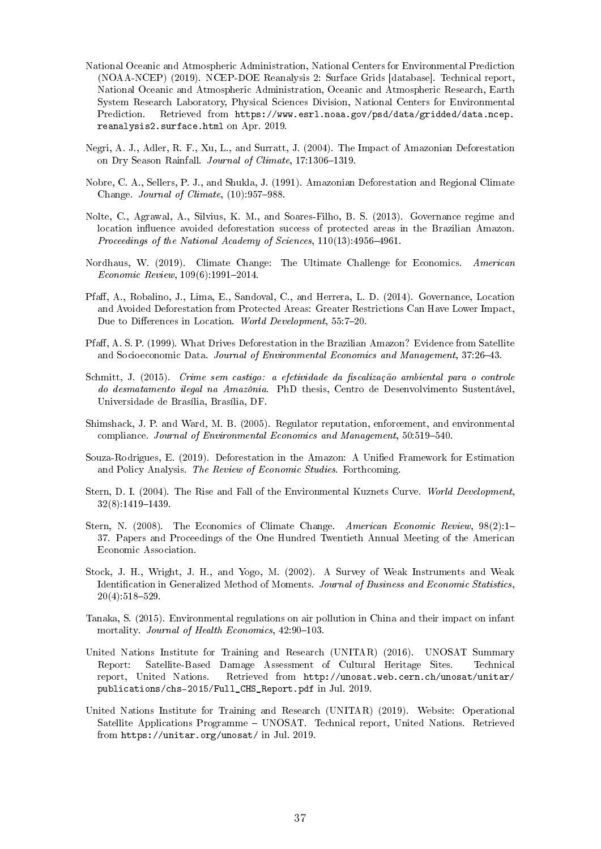- National Oceanic and Atmospheric Administration, National Centers for Environmental Prediction (NOAA-NCEP) (2019). NCEP-DOE Reanalysis 2: Surface Grids [database]. Technical report, National Oceanic and Atmospheric Administration, Oceanic and Atmospheric Research, Earth System Research Laboratory, Physical Sciences Division, National Centers for Environmental Prediction. Retrieved from https://www.esrl.noaa.gov/psd/data/gridded/data.ncep. reanalysis2.surface.html on Apr. 2019.
- Negri, A. J., Adler, R. F., Xu, L., and Surratt, J. (2004). The Impact of Amazonian Deforestation on Dry Season Rainfall. Journal of Climate, 17:1306-1319.
- Nobre, C. A., Sellers, P. J., and Shukla, J. (1991). Amazonian Deforestation and Regional Climate Change. Journal of Climate,  $(10)$ : 957–988.
- Nolte, C., Agrawal, A., Silvius, K. M., and Soares-Filho, B. S. (2013). Governance regime and location influence avoided deforestation success of protected areas in the Brazilian Amazon. Proceedings of the National Academy of Sciences,  $110(13)$ : 4956-4961.
- Nordhaus, W. (2019). Climate Change: The Ultimate Challenge for Economics. American  $Economic Review, 109(6):1991-2014.$
- Pfaff, A., Robalino, J., Lima, E., Sandoval, C., and Herrera, L. D. (2014). Governance, Location and Avoided Deforestation from Protected Areas: Greater Restrictions Can Have Lower Impact, Due to Differences in Location. World Development, 55:7-20.
- Pfaff, A. S. P. (1999). What Drives Deforestation in the Brazilian Amazon? Evidence from Satellite and Socioeconomic Data. Journal of Environmental Economics and Management, 37:26-43.
- Schmitt, J. (2015). Crime sem castigo: a efetividade da fiscalização ambiental para o controle do desmatamento ilegal na Amazônia. PhD thesis, Centro de Desenvolvimento Sustentável, Universidade de Brasília, Brasília, DF.
- Shimshack, J. P. and Ward, M. B. (2005). Regulator reputation, enforcement, and environmental compliance. Journal of Environmental Economics and Management, 50:519-540.
- Souza-Rodrigues, E. (2019). Deforestation in the Amazon: A Unied Framework for Estimation and Policy Analysis. The Review of Economic Studies. Forthcoming.
- Stern, D. I. (2004). The Rise and Fall of the Environmental Kuznets Curve. World Development,  $32(8):1419-1439.$
- Stern, N. (2008). The Economics of Climate Change. American Economic Review, 98(2):1-37. Papers and Proceedings of the One Hundred Twentieth Annual Meeting of the American Economic Association.
- Stock, J. H., Wright, J. H., and Yogo, M. (2002). A Survey of Weak Instruments and Weak Identification in Generalized Method of Moments. Journal of Business and Economic Statistics,  $20(4):518-529.$
- Tanaka, S. (2015). Environmental regulations on air pollution in China and their impact on infant mortality. Journal of Health Economics,  $42:90-103$ .
- United Nations Institute for Training and Research (UNITAR) (2016). UNOSAT Summary Report: Satellite-Based Damage Assessment of Cultural Heritage Sites. Technical report, United Nations. Retrieved from http://unosat.web.cern.ch/unosat/unitar/ publications/chs-2015/Full\_CHS\_Report.pdf in Jul. 2019.
- United Nations Institute for Training and Research (UNITAR) (2019). Website: Operational Satellite Applications Programme – UNOSAT. Technical report, United Nations. Retrieved from https://unitar.org/unosat/ in Jul. 2019.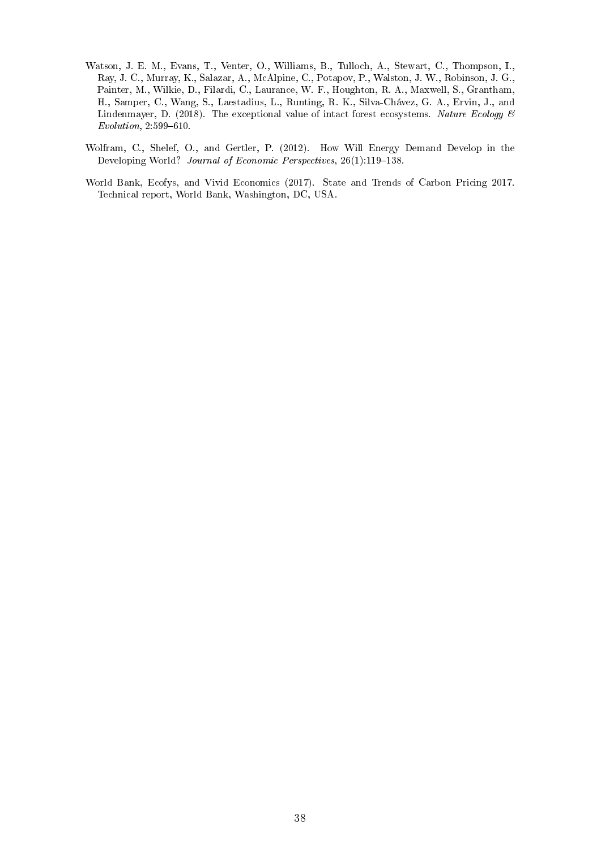- Watson, J. E. M., Evans, T., Venter, O., Williams, B., Tulloch, A., Stewart, C., Thompson, I., Ray, J. C., Murray, K., Salazar, A., McAlpine, C., Potapov, P., Walston, J. W., Robinson, J. G., Painter, M., Wilkie, D., Filardi, C., Laurance, W. F., Houghton, R. A., Maxwell, S., Grantham, H., Samper, C., Wang, S., Laestadius, L., Runting, R. K., Silva-Chávez, G. A., Ervin, J., and Lindenmayer, D. (2018). The exceptional value of intact forest ecosystems. Nature Ecology  $\mathcal{B}$  $Evolution, 2:599–610.$
- Wolfram, C., Shelef, O., and Gertler, P. (2012). How Will Energy Demand Develop in the Developing World? Journal of Economic Perspectives, 26(1):119-138.
- World Bank, Ecofys, and Vivid Economics (2017). State and Trends of Carbon Pricing 2017. Technical report, World Bank, Washington, DC, USA.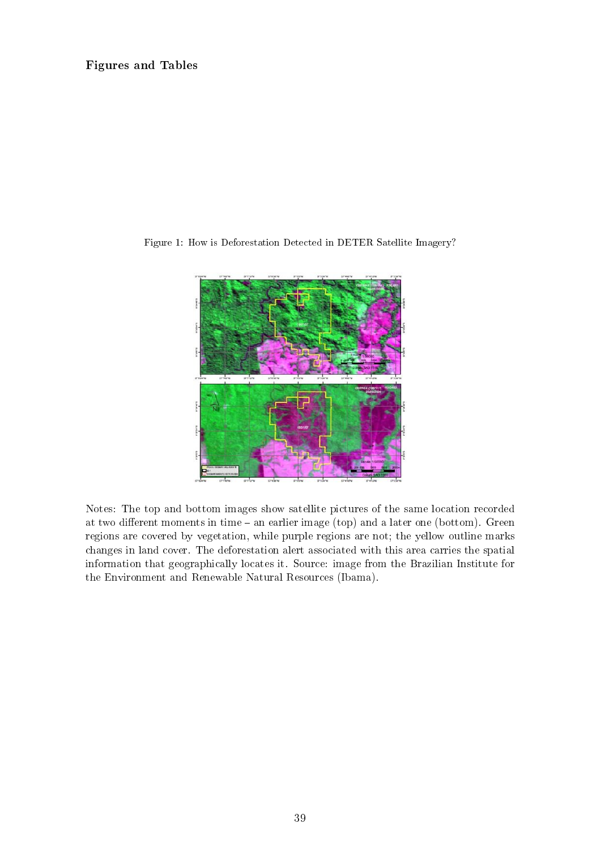# Figures and Tables



Figure 1: How is Deforestation Detected in DETER Satellite Imagery?

Notes: The top and bottom images show satellite pictures of the same location recorded at two different moments in time  $-$  an earlier image (top) and a later one (bottom). Green regions are covered by vegetation, while purple regions are not; the yellow outline marks changes in land cover. The deforestation alert associated with this area carries the spatial information that geographically locates it. Source: image from the Brazilian Institute for the Environment and Renewable Natural Resources (Ibama).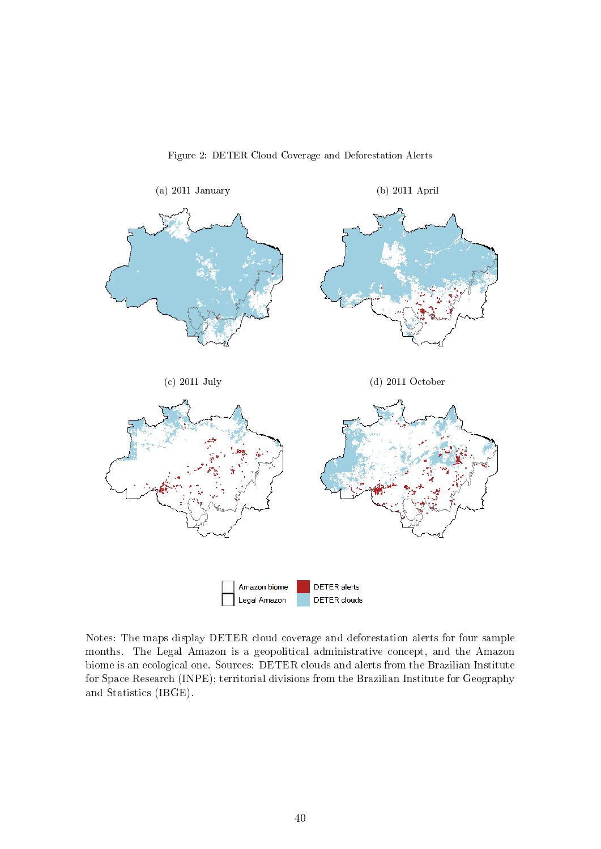

Figure 2: DETER Cloud Coverage and Deforestation Alerts

Notes: The maps display DETER cloud coverage and deforestation alerts for four sample months. The Legal Amazon is a geopolitical administrative concept, and the Amazon biome is an ecological one. Sources: DETER clouds and alerts from the Brazilian Institute for Space Research (INPE); territorial divisions from the Brazilian Institute for Geography and Statistics (IBGE).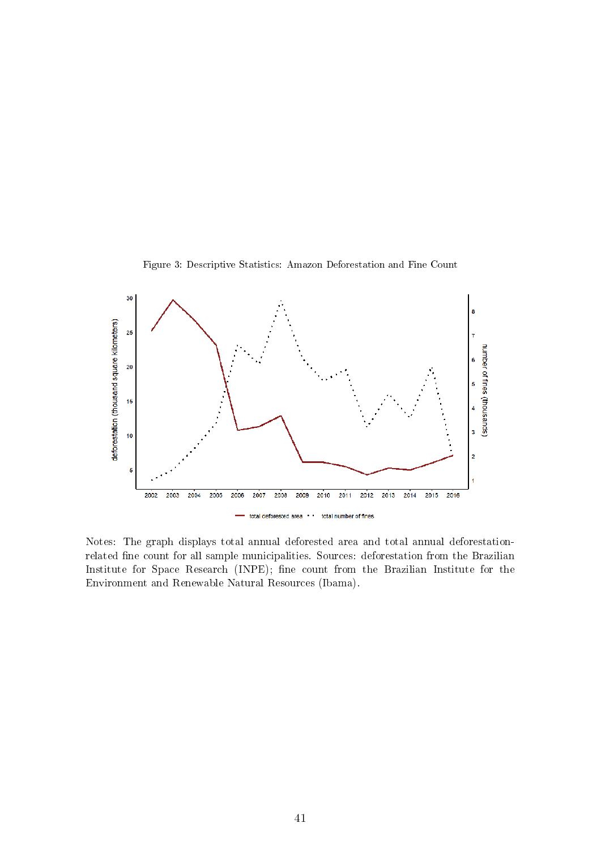



Notes: The graph displays total annual deforested area and total annual deforestationrelated fine count for all sample municipalities. Sources: deforestation from the Brazilian Institute for Space Research (INPE); fine count from the Brazilian Institute for the Environment and Renewable Natural Resources (Ibama).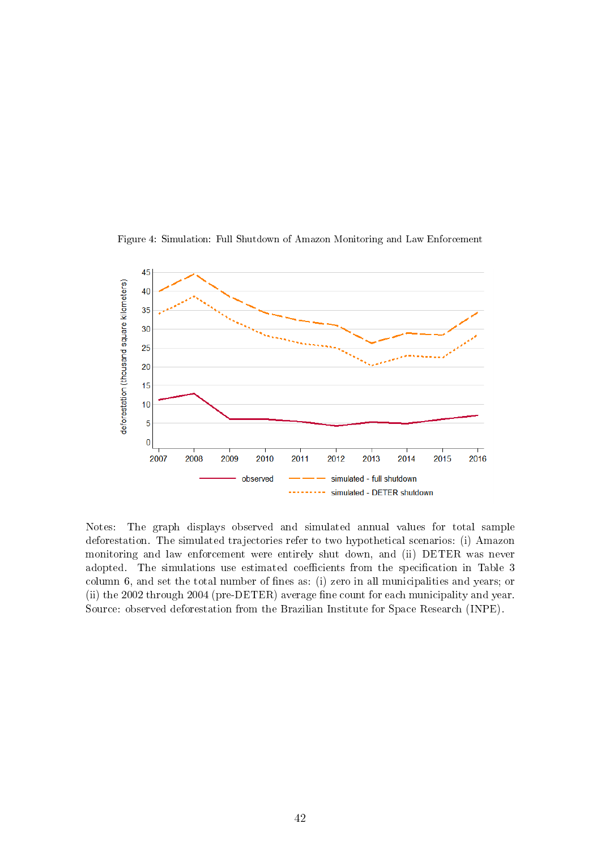

Figure 4: Simulation: Full Shutdown of Amazon Monitoring and Law Enforcement

Notes: The graph displays observed and simulated annual values for total sample deforestation. The simulated trajectories refer to two hypothetical scenarios: (i) Amazon monitoring and law enforcement were entirely shut down, and (ii) DETER was never adopted. The simulations use estimated coefficients from the specification in Table 3 column 6, and set the total number of fines as: (i) zero in all municipalities and years; or (ii) the 2002 through 2004 (pre-DETER) average fine count for each municipality and year. Source: observed deforestation from the Brazilian Institute for Space Research (INPE).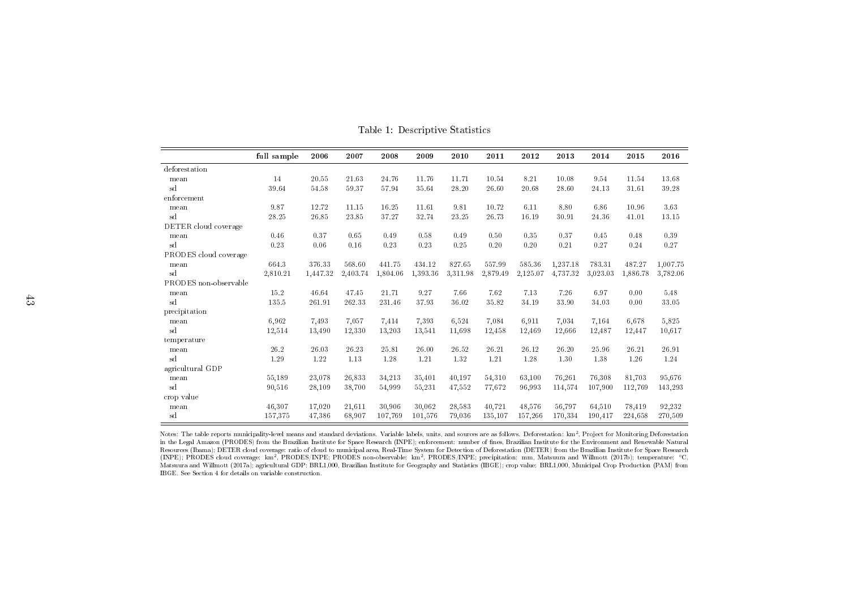|                       | full sample | 2006     | 2007     | 2008     | 2009     | 2010     | 2011     | 2012     | 2013     | 2014     | 2015     | 2016     |
|-----------------------|-------------|----------|----------|----------|----------|----------|----------|----------|----------|----------|----------|----------|
| deforestation         |             |          |          |          |          |          |          |          |          |          |          |          |
| mean                  | 14          | 20.55    | 21.63    | 24.76    | 11.76    | 11.71    | 10.54    | 8.21     | 10.08    | 9.54     | 11.54    | 13.68    |
| sd                    | 39.64       | 54.58    | 59.37    | 57.94    | 35.64    | 28.20    | 26.60    | 20.68    | 28.60    | 24.13    | 31.61    | 39.28    |
| enforcement           |             |          |          |          |          |          |          |          |          |          |          |          |
| mean                  | 9.87        | 12.72    | 11.15    | 16.25    | 11.61    | 9.81     | 10.72    | 6.11     | 8.80     | 6.86     | 10.96    | 3.63     |
| sd                    | 28.25       | 26.85    | 23.85    | 37.27    | 32.74    | 23.25    | 26.73    | 16.19    | 30.91    | 24.36    | 41.01    | 13.15    |
| DETER cloud coverage  |             |          |          |          |          |          |          |          |          |          |          |          |
| mean                  | 0.46        | 0.37     | 0.65     | 0.49     | 0.58     | 0.49     | 0.50     | 0.35     | 0.37     | 0.45     | 0.48     | 0.39     |
| sd                    | 0.23        | 0.06     | 0.16     | 0.23     | 0.23     | 0.25     | 0.20     | 0.20     | 0.21     | 0.27     | 0.24     | 0.27     |
| PRODES cloud coverage |             |          |          |          |          |          |          |          |          |          |          |          |
| mean                  | 664.3       | 376.33   | 568.60   | 441.75   | 434.12   | 827.65   | 557.99   | 585.36   | 1,237.18 | 783.31   | 487.27   | 1,007.75 |
| sd                    | 2,810.21    | 1,447.32 | 2.403.74 | 1.804.06 | 1.393.36 | 3,311.98 | 2,879.49 | 2.125.07 | 4.737.32 | 3.023.03 | 1.886.78 | 3,782.06 |
| PRODES non-observable |             |          |          |          |          |          |          |          |          |          |          |          |
| mean                  | 15.2        | 46.64    | 47.45    | 21.71    | 9.27     | 7.66     | 7.62     | 7.13     | 7.26     | 6.97     | 0.00     | 5.48     |
| sd                    | 135.5       | 261.91   | 262.33   | 231.46   | 37.93    | 36.02    | 35.82    | 34.19    | 33.90    | 34.03    | 0.00     | 33.05    |
| precipitation         |             |          |          |          |          |          |          |          |          |          |          |          |
| mean                  | 6,962       | 7.493    | 7.057    | 7,414    | 7.393    | 6,524    | 7,084    | 6,911    | 7,034    | 7.164    | 6.678    | 5,825    |
| sd                    | 12,514      | 13,490   | 12.330   | 13,203   | 13,541   | 11,698   | 12,458   | 12,469   | 12,666   | 12,487   | 12,447   | 10,617   |
| temperature           |             |          |          |          |          |          |          |          |          |          |          |          |
| mean                  | 26.2        | 26.03    | 26.23    | 25.81    | 26.00    | 26.52    | 26.21    | 26.12    | 26.20    | 25.96    | 26.21    | 26.91    |
| sd                    | 1.29        | 1.22     | 1.13     | 1.28     | 1.21     | 1.32     | 1.21     | 1.28     | 1.30     | 1.38     | 1.26     | 1.24     |
| agricultural GDP      |             |          |          |          |          |          |          |          |          |          |          |          |
| mean                  | 55,189      | 23,078   | 26,833   | 34,213   | 35,401   | 40,197   | 54,310   | 63,100   | 76,261   | 76,308   | 81,703   | 95,676   |
| sd                    | 90,516      | 28,109   | 38,700   | 54,999   | 55,231   | 47,552   | 77,672   | 96,993   | 114,574  | 107,900  | 112,769  | 143,293  |
| crop value            |             |          |          |          |          |          |          |          |          |          |          |          |
| mean                  | 46,307      | 17,020   | 21.611   | 30,906   | 30.062   | 28,583   | 40.721   | 48,576   | 56,797   | 64,510   | 78,419   | 92,232   |
| sd                    | 157,375     | 47,386   | 68.907   | 107,769  | 101,576  | 79,036   | 135,107  | 157,266  | 170,334  | 190,417  | 224,658  | 270,509  |

Table 1: Descriptive Statistics

Notes: The table reports municipality-level means and standard deviations. Variable labels, units, and sources are as follows. Deforestation: km<sup>2</sup>, Project for Monitoring Deforestation in the Legal Amazon (PRODES) from the Brazilian Institute for Space Research (INPE); enforcement: number of nes, Brazilian Institute for the Environment and Renewable Natural Resources (Ibama); DETER cloud coverage: ratio of cloud to municipal area, Real-Time System for Detection of Deforestation (DETER) from the Brazilian Institute for Space Research (INPE); PRODES cloud coverage: km<sup>2</sup>, PRODES/INPE; PRODES non-observable: km<sup>2</sup>, PRODES/INPE; precipitation: mm, Matsuura and Willmott (2017b); temperature: ◦C, Matsuura and Willmott (2017a); agricultural GDP: BRL1,000, Brazilian Institute for Geography and Statistics (IBGE); crop value: BRL1,000, Municipal Crop Production (PAM) fromIBGE. See Section 4 for details on variable construction.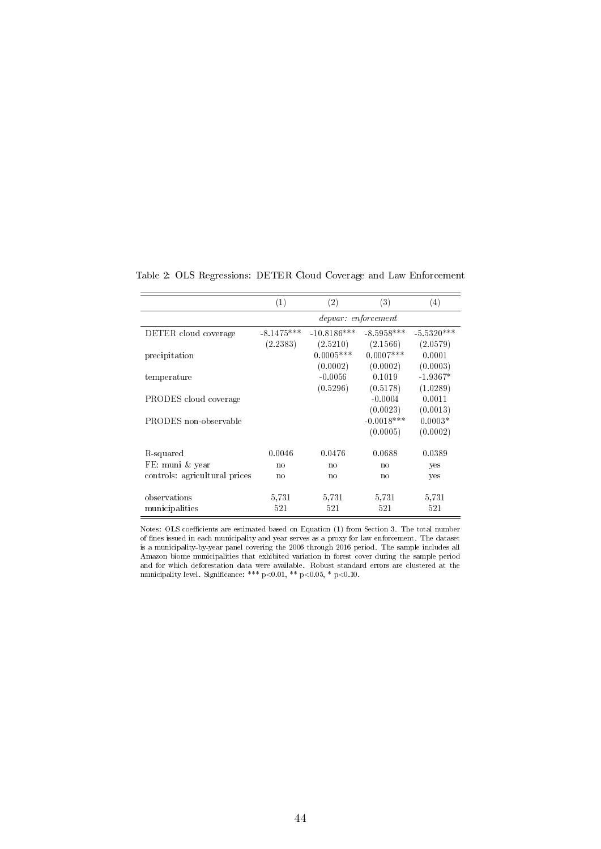|                               | (1)            | (2)                 | (3)            | $\left( 4\right)$ |
|-------------------------------|----------------|---------------------|----------------|-------------------|
|                               |                | depvar: enforcement |                |                   |
| DETER cloud coverage          | $-8.1475***$   | $-10.8186***$       | $-8.5958***$   | $-5.5320***$      |
|                               | (2.2383)       | (2.5210)            | (2.1566)       | (2.0579)          |
| precipitation                 |                | $0.0005***$         | $0.0007***$    | 0.0001            |
|                               |                | (0.0002)            | (0.0002)       | (0.0003)          |
| temperature                   |                | $-0.0056$           | 0.1019         | $-1.9367*$        |
|                               |                | (0.5296)            | (0.5178)       | (1.0289)          |
| PRODES cloud coverage         |                |                     | $-0.0004$      | 0.0011            |
|                               |                |                     | (0.0023)       | (0.0013)          |
| PRODES non-observable         |                |                     | $-0.0018***$   | $0.0003*$         |
|                               |                |                     | (0.0005)       | (0.0002)          |
|                               |                |                     |                |                   |
| R-squared                     | 0.0046         | 0.0476              | 0.0688         | 0.0389            |
| FE: muni & year               | n <sub>0</sub> | n <sub>0</sub>      | n <sub>0</sub> | yes               |
| controls: agricultural prices | no             | no                  | no             | yes               |
|                               |                |                     |                |                   |
| observations                  | 5,731          | 5,731               | 5,731          | 5,731             |
| municipalities                | 521            | 521                 | 521            | 521               |

Table 2: OLS Regressions: DETER Cloud Coverage and Law Enforcement

Notes: OLS coefficients are estimated based on Equation (1) from Section 3. The total number of nes issued in each municipality and year serves as a proxy for law enforcement. The dataset is a municipality-by-year panel covering the 2006 through 2016 period. The sample includes all Amazon biome municipalities that exhibited variation in forest cover during the sample period and for which deforestation data were available. Robust standard errors are clustered at the municipality level. Significance: \*\*\*  $p<0.01$ , \*\*  $p<0.05$ , \*  $p<0.10$ .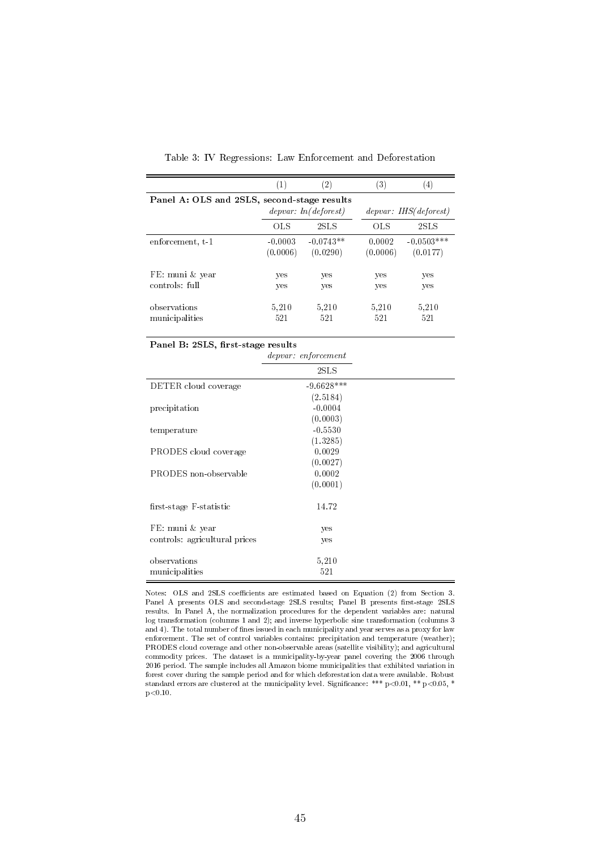|                                             | (1)       | $\left( 2\right)$    | 3)       | $\left( 4\right)$      |
|---------------------------------------------|-----------|----------------------|----------|------------------------|
| Panel A: OLS and 2SLS, second-stage results |           |                      |          |                        |
|                                             |           | depvar: ln(deforest) |          | depvar: IHS (deforest) |
|                                             | OLS       | 2SLS                 | OLS      | 2SLS                   |
| enforcement, t-1                            | $-0.0003$ | $-0.0743**$          | 0.0002   | $-0.0503***$           |
|                                             | (0.0006)  | (0.0290)             | (0.0006) | (0.0177)               |
| FE: muni & year                             | yes       | yes                  | yes      | yes                    |
| controls: full                              | yes       | yes                  | yes      | yes                    |
| observations                                | 5.210     | 5.210                | 5.210    | 5.210                  |
| municipalities                              | 521       | 521                  | 521      | 521                    |

Table 3: IV Regressions: Law Enforcement and Deforestation

|  | Panel B: 2SLS, first-stage results |  |
|--|------------------------------------|--|
|  |                                    |  |

|                               | depvar: enforcement |  |
|-------------------------------|---------------------|--|
|                               | 2SLS                |  |
| DETER cloud coverage          | $-9.6628***$        |  |
|                               | (2.5184)            |  |
| precipitation                 | $-0.0004$           |  |
|                               | (0.0003)            |  |
| temperature                   | $-0.5530$           |  |
|                               | (1.3285)            |  |
| PRODES cloud coverage         | 0.0029              |  |
|                               | (0.0027)            |  |
| PRODES non-observable         | 0.0002              |  |
|                               | (0.0001)            |  |
| first-stage F-statistic       | 14.72               |  |
| FE: muni & year               | yes                 |  |
| controls: agricultural prices | yes                 |  |
| observations                  | 5,210               |  |
| municipalities                | 521                 |  |

Notes: OLS and 2SLS coefficients are estimated based on Equation (2) from Section 3. Panel A presents OLS and second-stage 2SLS results; Panel B presents first-stage 2SLS results. In Panel A, the normalization procedures for the dependent variables are: natural log transformation (columns 1 and 2); and inverse hyperbolic sine transformation (columns 3 and 4). The total number of fines issued in each municipality and year serves as a proxy for law enforcement. The set of control variables contains: precipitation and temperature (weather); PRODES cloud coverage and other non-observable areas (satellite visibility); and agricultural commodity prices. The dataset is a municipality-by-year panel covering the 2006 through 2016 period. The sample includes all Amazon biome municipalities that exhibited variation in forest cover during the sample period and for which deforestation data were available. Robust standard errors are clustered at the municipality level. Significance: \*\*\*  $p < 0.01$ , \*\*  $p < 0.05$ , \*  $p < 0.10$ .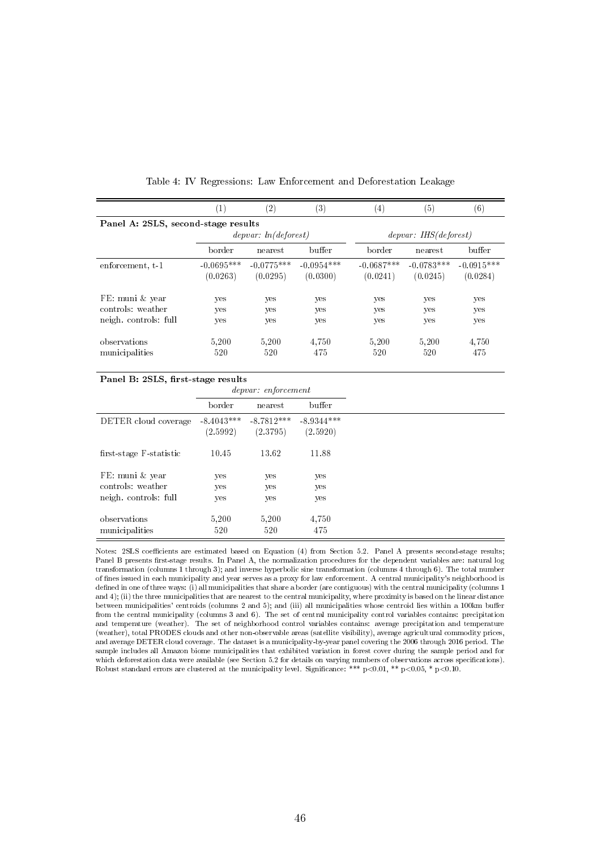|                                                                                       | $\left( 1\right)$        | $^{(2)}$                 | $^{\circ}3)$             | $\left(4\right)$         | (5)                      | $\left( 6\right)$        |  |  |  |
|---------------------------------------------------------------------------------------|--------------------------|--------------------------|--------------------------|--------------------------|--------------------------|--------------------------|--|--|--|
| Panel A: 2SLS, second-stage results<br>depvar: ln(deforest)<br>depvar: IHS (deforest) |                          |                          |                          |                          |                          |                          |  |  |  |
|                                                                                       |                          |                          |                          |                          |                          |                          |  |  |  |
|                                                                                       | border                   | nearest                  | buffer                   | border                   | nearest.                 | buffer                   |  |  |  |
| enforcement, t-1                                                                      | $-0.0695***$<br>(0.0263) | $-0.0775***$<br>(0.0295) | $-0.0954***$<br>(0.0300) | $-0.0687***$<br>(0.0241) | $-0.0783***$<br>(0.0245) | $-0.0915***$<br>(0.0284) |  |  |  |
| FE: muni & year<br>controls: weather<br>neigh controls full                           | yes<br>yes<br>yes        | yes<br>yes<br>yes        | yes<br>yes<br>yes        | yes<br>yes<br>yes        | yes<br>yes<br>yes        | yes<br>yes<br>yes        |  |  |  |
| observations<br>municipalities                                                        | 5.200<br>520             | 5.200<br>520             | 4.750<br>475             | 5,200<br>520             | 5,200<br>520             | 4.750<br>475             |  |  |  |

Table 4: IV Regressions: Law Enforcement and Deforestation Leakage

|                         |                          | <i>depvar:</i> enforcement |                          |
|-------------------------|--------------------------|----------------------------|--------------------------|
|                         | border                   | nearest                    | buffer                   |
| DETER cloud coverage    | $-8.4043***$<br>(2.5992) | $-8.7812***$<br>(2.3795)   | $-8.9344***$<br>(2.5920) |
| first-stage F-statistic | 10.45                    | 13.62                      | 11.88                    |
| FE: muni & year         | yes                      | yes                        | yes                      |
| controls: weather       | yes                      | yes                        | yes                      |
| neigh controls: full    | yes                      | yes                        | yes                      |
| observations            | 5,200                    | 5.200                      | 4,750                    |
| municipalities          | 520                      | 520                        | 475                      |

Notes: 2SLS coefficients are estimated based on Equation (4) from Section 5.2. Panel A presents second-stage results; Panel B presents first-stage results. In Panel A, the normalization procedures for the dependent variables are: natural log transformation (columns 1 through 3); and inverse hyperbolic sine transformation (columns 4 through 6). The total number of nes issued in each municipality and year serves as a proxy for law enforcement. A central municipality's neighborhood is defined in one of three ways: (i) all municipalities that share a border (are contiguous) with the central municipality (columns 1 and 4); (ii) the three municipalities that are nearest to the central municipality, where proximity is based on the linear distance between municipalities' centroids (columns 2 and 5); and (iii) all municipalities whose centroid lies within a 100km buer from the central municipality (columns 3 and 6). The set of central municipality control variables contains: precipitation and temperature (weather). The set of neighborhood control variables contains: average precipitation and temperature (weather), total PRODES clouds and other non-observable areas (satellite visibility), average agricultural commodity prices, and average DETER cloud coverage. The dataset is a municipality-by-year panel covering the 2006 through 2016 period. The sample includes all Amazon biome municipalities that exhibited variation in forest cover during the sample period and for which deforestation data were available (see Section 5.2 for details on varying numbers of observations across specifications). Robust standard errors are clustered at the municipality level. Significance: \*\*\* p<0.01, \*\* p<0.05, \* p<0.10.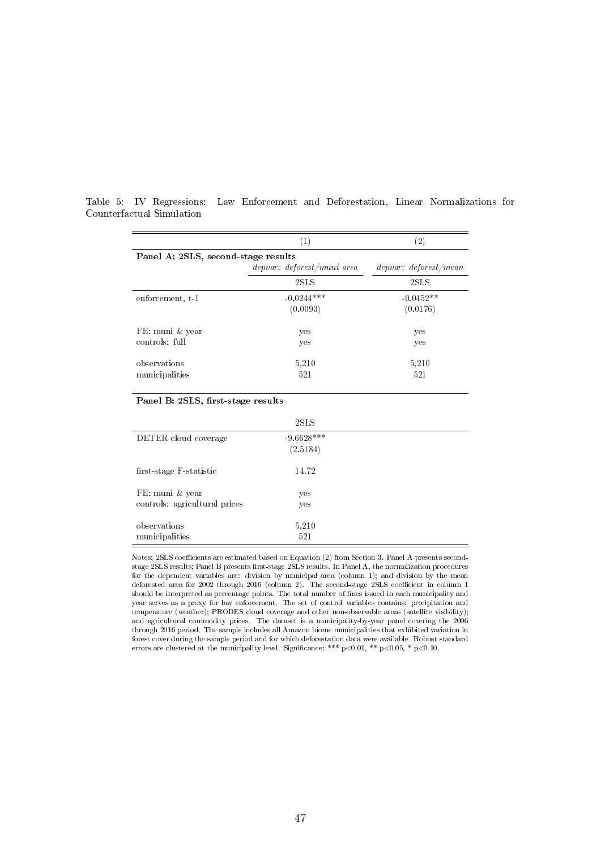|                                     | $\left(1\right)$           |                       |  |  |  |  |  |
|-------------------------------------|----------------------------|-----------------------|--|--|--|--|--|
| Panel A: 2SLS, second-stage results |                            |                       |  |  |  |  |  |
|                                     | depvar: deforest/muni area | depvar: deforest/mean |  |  |  |  |  |
|                                     | 2SLS                       | 2SLS                  |  |  |  |  |  |
| enforcement, t-1                    | $-0.0244***$               | $-0.0452**$           |  |  |  |  |  |
|                                     | (0.0093)                   | (0.0176)              |  |  |  |  |  |
| FE: muni & year                     | yes                        | yes                   |  |  |  |  |  |
| controls: full                      | yes                        | yes                   |  |  |  |  |  |
| observations                        | 5.210                      | 5.210                 |  |  |  |  |  |
| municipalities                      | 521                        | 521                   |  |  |  |  |  |

Table 5: IV Regressions: Law Enforcement and Deforestation, Linear Normalizations for Counterfactual Simulation

#### Panel B: 2SLS, first-stage results

|                                                  | 2SLS                     |  |
|--------------------------------------------------|--------------------------|--|
| DETER cloud coverage                             | $-9.6628***$<br>(2.5184) |  |
| first-stage F-statistic                          | 14.72                    |  |
| FE: muni & year<br>controls: agricultural prices | yes<br>yes               |  |
| observations<br>municipalities                   | 5.210<br>521             |  |

Notes: 2SLS coefficients are estimated based on Equation (2) from Section 3. Panel A presents secondstage 2SLS results; Panel B presents first-stage 2SLS results. In Panel A, the normalization procedures for the dependent variables are: division by municipal area (column 1); and division by the mean deforested area for 2002 through 2016 (column 2). The second-stage 2SLS coefficient in column 1 should be interpreted as percentage points. The total number of nes issued in each municipality and year serves as a proxy for law enforcement. The set of control variables contains: precipitation and temperature (weather); PRODES cloud coverage and other non-observable areas (satellite visibility); and agricultural commodity prices. The dataset is a municipality-by-year panel covering the 2006 through 2016 period. The sample includes all Amazon biome municipalities that exhibited variation in forest cover during the sample period and for which deforestation data were available. Robust standard errors are clustered at the municipality level. Significance: \*\*\*  $p<0.01$ , \*\*  $p<0.05$ , \*  $p<0.10$ .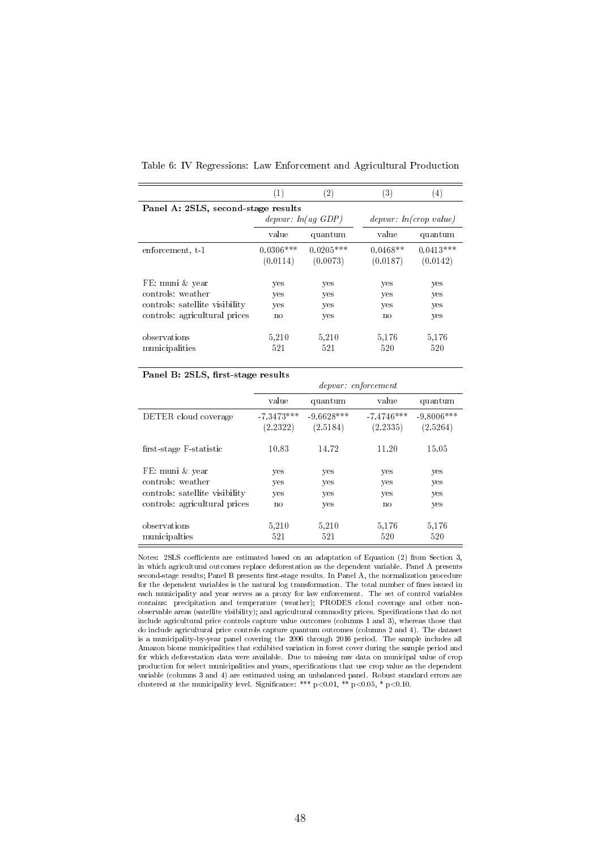|                                     | (1)         | $\left( 2\right)$      | (3)        | $\left(4\right)$       |  |  |  |  |  |
|-------------------------------------|-------------|------------------------|------------|------------------------|--|--|--|--|--|
| Panel A: 2SLS, second-stage results |             |                        |            |                        |  |  |  |  |  |
|                                     |             | depvar: $ln(aq \ GDP)$ |            | depvar: ln(crop value) |  |  |  |  |  |
|                                     | value       | quantum                | value      | quantum                |  |  |  |  |  |
| enforcement, t-1                    | $0.0306***$ | $0.0205***$            | $0.0468**$ | $0.0413***$            |  |  |  |  |  |
|                                     | (0.0114)    | (0.0073)               | (0.0187)   | (0.0142)               |  |  |  |  |  |
| FE: muni & year                     | yes         | yes                    | yes        | yes                    |  |  |  |  |  |
| controls: weather                   | yes         | yes                    | yes        | yes                    |  |  |  |  |  |
| controls: satellite visibility      | yes         | yes                    | yes        | yes                    |  |  |  |  |  |
| controls: agricultural prices       | no          | yes                    | no         | yes                    |  |  |  |  |  |
| observations                        | 5,210       | 5.210                  | 5.176      | 5,176                  |  |  |  |  |  |
| municipalities                      | 521         | 521                    | 520        | 520                    |  |  |  |  |  |

Table 6: IV Regressions: Law Enforcement and Agricultural Production

Í.

|                                | depvar: enforcement      |                          |                          |                          |  |  |
|--------------------------------|--------------------------|--------------------------|--------------------------|--------------------------|--|--|
|                                | value                    | quantum                  | value                    | quantum                  |  |  |
| DETER cloud coverage           | $-7.3473***$<br>(2.2322) | $-9.6628***$<br>(2.5184) | $-7.4746***$<br>(2.2335) | $-9.8006***$<br>(2.5264) |  |  |
| first-stage F-statistic        | 10.83                    | 14.72                    | 11.20                    | 15.05                    |  |  |
| FE: muni & year                | yes                      | yes                      | yes                      | yes                      |  |  |
| controls: weather              | yes                      | yes                      | yes                      | yes                      |  |  |
| controls: satellite visibility | yes                      | yes                      | yes                      | yes                      |  |  |
| controls: agricultural prices  | no                       | yes                      | no                       | yes                      |  |  |
| observations                   | 5.210                    | 5.210                    | 5,176                    | 5,176                    |  |  |
| municipalties                  | 521                      | 521                      | 520                      | 520                      |  |  |

Notes: 2SLS coefficients are estimated based on an adaptation of Equation (2) from Section 3, in which agricultural outcomes replace deforestation as the dependent variable. Panel A presents second-stage results; Panel B presents first-stage results. In Panel A, the normalization procedure for the dependent variables is the natural log transformation. The total number of fines issued in each municipality and year serves as a proxy for law enforcement. The set of control variables contains: precipitation and temperature (weather); PRODES cloud coverage and other nonobservable areas (satellite visibility); and agricultural commodity prices. Specifications that do not include agricultural price controls capture value outcomes (columns 1 and 3), whereas those that do include agricultural price controls capture quantum outcomes (columns 2 and 4). The dataset is a municipality-by-year panel covering the 2006 through 2016 period. The sample includes all Amazon biome municipalities that exhibited variation in forest cover during the sample period and for which deforestation data were available. Due to missing raw data on municipal value of crop production for select municipalities and years, specifications that use crop value as the dependent variable (columns 3 and 4) are estimated using an unbalanced panel. Robust standard errors are clustered at the municipality level. Significance: \*\*\* p<0.01, \*\* p<0.05, \* p<0.10.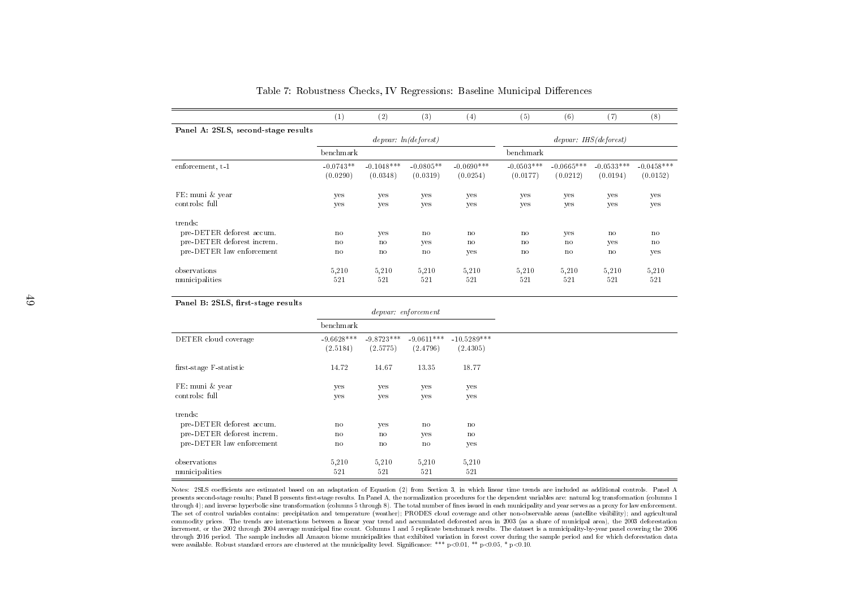|                                     | (1)                     | (2)                      | $^{(3)}$                | (4)                      | (5)                      | (6)                      | $^{\left( 7\right) }$             | (8)                      |
|-------------------------------------|-------------------------|--------------------------|-------------------------|--------------------------|--------------------------|--------------------------|-----------------------------------|--------------------------|
| Panel A: 2SLS, second-stage results |                         |                          |                         |                          |                          |                          |                                   |                          |
|                                     |                         |                          | depvar: ln(deforest)    |                          |                          |                          | $de\nu x: IHS (def \sigma \nest)$ |                          |
|                                     | benchmark               |                          |                         |                          | benchmark                |                          |                                   |                          |
| enforcement, t-1                    | $-0.0743**$<br>(0.0290) | $-0.1048***$<br>(0.0348) | $-0.0805**$<br>(0.0319) | $-0.0690***$<br>(0.0254) | $-0.0503***$<br>(0.0177) | $-0.0665***$<br>(0.0212) | $-0.0533***$<br>(0.0194)          | $-0.0458***$<br>(0.0152) |
| FE: muni & year                     | yes                     | yes                      | yes                     | yes                      | yes                      | yes                      | yes                               | yes                      |
| controls: full                      | ves                     | yes                      | yes                     | ves                      | yes                      | yes                      | yes                               | yes                      |
| trends:                             |                         |                          |                         |                          |                          |                          |                                   |                          |
| pre-DETER deforest accum.           | no                      | yes                      | no                      | $\mathbf{n}$             | $\mathbf{n}$             | yes                      | no                                | no                       |
| pre-DETER deforest increm.          | $\mathbf{n}$            | no                       | yes                     | $\mathbf{n}$             | $\mathbf{n}$             | no                       | yes                               | no                       |
| pre-DETER law enforcement           | $\mathbf{n}$            | no                       | no                      | yes                      | $\mathbf{n}$             | no                       | no                                | yes                      |
| observations                        | 5,210                   | 5,210                    | 5.210                   | 5.210                    | 5,210                    | 5.210                    | 5,210                             | 5,210                    |
| municipalities                      | 521                     | 521                      | 521                     | 521                      | 521                      | 521                      | 521                               | 521                      |

Table 7: Robustness Checks, IV Regressions: Baseline Municipal Differences

| Panel B: 2SLS, first-stage results |               |                        |                     |               |
|------------------------------------|---------------|------------------------|---------------------|---------------|
|                                    |               |                        | depvar: en forement |               |
|                                    | benchmark     |                        |                     |               |
| DETER cloud coverage               | $-9.6628***$  | $-9.8723***$           | $-9.0611***$        | $-10.5289***$ |
|                                    | (2.5184)      | (2.5775)               | (2.4796)            | (2.4305)      |
| first-stage F-statistic            | 14.72         | 14.67                  | 13.35               | 18.77         |
| FE: muni & year                    | yes           | yes                    | yes                 | yes           |
| controls: full                     | yes           | yes                    | yes                 | yes           |
| trends:                            |               |                        |                     |               |
| pre-DETER deforest accum.          | no            | yes                    | $\mathbf{n}$        | no            |
| pre-DETER deforest increm.         | $\mathbf{n}$  | no                     | yes                 | no            |
| pre-DETER law enforcement          | $\mathbf n$ o | $\mathbf{n}\mathbf{o}$ | $\mathbf{n}$        | yes           |
| observations                       | 5,210         | 5.210                  | 5.210               | 5,210         |
| municipalities                     | 521           | 521                    | 521                 | 521           |

Notes: 2SLS coefficients are estimated based on an adaptation of Equation (2) from Section 3, in which linear time trends are included as additional controls. Panel A presents second-stage results; Panel B presents first-stage results. In Panel A, the normalization procedures for the dependent variables are: natural log transformation (columns 1 through 4); and inverse hyperbolic sine transformation (columns <sup>5</sup> through 8). The total number of nes issued in each municipality and year serves as <sup>a</sup> proxy for law enforcement. The set of control variables contains: precipitation and temperature (weather); PRODES cloud coverage and other non-observable areas (satellite visibility); and agricultural commodity prices. The trends are interactions between <sup>a</sup> linear year trend and accumulated deforested area in <sup>2003</sup> (as <sup>a</sup> share of municipal area), the <sup>2003</sup> deforestationincrement, or the 2002 through 2004 average municipal fine count. Columns 1 and 5 replicate benchmark results. The dataset is a municipality-by-year panel covering the 2006 through 2016 period. The sample includes all Amazon biome municipalities that exhibited variation in forest cover during the sample period and for which deforestation datawere available. Robust standard errors are clustered at the municipality level. Significance: \*\*\* p<0.01, \*\* p<0.05, \* p<0.10.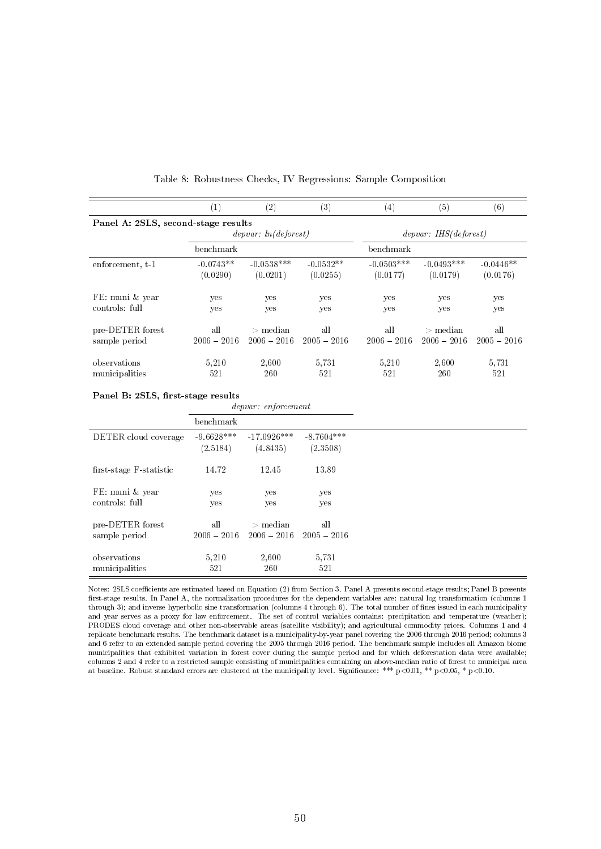|                                     | $\left(1\right)$ | $\left( 2\right)$    | $\left( 3\right)$ | $\left( 4\right)$ | (5)                    | $^{\rm (6)}$  |
|-------------------------------------|------------------|----------------------|-------------------|-------------------|------------------------|---------------|
| Panel A: 2SLS, second-stage results |                  |                      |                   |                   |                        |               |
|                                     |                  | depvar: ln(deforest) |                   |                   | depvar: IHS (deforest) |               |
|                                     | benchmark        |                      |                   | benchmark         |                        |               |
| enforcement, t-1                    | $-0.0743**$      | $-0.0538***$         | $-0.0532**$       | $-0.0503***$      | $-0.0493***$           | $-0.0446**$   |
|                                     | (0.0290)         | (0.0201)             | (0.0255)          | (0.0177)          | (0.0179)               | (0.0176)      |
| FE: muni & year                     | ves              | yes                  | yes               | yes               | yes                    | yes           |
| controls: full                      | yes              | yes                  | yes               | yes               | yes                    | yes           |
| pre-DETER forest                    | all              | $>$ median           | all               | all               | $>$ median             | all           |
| sample period                       | $2006 - 2016$    | $2006 - 2016$        | $2005 - 2016$     | $2006 - 2016$     | $2006 - 2016$          | $2005 - 2016$ |
| observations                        | 5.210            | 2,600                | 5.731             | 5.210             | 2.600                  | 5.731         |
| municipalities                      | 521              | 260                  | 521               | 521               | 260                    | 521           |

Table 8: Robustness Checks, IV Regressions: Sample Composition

depvar: enforcement

|                         | benchmark     |               |               |
|-------------------------|---------------|---------------|---------------|
| DETER cloud coverage    | $-9.6628***$  | $-17.0926***$ | $-8.7604***$  |
|                         | (2.5184)      | (4.8435)      | (2.3508)      |
| first-stage F-statistic | 14.72         | 12.45         | 13.89         |
| FE: muni & year         | yes           | yes           | yes           |
| controls: full          | yes           | yes           | yes           |
| pre-DETER forest        | all           | $>$ median    | all           |
| sample period           | $2006 - 2016$ | $2006 - 2016$ | $2005 - 2016$ |
| observations            | 5.210         | 2.600         | 5.731         |
| municipalities          | 521           | 260           | 521           |

Notes: 2SLS coefficients are estimated based on Equation (2) from Section 3. Panel A presents second-stage results; Panel B presents first-stage results. In Panel A, the normalization procedures for the dependent variables are: natural log transformation (columns 1 through 3); and inverse hyperbolic sine transformation (columns 4 through 6). The total number of nes issued in each municipality and year serves as a proxy for law enforcement. The set of control variables contains: precipitation and temperature (weather); PRODES cloud coverage and other non-observable areas (satellite visibility); and agricultural commodity prices. Columns 1 and 4 replicate benchmark results. The benchmark dataset is a municipality-by-year panel covering the 2006 through 2016 period; columns 3 and 6 refer to an extended sample period covering the 2005 through 2016 period. The benchmark sample includes all Amazon biome municipalities that exhibited variation in forest cover during the sample period and for which deforestation data were available; columns 2 and 4 refer to a restricted sample consisting of municipalities containing an above-median ratio of forest to municipal area at baseline. Robust standard errors are clustered at the municipality level. Significance: \*\*\* p<0.01, \*\* p<0.05, \* p<0.10.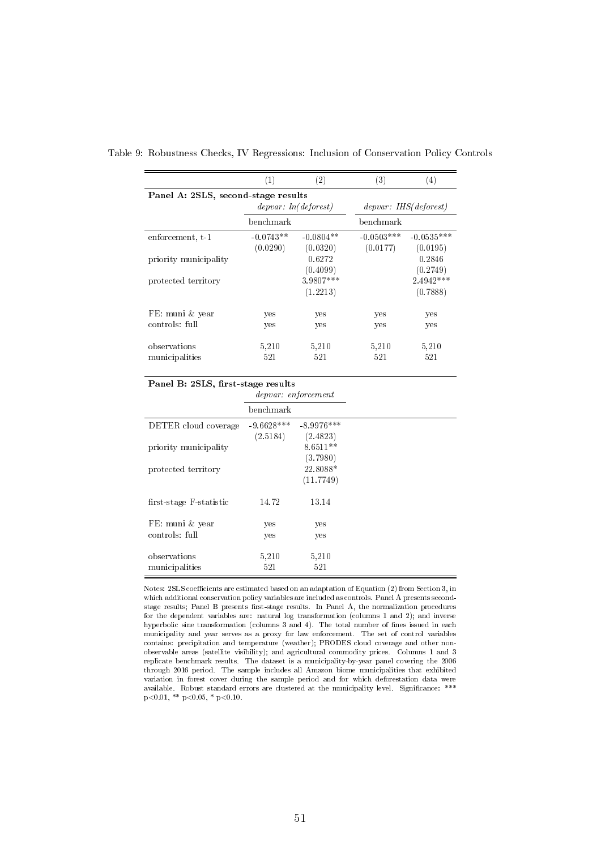|                                     | (1)                  | (2)         | (3)          | $\left( 4\right)$      |
|-------------------------------------|----------------------|-------------|--------------|------------------------|
| Panel A: 2SLS, second-stage results |                      |             |              |                        |
|                                     | depvar: ln(deforest) |             |              | depvar: IHS (deforest) |
|                                     | benchmark            |             | benchmark    |                        |
| enforcement, t-1                    | $-0.0743**$          | $-0.0804**$ | $-0.0503***$ | $-0.0535***$           |
|                                     | (0.0290)             | (0.0320)    | (0.0177)     | (0.0195)               |
| priority municipality               |                      | 0.6272      |              | 0.2846                 |
|                                     |                      | (0.4099)    |              | (0.2749)               |
| protected territory                 |                      | 3.9807***   |              | $2.4942***$            |
|                                     |                      | (1.2213)    |              | (0.7888)               |
| FE: muni & year                     |                      |             |              |                        |
| controls: full                      | yes                  | yes         | yes          | yes                    |
|                                     | yes                  | yes         | yes          | yes                    |
| observations                        | 5,210                | 5,210       | 5,210        | 5,210                  |
| municipalities                      | 521                  | 521         | 521          | 521                    |
|                                     |                      |             |              |                        |

Table 9: Robustness Checks, IV Regressions: Inclusion of Conservation Policy Controls

|                         | depvar: enforcement |              |  |
|-------------------------|---------------------|--------------|--|
|                         | benchmark           |              |  |
| DETER cloud coverage    | $-9.6628***$        | $-8.9976***$ |  |
|                         | (2.5184)            | (2.4823)     |  |
| priority municipality   |                     | $8.6511**$   |  |
|                         |                     | (3.7980)     |  |
| protected territory     |                     | 22.8088*     |  |
|                         |                     | (11.7749)    |  |
| first-stage F-statistic | 14.72               | 13.14        |  |
| FE: muni & year         | yes                 | yes          |  |
| controls: full          | yes                 | yes          |  |
| observations            | 5,210               | 5,210        |  |
| municipalities          | 521                 | 521          |  |

Notes: 2SLS coefficients are estimated based on an adaptation of Equation (2) from Section 3, in which additional conservation policy variables are included as controls. Panel A presents secondstage results; Panel B presents first-stage results. In Panel A, the normalization procedures for the dependent variables are: natural log transformation (columns 1 and 2); and inverse hyperbolic sine transformation (columns 3 and 4). The total number of fines issued in each municipality and year serves as a proxy for law enforcement. The set of control variables contains: precipitation and temperature (weather); PRODES cloud coverage and other nonobservable areas (satellite visibility); and agricultural commodity prices. Columns 1 and 3 replicate benchmark results. The dataset is a municipality-by-year panel covering the 2006 through 2016 period. The sample includes all Amazon biome municipalities that exhibited variation in forest cover during the sample period and for which deforestation data were available. Robust standard errors are clustered at the municipality level. Significance: \*\*\*  $p<0.01$ , \*\*  $p<0.05$ , \*  $p<0.10$ .